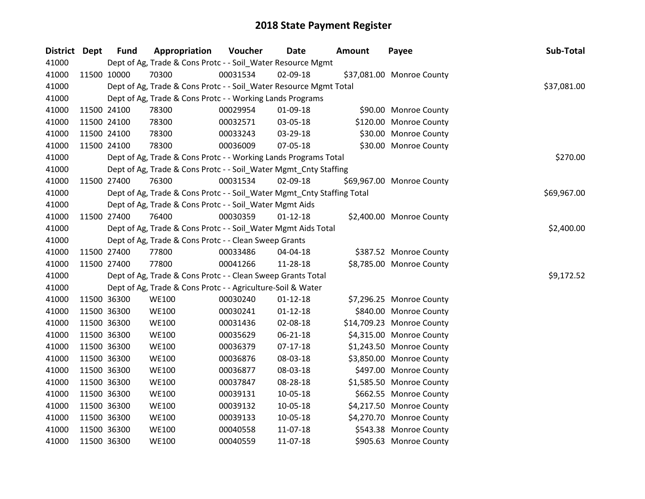| District Dept | <b>Fund</b> | Appropriation                                                          | Voucher  | Date           | <b>Amount</b> | Payee                     | Sub-Total   |
|---------------|-------------|------------------------------------------------------------------------|----------|----------------|---------------|---------------------------|-------------|
| 41000         |             | Dept of Ag, Trade & Cons Protc - - Soil_Water Resource Mgmt            |          |                |               |                           |             |
| 41000         | 11500 10000 | 70300                                                                  | 00031534 | 02-09-18       |               | \$37,081.00 Monroe County |             |
| 41000         |             | Dept of Ag, Trade & Cons Protc - - Soil_Water Resource Mgmt Total      |          |                |               |                           | \$37,081.00 |
| 41000         |             | Dept of Ag, Trade & Cons Protc - - Working Lands Programs              |          |                |               |                           |             |
| 41000         | 11500 24100 | 78300                                                                  | 00029954 | 01-09-18       |               | \$90.00 Monroe County     |             |
| 41000         | 11500 24100 | 78300                                                                  | 00032571 | 03-05-18       |               | \$120.00 Monroe County    |             |
| 41000         | 11500 24100 | 78300                                                                  | 00033243 | 03-29-18       |               | \$30.00 Monroe County     |             |
| 41000         | 11500 24100 | 78300                                                                  | 00036009 | 07-05-18       |               | \$30.00 Monroe County     |             |
| 41000         |             | Dept of Ag, Trade & Cons Protc - - Working Lands Programs Total        |          |                |               |                           | \$270.00    |
| 41000         |             | Dept of Ag, Trade & Cons Protc - - Soil_Water Mgmt_Cnty Staffing       |          |                |               |                           |             |
| 41000         | 11500 27400 | 76300                                                                  | 00031534 | 02-09-18       |               | \$69,967.00 Monroe County |             |
| 41000         |             | Dept of Ag, Trade & Cons Protc - - Soil_Water Mgmt_Cnty Staffing Total |          |                |               |                           | \$69,967.00 |
| 41000         |             | Dept of Ag, Trade & Cons Protc - - Soil_Water Mgmt Aids                |          |                |               |                           |             |
| 41000         | 11500 27400 | 76400                                                                  | 00030359 | $01 - 12 - 18$ |               | \$2,400.00 Monroe County  |             |
| 41000         |             | Dept of Ag, Trade & Cons Protc - - Soil_Water Mgmt Aids Total          |          |                |               |                           | \$2,400.00  |
| 41000         |             | Dept of Ag, Trade & Cons Protc - - Clean Sweep Grants                  |          |                |               |                           |             |
| 41000         | 11500 27400 | 77800                                                                  | 00033486 | 04-04-18       |               | \$387.52 Monroe County    |             |
| 41000         | 11500 27400 | 77800                                                                  | 00041266 | 11-28-18       |               | \$8,785.00 Monroe County  |             |
| 41000         |             | Dept of Ag, Trade & Cons Protc - - Clean Sweep Grants Total            |          |                |               |                           | \$9,172.52  |
| 41000         |             | Dept of Ag, Trade & Cons Protc - - Agriculture-Soil & Water            |          |                |               |                           |             |
| 41000         | 11500 36300 | <b>WE100</b>                                                           | 00030240 | $01 - 12 - 18$ |               | \$7,296.25 Monroe County  |             |
| 41000         | 11500 36300 | <b>WE100</b>                                                           | 00030241 | $01 - 12 - 18$ |               | \$840.00 Monroe County    |             |
| 41000         | 11500 36300 | <b>WE100</b>                                                           | 00031436 | 02-08-18       |               | \$14,709.23 Monroe County |             |
| 41000         | 11500 36300 | <b>WE100</b>                                                           | 00035629 | 06-21-18       |               | \$4,315.00 Monroe County  |             |
| 41000         | 11500 36300 | <b>WE100</b>                                                           | 00036379 | $07 - 17 - 18$ |               | \$1,243.50 Monroe County  |             |
| 41000         | 11500 36300 | <b>WE100</b>                                                           | 00036876 | 08-03-18       |               | \$3,850.00 Monroe County  |             |
| 41000         | 11500 36300 | <b>WE100</b>                                                           | 00036877 | 08-03-18       |               | \$497.00 Monroe County    |             |
| 41000         | 11500 36300 | <b>WE100</b>                                                           | 00037847 | 08-28-18       |               | \$1,585.50 Monroe County  |             |
| 41000         | 11500 36300 | <b>WE100</b>                                                           | 00039131 | 10-05-18       |               | \$662.55 Monroe County    |             |
| 41000         | 11500 36300 | <b>WE100</b>                                                           | 00039132 | 10-05-18       |               | \$4,217.50 Monroe County  |             |
| 41000         | 11500 36300 | <b>WE100</b>                                                           | 00039133 | 10-05-18       |               | \$4,270.70 Monroe County  |             |
| 41000         | 11500 36300 | <b>WE100</b>                                                           | 00040558 | 11-07-18       |               | \$543.38 Monroe County    |             |
| 41000         | 11500 36300 | <b>WE100</b>                                                           | 00040559 | 11-07-18       |               | \$905.63 Monroe County    |             |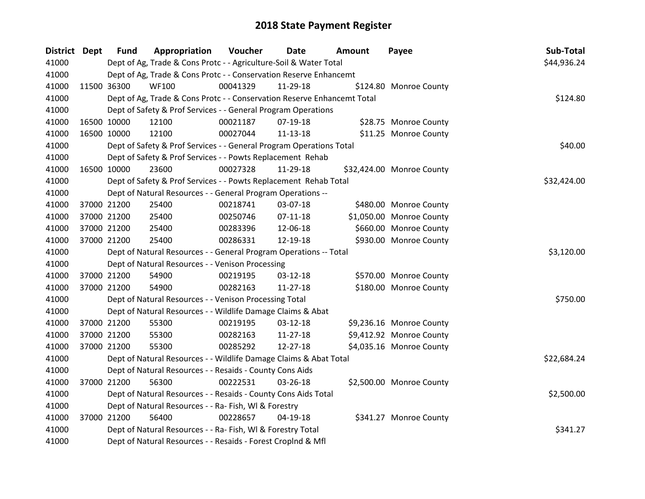| <b>District Dept</b> | <b>Fund</b> | Appropriation                                                           | <b>Voucher</b> | Date           | Amount | Payee                     | Sub-Total   |
|----------------------|-------------|-------------------------------------------------------------------------|----------------|----------------|--------|---------------------------|-------------|
| 41000                |             | Dept of Ag, Trade & Cons Protc - - Agriculture-Soil & Water Total       |                |                |        |                           | \$44,936.24 |
| 41000                |             | Dept of Ag, Trade & Cons Protc - - Conservation Reserve Enhancemt       |                |                |        |                           |             |
| 41000                | 11500 36300 | <b>WF100</b>                                                            | 00041329       | 11-29-18       |        | \$124.80 Monroe County    |             |
| 41000                |             | Dept of Ag, Trade & Cons Protc - - Conservation Reserve Enhancemt Total |                |                |        |                           | \$124.80    |
| 41000                |             | Dept of Safety & Prof Services - - General Program Operations           |                |                |        |                           |             |
| 41000                | 16500 10000 | 12100                                                                   | 00021187       | $07-19-18$     |        | \$28.75 Monroe County     |             |
| 41000                | 16500 10000 | 12100                                                                   | 00027044       | 11-13-18       |        | \$11.25 Monroe County     |             |
| 41000                |             | Dept of Safety & Prof Services - - General Program Operations Total     | \$40.00        |                |        |                           |             |
| 41000                |             | Dept of Safety & Prof Services - - Powts Replacement Rehab              |                |                |        |                           |             |
| 41000                | 16500 10000 | 23600                                                                   | 00027328       | 11-29-18       |        | \$32,424.00 Monroe County |             |
| 41000                |             | Dept of Safety & Prof Services - - Powts Replacement Rehab Total        |                |                |        |                           | \$32,424.00 |
| 41000                |             | Dept of Natural Resources - - General Program Operations --             |                |                |        |                           |             |
| 41000                | 37000 21200 | 25400                                                                   | 00218741       | 03-07-18       |        | \$480.00 Monroe County    |             |
| 41000                | 37000 21200 | 25400                                                                   | 00250746       | $07-11-18$     |        | \$1,050.00 Monroe County  |             |
| 41000                | 37000 21200 | 25400                                                                   | 00283396       | 12-06-18       |        | \$660.00 Monroe County    |             |
| 41000                | 37000 21200 | 25400                                                                   | 00286331       | 12-19-18       |        | \$930.00 Monroe County    |             |
| 41000                |             | Dept of Natural Resources - - General Program Operations -- Total       |                |                |        |                           | \$3,120.00  |
| 41000                |             | Dept of Natural Resources - - Venison Processing                        |                |                |        |                           |             |
| 41000                | 37000 21200 | 54900                                                                   | 00219195       | 03-12-18       |        | \$570.00 Monroe County    |             |
| 41000                | 37000 21200 | 54900                                                                   | 00282163       | $11 - 27 - 18$ |        | \$180.00 Monroe County    |             |
| 41000                |             | Dept of Natural Resources - - Venison Processing Total                  |                |                |        |                           | \$750.00    |
| 41000                |             | Dept of Natural Resources - - Wildlife Damage Claims & Abat             |                |                |        |                           |             |
| 41000                | 37000 21200 | 55300                                                                   | 00219195       | 03-12-18       |        | \$9,236.16 Monroe County  |             |
| 41000                | 37000 21200 | 55300                                                                   | 00282163       | 11-27-18       |        | \$9,412.92 Monroe County  |             |
| 41000                | 37000 21200 | 55300                                                                   | 00285292       | 12-27-18       |        | \$4,035.16 Monroe County  |             |
| 41000                |             | Dept of Natural Resources - - Wildlife Damage Claims & Abat Total       |                |                |        |                           | \$22,684.24 |
| 41000                |             | Dept of Natural Resources - - Resaids - County Cons Aids                |                |                |        |                           |             |
| 41000                | 37000 21200 | 56300                                                                   | 00222531       | 03-26-18       |        | \$2,500.00 Monroe County  |             |
| 41000                |             | Dept of Natural Resources - - Resaids - County Cons Aids Total          |                |                |        |                           | \$2,500.00  |
| 41000                |             | Dept of Natural Resources - - Ra- Fish, WI & Forestry                   |                |                |        |                           |             |
| 41000                | 37000 21200 | 56400                                                                   | 00228657       | 04-19-18       |        | \$341.27 Monroe County    |             |
| 41000                |             | Dept of Natural Resources - - Ra- Fish, WI & Forestry Total             |                |                |        |                           | \$341.27    |
| 41000                |             | Dept of Natural Resources - - Resaids - Forest Croplnd & Mfl            |                |                |        |                           |             |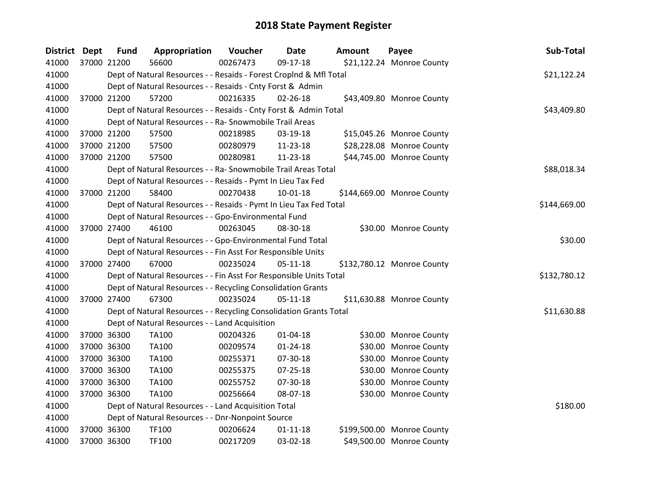| District Dept | <b>Fund</b> | Appropriation                                                      | Voucher  | <b>Date</b>    | <b>Amount</b> | Payee                      | Sub-Total    |
|---------------|-------------|--------------------------------------------------------------------|----------|----------------|---------------|----------------------------|--------------|
| 41000         | 37000 21200 | 56600                                                              | 00267473 | 09-17-18       |               | \$21,122.24 Monroe County  |              |
| 41000         |             | Dept of Natural Resources - - Resaids - Forest CropInd & Mfl Total |          |                |               |                            | \$21,122.24  |
| 41000         |             | Dept of Natural Resources - - Resaids - Cnty Forst & Admin         |          |                |               |                            |              |
| 41000         | 37000 21200 | 57200                                                              | 00216335 | 02-26-18       |               | \$43,409.80 Monroe County  |              |
| 41000         |             | Dept of Natural Resources - - Resaids - Cnty Forst & Admin Total   |          |                |               |                            | \$43,409.80  |
| 41000         |             | Dept of Natural Resources - - Ra- Snowmobile Trail Areas           |          |                |               |                            |              |
| 41000         | 37000 21200 | 57500                                                              | 00218985 | 03-19-18       |               | \$15,045.26 Monroe County  |              |
| 41000         | 37000 21200 | 57500                                                              | 00280979 | 11-23-18       |               | \$28,228.08 Monroe County  |              |
| 41000         | 37000 21200 | 57500                                                              | 00280981 | 11-23-18       |               | \$44,745.00 Monroe County  |              |
| 41000         |             | Dept of Natural Resources - - Ra- Snowmobile Trail Areas Total     |          |                |               |                            | \$88,018.34  |
| 41000         |             | Dept of Natural Resources - - Resaids - Pymt In Lieu Tax Fed       |          |                |               |                            |              |
| 41000         | 37000 21200 | 58400                                                              | 00270438 | $10 - 01 - 18$ |               | \$144,669.00 Monroe County |              |
| 41000         |             | Dept of Natural Resources - - Resaids - Pymt In Lieu Tax Fed Total |          |                |               |                            | \$144,669.00 |
| 41000         |             | Dept of Natural Resources - - Gpo-Environmental Fund               |          |                |               |                            |              |
| 41000         | 37000 27400 | 46100                                                              | 00263045 | 08-30-18       |               | \$30.00 Monroe County      |              |
| 41000         |             | Dept of Natural Resources - - Gpo-Environmental Fund Total         |          |                |               |                            | \$30.00      |
| 41000         |             | Dept of Natural Resources - - Fin Asst For Responsible Units       |          |                |               |                            |              |
| 41000         | 37000 27400 | 67000                                                              | 00235024 | $05 - 11 - 18$ |               | \$132,780.12 Monroe County |              |
| 41000         |             | Dept of Natural Resources - - Fin Asst For Responsible Units Total |          |                |               |                            | \$132,780.12 |
| 41000         |             | Dept of Natural Resources - - Recycling Consolidation Grants       |          |                |               |                            |              |
| 41000         | 37000 27400 | 67300                                                              | 00235024 | $05 - 11 - 18$ |               | \$11,630.88 Monroe County  |              |
| 41000         |             | Dept of Natural Resources - - Recycling Consolidation Grants Total |          |                |               |                            | \$11,630.88  |
| 41000         |             | Dept of Natural Resources - - Land Acquisition                     |          |                |               |                            |              |
| 41000         | 37000 36300 | TA100                                                              | 00204326 | $01 - 04 - 18$ |               | \$30.00 Monroe County      |              |
| 41000         | 37000 36300 | <b>TA100</b>                                                       | 00209574 | $01 - 24 - 18$ |               | \$30.00 Monroe County      |              |
| 41000         | 37000 36300 | <b>TA100</b>                                                       | 00255371 | 07-30-18       |               | \$30.00 Monroe County      |              |
| 41000         | 37000 36300 | <b>TA100</b>                                                       | 00255375 | 07-25-18       |               | \$30.00 Monroe County      |              |
| 41000         | 37000 36300 | TA100                                                              | 00255752 | 07-30-18       |               | \$30.00 Monroe County      |              |
| 41000         | 37000 36300 | TA100                                                              | 00256664 | 08-07-18       |               | \$30.00 Monroe County      |              |
| 41000         |             | Dept of Natural Resources - - Land Acquisition Total               |          |                |               |                            | \$180.00     |
| 41000         |             | Dept of Natural Resources - - Dnr-Nonpoint Source                  |          |                |               |                            |              |
| 41000         | 37000 36300 | TF100                                                              | 00206624 | $01 - 11 - 18$ |               | \$199,500.00 Monroe County |              |
| 41000         | 37000 36300 | <b>TF100</b>                                                       | 00217209 | 03-02-18       |               | \$49,500.00 Monroe County  |              |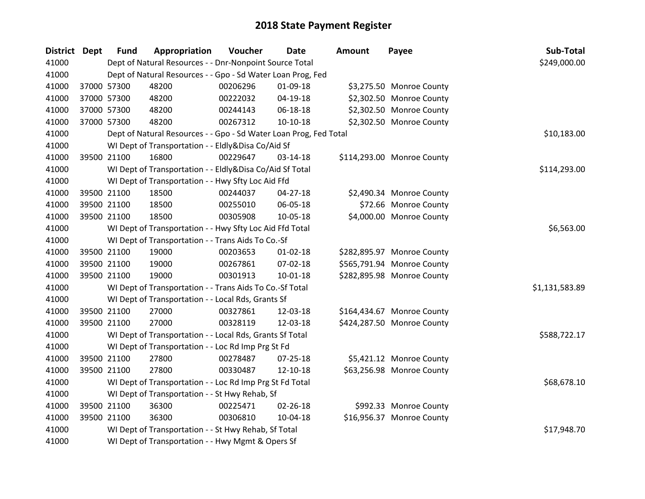| District Dept | <b>Fund</b> | Appropriation                                                     | Voucher  | <b>Date</b>    | <b>Amount</b> | Payee                      | Sub-Total      |
|---------------|-------------|-------------------------------------------------------------------|----------|----------------|---------------|----------------------------|----------------|
| 41000         |             | Dept of Natural Resources - - Dnr-Nonpoint Source Total           |          |                |               |                            | \$249,000.00   |
| 41000         |             | Dept of Natural Resources - - Gpo - Sd Water Loan Prog, Fed       |          |                |               |                            |                |
| 41000         | 37000 57300 | 48200                                                             | 00206296 | 01-09-18       |               | \$3,275.50 Monroe County   |                |
| 41000         | 37000 57300 | 48200                                                             | 00222032 | $04 - 19 - 18$ |               | \$2,302.50 Monroe County   |                |
| 41000         | 37000 57300 | 48200                                                             | 00244143 | 06-18-18       |               | \$2,302.50 Monroe County   |                |
| 41000         | 37000 57300 | 48200                                                             | 00267312 | $10-10-18$     |               | \$2,302.50 Monroe County   |                |
| 41000         |             | Dept of Natural Resources - - Gpo - Sd Water Loan Prog, Fed Total |          |                |               |                            | \$10,183.00    |
| 41000         |             | WI Dept of Transportation - - Eldly&Disa Co/Aid Sf                |          |                |               |                            |                |
| 41000         | 39500 21100 | 16800                                                             | 00229647 | 03-14-18       |               | \$114,293.00 Monroe County |                |
| 41000         |             | WI Dept of Transportation - - Eldly&Disa Co/Aid Sf Total          |          |                |               |                            | \$114,293.00   |
| 41000         |             | WI Dept of Transportation - - Hwy Sfty Loc Aid Ffd                |          |                |               |                            |                |
| 41000         | 39500 21100 | 18500                                                             | 00244037 | $04 - 27 - 18$ |               | \$2,490.34 Monroe County   |                |
| 41000         | 39500 21100 | 18500                                                             | 00255010 | 06-05-18       |               | \$72.66 Monroe County      |                |
| 41000         | 39500 21100 | 18500                                                             | 00305908 | 10-05-18       |               | \$4,000.00 Monroe County   |                |
| 41000         |             | WI Dept of Transportation - - Hwy Sfty Loc Aid Ffd Total          |          |                |               |                            | \$6,563.00     |
| 41000         |             | WI Dept of Transportation - - Trans Aids To Co.-Sf                |          |                |               |                            |                |
| 41000         | 39500 21100 | 19000                                                             | 00203653 | $01 - 02 - 18$ |               | \$282,895.97 Monroe County |                |
| 41000         | 39500 21100 | 19000                                                             | 00267861 | 07-02-18       |               | \$565,791.94 Monroe County |                |
| 41000         | 39500 21100 | 19000                                                             | 00301913 | 10-01-18       |               | \$282,895.98 Monroe County |                |
| 41000         |             | WI Dept of Transportation - - Trans Aids To Co.-Sf Total          |          |                |               |                            | \$1,131,583.89 |
| 41000         |             | WI Dept of Transportation - - Local Rds, Grants Sf                |          |                |               |                            |                |
| 41000         | 39500 21100 | 27000                                                             | 00327861 | 12-03-18       |               | \$164,434.67 Monroe County |                |
| 41000         | 39500 21100 | 27000                                                             | 00328119 | 12-03-18       |               | \$424,287.50 Monroe County |                |
| 41000         |             | WI Dept of Transportation - - Local Rds, Grants Sf Total          |          |                |               |                            | \$588,722.17   |
| 41000         |             | WI Dept of Transportation - - Loc Rd Imp Prg St Fd                |          |                |               |                            |                |
| 41000         | 39500 21100 | 27800                                                             | 00278487 | 07-25-18       |               | \$5,421.12 Monroe County   |                |
| 41000         | 39500 21100 | 27800                                                             | 00330487 | 12-10-18       |               | \$63,256.98 Monroe County  |                |
| 41000         |             | WI Dept of Transportation - - Loc Rd Imp Prg St Fd Total          |          |                |               |                            | \$68,678.10    |
| 41000         |             | WI Dept of Transportation - - St Hwy Rehab, Sf                    |          |                |               |                            |                |
| 41000         | 39500 21100 | 36300                                                             | 00225471 | $02 - 26 - 18$ |               | \$992.33 Monroe County     |                |
| 41000         | 39500 21100 | 36300                                                             | 00306810 | 10-04-18       |               | \$16,956.37 Monroe County  |                |
| 41000         |             | WI Dept of Transportation - - St Hwy Rehab, Sf Total              |          |                |               |                            | \$17,948.70    |
| 41000         |             | WI Dept of Transportation - - Hwy Mgmt & Opers Sf                 |          |                |               |                            |                |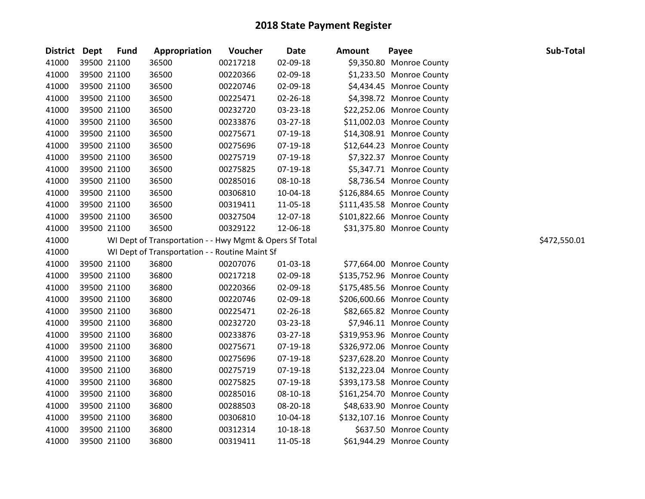| <b>District Dept</b> |             | <b>Fund</b> | Appropriation                                           | Voucher  | <b>Date</b>    | <b>Amount</b> | Payee                      | Sub-Total    |
|----------------------|-------------|-------------|---------------------------------------------------------|----------|----------------|---------------|----------------------------|--------------|
| 41000                |             | 39500 21100 | 36500                                                   | 00217218 | 02-09-18       |               | \$9,350.80 Monroe County   |              |
| 41000                |             | 39500 21100 | 36500                                                   | 00220366 | 02-09-18       |               | \$1,233.50 Monroe County   |              |
| 41000                |             | 39500 21100 | 36500                                                   | 00220746 | 02-09-18       |               | \$4,434.45 Monroe County   |              |
| 41000                | 39500 21100 |             | 36500                                                   | 00225471 | 02-26-18       |               | \$4,398.72 Monroe County   |              |
| 41000                |             | 39500 21100 | 36500                                                   | 00232720 | 03-23-18       |               | \$22,252.06 Monroe County  |              |
| 41000                |             | 39500 21100 | 36500                                                   | 00233876 | 03-27-18       |               | \$11,002.03 Monroe County  |              |
| 41000                |             | 39500 21100 | 36500                                                   | 00275671 | 07-19-18       |               | \$14,308.91 Monroe County  |              |
| 41000                |             | 39500 21100 | 36500                                                   | 00275696 | 07-19-18       |               | \$12,644.23 Monroe County  |              |
| 41000                |             | 39500 21100 | 36500                                                   | 00275719 | 07-19-18       |               | \$7,322.37 Monroe County   |              |
| 41000                |             | 39500 21100 | 36500                                                   | 00275825 | 07-19-18       |               | \$5,347.71 Monroe County   |              |
| 41000                |             | 39500 21100 | 36500                                                   | 00285016 | 08-10-18       |               | \$8,736.54 Monroe County   |              |
| 41000                |             | 39500 21100 | 36500                                                   | 00306810 | 10-04-18       |               | \$126,884.65 Monroe County |              |
| 41000                |             | 39500 21100 | 36500                                                   | 00319411 | 11-05-18       |               | \$111,435.58 Monroe County |              |
| 41000                | 39500 21100 |             | 36500                                                   | 00327504 | 12-07-18       |               | \$101,822.66 Monroe County |              |
| 41000                |             | 39500 21100 | 36500                                                   | 00329122 | 12-06-18       |               | \$31,375.80 Monroe County  |              |
| 41000                |             |             | WI Dept of Transportation - - Hwy Mgmt & Opers Sf Total |          |                |               |                            | \$472,550.01 |
| 41000                |             |             | WI Dept of Transportation - - Routine Maint Sf          |          |                |               |                            |              |
| 41000                |             | 39500 21100 | 36800                                                   | 00207076 | $01 - 03 - 18$ |               | \$77,664.00 Monroe County  |              |
| 41000                |             | 39500 21100 | 36800                                                   | 00217218 | 02-09-18       |               | \$135,752.96 Monroe County |              |
| 41000                |             | 39500 21100 | 36800                                                   | 00220366 | 02-09-18       |               | \$175,485.56 Monroe County |              |
| 41000                |             | 39500 21100 | 36800                                                   | 00220746 | 02-09-18       |               | \$206,600.66 Monroe County |              |
| 41000                |             | 39500 21100 | 36800                                                   | 00225471 | 02-26-18       |               | \$82,665.82 Monroe County  |              |
| 41000                | 39500 21100 |             | 36800                                                   | 00232720 | 03-23-18       |               | \$7,946.11 Monroe County   |              |
| 41000                |             | 39500 21100 | 36800                                                   | 00233876 | 03-27-18       |               | \$319,953.96 Monroe County |              |
| 41000                |             | 39500 21100 | 36800                                                   | 00275671 | 07-19-18       |               | \$326,972.06 Monroe County |              |
| 41000                |             | 39500 21100 | 36800                                                   | 00275696 | 07-19-18       |               | \$237,628.20 Monroe County |              |
| 41000                |             | 39500 21100 | 36800                                                   | 00275719 | 07-19-18       |               | \$132,223.04 Monroe County |              |
| 41000                |             | 39500 21100 | 36800                                                   | 00275825 | 07-19-18       |               | \$393,173.58 Monroe County |              |
| 41000                |             | 39500 21100 | 36800                                                   | 00285016 | 08-10-18       |               | \$161,254.70 Monroe County |              |
| 41000                |             | 39500 21100 | 36800                                                   | 00288503 | 08-20-18       |               | \$48,633.90 Monroe County  |              |
| 41000                |             | 39500 21100 | 36800                                                   | 00306810 | 10-04-18       |               | \$132,107.16 Monroe County |              |
| 41000                |             | 39500 21100 | 36800                                                   | 00312314 | 10-18-18       |               | \$637.50 Monroe County     |              |
| 41000                |             | 39500 21100 | 36800                                                   | 00319411 | 11-05-18       |               | \$61,944.29 Monroe County  |              |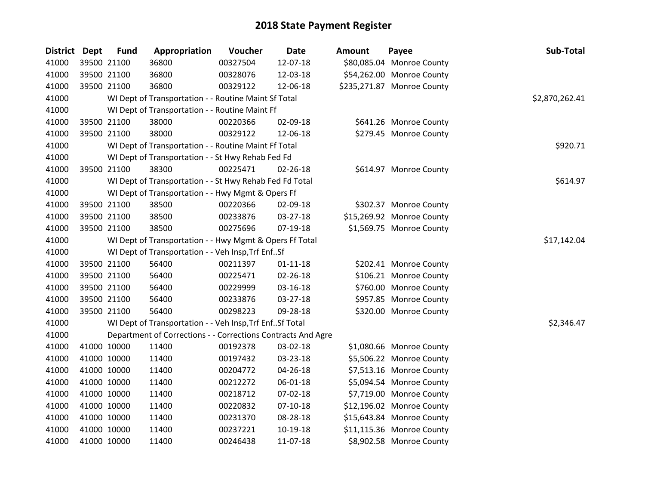| <b>District</b> | <b>Dept</b> | <b>Fund</b> | Appropriation                                                | Voucher  | <b>Date</b>    | <b>Amount</b> | Payee                      | Sub-Total      |
|-----------------|-------------|-------------|--------------------------------------------------------------|----------|----------------|---------------|----------------------------|----------------|
| 41000           |             | 39500 21100 | 36800                                                        | 00327504 | 12-07-18       |               | \$80,085.04 Monroe County  |                |
| 41000           |             | 39500 21100 | 36800                                                        | 00328076 | 12-03-18       |               | \$54,262.00 Monroe County  |                |
| 41000           |             | 39500 21100 | 36800                                                        | 00329122 | 12-06-18       |               | \$235,271.87 Monroe County |                |
| 41000           |             |             | WI Dept of Transportation - - Routine Maint Sf Total         |          |                |               |                            | \$2,870,262.41 |
| 41000           |             |             | WI Dept of Transportation - - Routine Maint Ff               |          |                |               |                            |                |
| 41000           |             | 39500 21100 | 38000                                                        | 00220366 | 02-09-18       |               | \$641.26 Monroe County     |                |
| 41000           |             | 39500 21100 | 38000                                                        | 00329122 | 12-06-18       |               | \$279.45 Monroe County     |                |
| 41000           |             |             | WI Dept of Transportation - - Routine Maint Ff Total         |          |                |               |                            | \$920.71       |
| 41000           |             |             | WI Dept of Transportation - - St Hwy Rehab Fed Fd            |          |                |               |                            |                |
| 41000           |             | 39500 21100 | 38300                                                        | 00225471 | 02-26-18       |               | \$614.97 Monroe County     |                |
| 41000           |             |             | WI Dept of Transportation - - St Hwy Rehab Fed Fd Total      |          |                |               |                            | \$614.97       |
| 41000           |             |             | WI Dept of Transportation - - Hwy Mgmt & Opers Ff            |          |                |               |                            |                |
| 41000           |             | 39500 21100 | 38500                                                        | 00220366 | 02-09-18       |               | \$302.37 Monroe County     |                |
| 41000           |             | 39500 21100 | 38500                                                        | 00233876 | 03-27-18       |               | \$15,269.92 Monroe County  |                |
| 41000           |             | 39500 21100 | 38500                                                        | 00275696 | 07-19-18       |               | \$1,569.75 Monroe County   |                |
| 41000           |             |             | WI Dept of Transportation - - Hwy Mgmt & Opers Ff Total      |          |                |               |                            | \$17,142.04    |
| 41000           |             |             | WI Dept of Transportation - - Veh Insp, Trf EnfSf            |          |                |               |                            |                |
| 41000           |             | 39500 21100 | 56400                                                        | 00211397 | $01 - 11 - 18$ |               | \$202.41 Monroe County     |                |
| 41000           |             | 39500 21100 | 56400                                                        | 00225471 | 02-26-18       |               | \$106.21 Monroe County     |                |
| 41000           |             | 39500 21100 | 56400                                                        | 00229999 | 03-16-18       |               | \$760.00 Monroe County     |                |
| 41000           |             | 39500 21100 | 56400                                                        | 00233876 | 03-27-18       |               | \$957.85 Monroe County     |                |
| 41000           |             | 39500 21100 | 56400                                                        | 00298223 | 09-28-18       |               | \$320.00 Monroe County     |                |
| 41000           |             |             | WI Dept of Transportation - - Veh Insp, Trf EnfSf Total      |          |                |               |                            | \$2,346.47     |
| 41000           |             |             | Department of Corrections - - Corrections Contracts And Agre |          |                |               |                            |                |
| 41000           |             | 41000 10000 | 11400                                                        | 00192378 | 03-02-18       |               | \$1,080.66 Monroe County   |                |
| 41000           |             | 41000 10000 | 11400                                                        | 00197432 | 03-23-18       |               | \$5,506.22 Monroe County   |                |
| 41000           |             | 41000 10000 | 11400                                                        | 00204772 | 04-26-18       |               | \$7,513.16 Monroe County   |                |
| 41000           |             | 41000 10000 | 11400                                                        | 00212272 | 06-01-18       |               | \$5,094.54 Monroe County   |                |
| 41000           |             | 41000 10000 | 11400                                                        | 00218712 | 07-02-18       |               | \$7,719.00 Monroe County   |                |
| 41000           |             | 41000 10000 | 11400                                                        | 00220832 | $07-10-18$     |               | \$12,196.02 Monroe County  |                |
| 41000           |             | 41000 10000 | 11400                                                        | 00231370 | 08-28-18       |               | \$15,643.84 Monroe County  |                |
| 41000           |             | 41000 10000 | 11400                                                        | 00237221 | 10-19-18       |               | \$11,115.36 Monroe County  |                |
| 41000           |             | 41000 10000 | 11400                                                        | 00246438 | 11-07-18       |               | \$8,902.58 Monroe County   |                |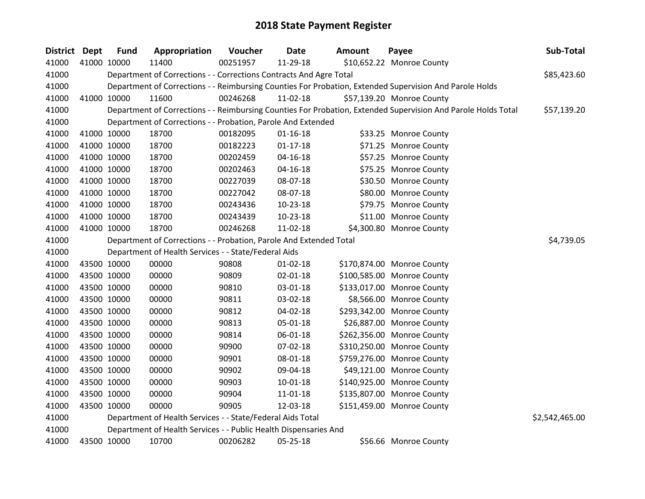| District Dept | <b>Fund</b> | Appropriation                                                      | Voucher  | <b>Date</b>    | <b>Amount</b> | Payee                                                                                                         | Sub-Total      |
|---------------|-------------|--------------------------------------------------------------------|----------|----------------|---------------|---------------------------------------------------------------------------------------------------------------|----------------|
| 41000         | 41000 10000 | 11400                                                              | 00251957 | 11-29-18       |               | \$10,652.22 Monroe County                                                                                     |                |
| 41000         |             | Department of Corrections - - Corrections Contracts And Agre Total |          |                |               |                                                                                                               | \$85,423.60    |
| 41000         |             |                                                                    |          |                |               | Department of Corrections - - Reimbursing Counties For Probation, Extended Supervision And Parole Holds       |                |
| 41000         | 41000 10000 | 11600                                                              | 00246268 | 11-02-18       |               | \$57,139.20 Monroe County                                                                                     |                |
| 41000         |             |                                                                    |          |                |               | Department of Corrections - - Reimbursing Counties For Probation, Extended Supervision And Parole Holds Total | \$57,139.20    |
| 41000         |             | Department of Corrections - - Probation, Parole And Extended       |          |                |               |                                                                                                               |                |
| 41000         | 41000 10000 | 18700                                                              | 00182095 | $01 - 16 - 18$ |               | \$33.25 Monroe County                                                                                         |                |
| 41000         | 41000 10000 | 18700                                                              | 00182223 | $01-17-18$     |               | \$71.25 Monroe County                                                                                         |                |
| 41000         | 41000 10000 | 18700                                                              | 00202459 | $04 - 16 - 18$ |               | \$57.25 Monroe County                                                                                         |                |
| 41000         | 41000 10000 | 18700                                                              | 00202463 | $04 - 16 - 18$ |               | \$75.25 Monroe County                                                                                         |                |
| 41000         | 41000 10000 | 18700                                                              | 00227039 | 08-07-18       |               | \$30.50 Monroe County                                                                                         |                |
| 41000         | 41000 10000 | 18700                                                              | 00227042 | 08-07-18       |               | \$80.00 Monroe County                                                                                         |                |
| 41000         | 41000 10000 | 18700                                                              | 00243436 | 10-23-18       |               | \$79.75 Monroe County                                                                                         |                |
| 41000         | 41000 10000 | 18700                                                              | 00243439 | 10-23-18       |               | \$11.00 Monroe County                                                                                         |                |
| 41000         | 41000 10000 | 18700                                                              | 00246268 | 11-02-18       |               | \$4,300.80 Monroe County                                                                                      |                |
| 41000         |             | Department of Corrections - - Probation, Parole And Extended Total |          |                |               |                                                                                                               | \$4,739.05     |
| 41000         |             | Department of Health Services - - State/Federal Aids               |          |                |               |                                                                                                               |                |
| 41000         | 43500 10000 | 00000                                                              | 90808    | $01 - 02 - 18$ |               | \$170,874.00 Monroe County                                                                                    |                |
| 41000         | 43500 10000 | 00000                                                              | 90809    | 02-01-18       |               | \$100,585.00 Monroe County                                                                                    |                |
| 41000         | 43500 10000 | 00000                                                              | 90810    | 03-01-18       |               | \$133,017.00 Monroe County                                                                                    |                |
| 41000         | 43500 10000 | 00000                                                              | 90811    | 03-02-18       |               | \$8,566.00 Monroe County                                                                                      |                |
| 41000         | 43500 10000 | 00000                                                              | 90812    | 04-02-18       |               | \$293,342.00 Monroe County                                                                                    |                |
| 41000         | 43500 10000 | 00000                                                              | 90813    | 05-01-18       |               | \$26,887.00 Monroe County                                                                                     |                |
| 41000         | 43500 10000 | 00000                                                              | 90814    | 06-01-18       |               | \$262,356.00 Monroe County                                                                                    |                |
| 41000         | 43500 10000 | 00000                                                              | 90900    | 07-02-18       |               | \$310,250.00 Monroe County                                                                                    |                |
| 41000         | 43500 10000 | 00000                                                              | 90901    | 08-01-18       |               | \$759,276.00 Monroe County                                                                                    |                |
| 41000         | 43500 10000 | 00000                                                              | 90902    | 09-04-18       |               | \$49,121.00 Monroe County                                                                                     |                |
| 41000         | 43500 10000 | 00000                                                              | 90903    | 10-01-18       |               | \$140,925.00 Monroe County                                                                                    |                |
| 41000         | 43500 10000 | 00000                                                              | 90904    | 11-01-18       |               | \$135,807.00 Monroe County                                                                                    |                |
| 41000         | 43500 10000 | 00000                                                              | 90905    | 12-03-18       |               | \$151,459.00 Monroe County                                                                                    |                |
| 41000         |             | Department of Health Services - - State/Federal Aids Total         |          |                |               |                                                                                                               | \$2,542,465.00 |
| 41000         |             | Department of Health Services - - Public Health Dispensaries And   |          |                |               |                                                                                                               |                |
| 41000         | 43500 10000 | 10700                                                              | 00206282 | 05-25-18       |               | \$56.66 Monroe County                                                                                         |                |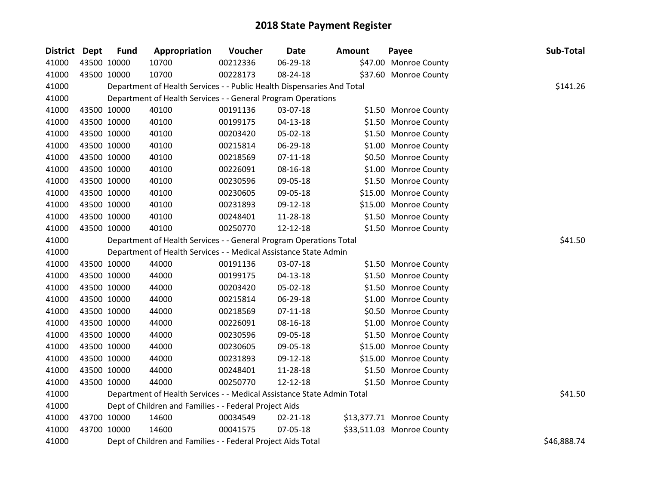| District Dept |             | <b>Fund</b> | Appropriation                                                          | Voucher  | <b>Date</b>    | <b>Amount</b> | Payee                     | Sub-Total   |
|---------------|-------------|-------------|------------------------------------------------------------------------|----------|----------------|---------------|---------------------------|-------------|
| 41000         |             | 43500 10000 | 10700                                                                  | 00212336 | 06-29-18       |               | \$47.00 Monroe County     |             |
| 41000         |             | 43500 10000 | 10700                                                                  | 00228173 | 08-24-18       |               | \$37.60 Monroe County     |             |
| 41000         |             |             | Department of Health Services - - Public Health Dispensaries And Total |          |                |               |                           | \$141.26    |
| 41000         |             |             | Department of Health Services - - General Program Operations           |          |                |               |                           |             |
| 41000         |             | 43500 10000 | 40100                                                                  | 00191136 | 03-07-18       |               | \$1.50 Monroe County      |             |
| 41000         |             | 43500 10000 | 40100                                                                  | 00199175 | $04 - 13 - 18$ |               | \$1.50 Monroe County      |             |
| 41000         |             | 43500 10000 | 40100                                                                  | 00203420 | 05-02-18       |               | \$1.50 Monroe County      |             |
| 41000         | 43500 10000 |             | 40100                                                                  | 00215814 | 06-29-18       |               | \$1.00 Monroe County      |             |
| 41000         | 43500 10000 |             | 40100                                                                  | 00218569 | $07 - 11 - 18$ |               | \$0.50 Monroe County      |             |
| 41000         | 43500 10000 |             | 40100                                                                  | 00226091 | 08-16-18       |               | \$1.00 Monroe County      |             |
| 41000         |             | 43500 10000 | 40100                                                                  | 00230596 | 09-05-18       |               | \$1.50 Monroe County      |             |
| 41000         |             | 43500 10000 | 40100                                                                  | 00230605 | 09-05-18       |               | \$15.00 Monroe County     |             |
| 41000         | 43500 10000 |             | 40100                                                                  | 00231893 | 09-12-18       |               | \$15.00 Monroe County     |             |
| 41000         |             | 43500 10000 | 40100                                                                  | 00248401 | 11-28-18       |               | \$1.50 Monroe County      |             |
| 41000         |             | 43500 10000 | 40100                                                                  | 00250770 | 12-12-18       |               | \$1.50 Monroe County      |             |
| 41000         |             |             | Department of Health Services - - General Program Operations Total     | \$41.50  |                |               |                           |             |
| 41000         |             |             | Department of Health Services - - Medical Assistance State Admin       |          |                |               |                           |             |
| 41000         | 43500 10000 |             | 44000                                                                  | 00191136 | 03-07-18       |               | \$1.50 Monroe County      |             |
| 41000         | 43500 10000 |             | 44000                                                                  | 00199175 | 04-13-18       |               | \$1.50 Monroe County      |             |
| 41000         |             | 43500 10000 | 44000                                                                  | 00203420 | 05-02-18       |               | \$1.50 Monroe County      |             |
| 41000         |             | 43500 10000 | 44000                                                                  | 00215814 | 06-29-18       |               | \$1.00 Monroe County      |             |
| 41000         |             | 43500 10000 | 44000                                                                  | 00218569 | $07-11-18$     |               | \$0.50 Monroe County      |             |
| 41000         | 43500 10000 |             | 44000                                                                  | 00226091 | 08-16-18       |               | \$1.00 Monroe County      |             |
| 41000         |             | 43500 10000 | 44000                                                                  | 00230596 | 09-05-18       |               | \$1.50 Monroe County      |             |
| 41000         |             | 43500 10000 | 44000                                                                  | 00230605 | 09-05-18       |               | \$15.00 Monroe County     |             |
| 41000         |             | 43500 10000 | 44000                                                                  | 00231893 | 09-12-18       |               | \$15.00 Monroe County     |             |
| 41000         | 43500 10000 |             | 44000                                                                  | 00248401 | 11-28-18       |               | \$1.50 Monroe County      |             |
| 41000         | 43500 10000 |             | 44000                                                                  | 00250770 | 12-12-18       |               | \$1.50 Monroe County      |             |
| 41000         |             |             | Department of Health Services - - Medical Assistance State Admin Total |          |                |               |                           | \$41.50     |
| 41000         |             |             | Dept of Children and Families - - Federal Project Aids                 |          |                |               |                           |             |
| 41000         |             | 43700 10000 | 14600                                                                  | 00034549 | 02-21-18       |               | \$13,377.71 Monroe County |             |
| 41000         |             | 43700 10000 | 14600                                                                  | 00041575 | 07-05-18       |               | \$33,511.03 Monroe County |             |
| 41000         |             |             | Dept of Children and Families - - Federal Project Aids Total           |          |                |               |                           | \$46,888.74 |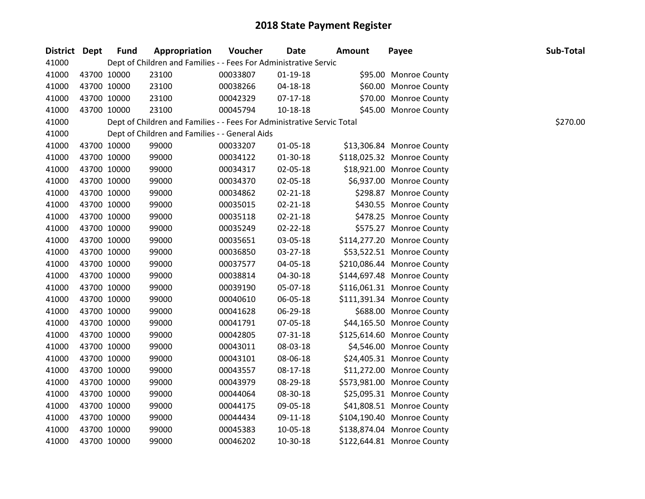| District Dept |             | <b>Fund</b> | Appropriation                                                          | Voucher  | <b>Date</b>    | <b>Amount</b> | Payee                      | Sub-Total |
|---------------|-------------|-------------|------------------------------------------------------------------------|----------|----------------|---------------|----------------------------|-----------|
| 41000         |             |             | Dept of Children and Families - - Fees For Administrative Servic       |          |                |               |                            |           |
| 41000         |             | 43700 10000 | 23100                                                                  | 00033807 | $01-19-18$     |               | \$95.00 Monroe County      |           |
| 41000         | 43700 10000 |             | 23100                                                                  | 00038266 | 04-18-18       |               | \$60.00 Monroe County      |           |
| 41000         |             | 43700 10000 | 23100                                                                  | 00042329 | 07-17-18       |               | \$70.00 Monroe County      |           |
| 41000         |             | 43700 10000 | 23100                                                                  | 00045794 | $10 - 18 - 18$ |               | \$45.00 Monroe County      |           |
| 41000         |             |             | Dept of Children and Families - - Fees For Administrative Servic Total |          |                |               |                            | \$270.00  |
| 41000         |             |             | Dept of Children and Families - - General Aids                         |          |                |               |                            |           |
| 41000         |             | 43700 10000 | 99000                                                                  | 00033207 | 01-05-18       |               | \$13,306.84 Monroe County  |           |
| 41000         |             | 43700 10000 | 99000                                                                  | 00034122 | 01-30-18       |               | \$118,025.32 Monroe County |           |
| 41000         |             | 43700 10000 | 99000                                                                  | 00034317 | 02-05-18       |               | \$18,921.00 Monroe County  |           |
| 41000         |             | 43700 10000 | 99000                                                                  | 00034370 | 02-05-18       |               | \$6,937.00 Monroe County   |           |
| 41000         |             | 43700 10000 | 99000                                                                  | 00034862 | 02-21-18       |               | \$298.87 Monroe County     |           |
| 41000         |             | 43700 10000 | 99000                                                                  | 00035015 | $02 - 21 - 18$ |               | \$430.55 Monroe County     |           |
| 41000         |             | 43700 10000 | 99000                                                                  | 00035118 | $02 - 21 - 18$ |               | \$478.25 Monroe County     |           |
| 41000         |             | 43700 10000 | 99000                                                                  | 00035249 | 02-22-18       |               | \$575.27 Monroe County     |           |
| 41000         |             | 43700 10000 | 99000                                                                  | 00035651 | 03-05-18       |               | \$114,277.20 Monroe County |           |
| 41000         |             | 43700 10000 | 99000                                                                  | 00036850 | 03-27-18       |               | \$53,522.51 Monroe County  |           |
| 41000         |             | 43700 10000 | 99000                                                                  | 00037577 | 04-05-18       |               | \$210,086.44 Monroe County |           |
| 41000         |             | 43700 10000 | 99000                                                                  | 00038814 | 04-30-18       |               | \$144,697.48 Monroe County |           |
| 41000         |             | 43700 10000 | 99000                                                                  | 00039190 | 05-07-18       |               | \$116,061.31 Monroe County |           |
| 41000         |             | 43700 10000 | 99000                                                                  | 00040610 | 06-05-18       |               | \$111,391.34 Monroe County |           |
| 41000         |             | 43700 10000 | 99000                                                                  | 00041628 | 06-29-18       |               | \$688.00 Monroe County     |           |
| 41000         |             | 43700 10000 | 99000                                                                  | 00041791 | 07-05-18       |               | \$44,165.50 Monroe County  |           |
| 41000         |             | 43700 10000 | 99000                                                                  | 00042805 | 07-31-18       |               | \$125,614.60 Monroe County |           |
| 41000         |             | 43700 10000 | 99000                                                                  | 00043011 | 08-03-18       |               | \$4,546.00 Monroe County   |           |
| 41000         |             | 43700 10000 | 99000                                                                  | 00043101 | 08-06-18       |               | \$24,405.31 Monroe County  |           |
| 41000         |             | 43700 10000 | 99000                                                                  | 00043557 | 08-17-18       |               | \$11,272.00 Monroe County  |           |
| 41000         |             | 43700 10000 | 99000                                                                  | 00043979 | 08-29-18       |               | \$573,981.00 Monroe County |           |
| 41000         |             | 43700 10000 | 99000                                                                  | 00044064 | 08-30-18       |               | \$25,095.31 Monroe County  |           |
| 41000         |             | 43700 10000 | 99000                                                                  | 00044175 | 09-05-18       |               | \$41,808.51 Monroe County  |           |
| 41000         |             | 43700 10000 | 99000                                                                  | 00044434 | 09-11-18       |               | \$104,190.40 Monroe County |           |
| 41000         |             | 43700 10000 | 99000                                                                  | 00045383 | 10-05-18       |               | \$138,874.04 Monroe County |           |
| 41000         |             | 43700 10000 | 99000                                                                  | 00046202 | 10-30-18       |               | \$122,644.81 Monroe County |           |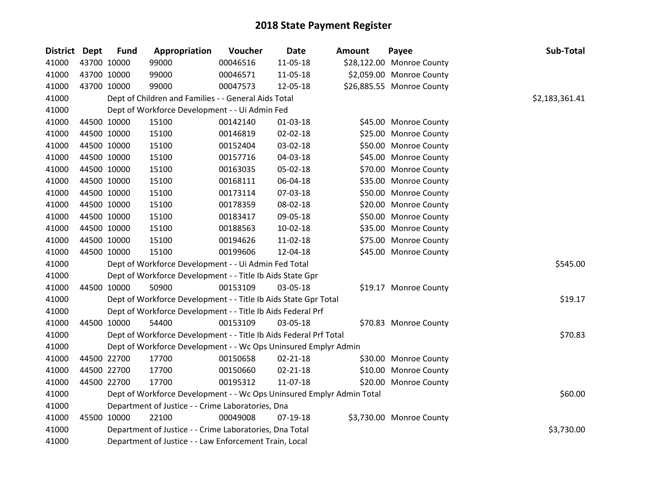| District Dept |             | <b>Fund</b> | Appropriation                                                         | Voucher  | Date           | <b>Amount</b> | Payee                     | Sub-Total      |
|---------------|-------------|-------------|-----------------------------------------------------------------------|----------|----------------|---------------|---------------------------|----------------|
| 41000         |             | 43700 10000 | 99000                                                                 | 00046516 | 11-05-18       |               | \$28,122.00 Monroe County |                |
| 41000         | 43700 10000 |             | 99000                                                                 | 00046571 | 11-05-18       |               | \$2,059.00 Monroe County  |                |
| 41000         | 43700 10000 |             | 99000                                                                 | 00047573 | 12-05-18       |               | \$26,885.55 Monroe County |                |
| 41000         |             |             | Dept of Children and Families - - General Aids Total                  |          |                |               |                           | \$2,183,361.41 |
| 41000         |             |             | Dept of Workforce Development - - Ui Admin Fed                        |          |                |               |                           |                |
| 41000         |             | 44500 10000 | 15100                                                                 | 00142140 | 01-03-18       |               | \$45.00 Monroe County     |                |
| 41000         | 44500 10000 |             | 15100                                                                 | 00146819 | 02-02-18       |               | \$25.00 Monroe County     |                |
| 41000         |             | 44500 10000 | 15100                                                                 | 00152404 | 03-02-18       |               | \$50.00 Monroe County     |                |
| 41000         |             | 44500 10000 | 15100                                                                 | 00157716 | 04-03-18       |               | \$45.00 Monroe County     |                |
| 41000         |             | 44500 10000 | 15100                                                                 | 00163035 | 05-02-18       |               | \$70.00 Monroe County     |                |
| 41000         |             | 44500 10000 | 15100                                                                 | 00168111 | 06-04-18       |               | \$35.00 Monroe County     |                |
| 41000         | 44500 10000 |             | 15100                                                                 | 00173114 | 07-03-18       |               | \$50.00 Monroe County     |                |
| 41000         |             | 44500 10000 | 15100                                                                 | 00178359 | 08-02-18       |               | \$20.00 Monroe County     |                |
| 41000         |             | 44500 10000 | 15100                                                                 | 00183417 | 09-05-18       |               | \$50.00 Monroe County     |                |
| 41000         |             | 44500 10000 | 15100                                                                 | 00188563 | $10-02-18$     |               | \$35.00 Monroe County     |                |
| 41000         |             | 44500 10000 | 15100                                                                 | 00194626 | 11-02-18       |               | \$75.00 Monroe County     |                |
| 41000         |             | 44500 10000 | 15100                                                                 | 00199606 | 12-04-18       |               | \$45.00 Monroe County     |                |
| 41000         |             |             | Dept of Workforce Development - - Ui Admin Fed Total                  |          |                |               |                           | \$545.00       |
| 41000         |             |             | Dept of Workforce Development - - Title Ib Aids State Gpr             |          |                |               |                           |                |
| 41000         |             | 44500 10000 | 50900                                                                 | 00153109 | 03-05-18       |               | \$19.17 Monroe County     |                |
| 41000         |             |             | Dept of Workforce Development - - Title Ib Aids State Gpr Total       |          |                |               |                           | \$19.17        |
| 41000         |             |             | Dept of Workforce Development - - Title Ib Aids Federal Prf           |          |                |               |                           |                |
| 41000         |             | 44500 10000 | 54400                                                                 | 00153109 | 03-05-18       |               | \$70.83 Monroe County     |                |
| 41000         |             |             | Dept of Workforce Development - - Title Ib Aids Federal Prf Total     |          |                |               |                           | \$70.83        |
| 41000         |             |             | Dept of Workforce Development - - Wc Ops Uninsured Emplyr Admin       |          |                |               |                           |                |
| 41000         |             | 44500 22700 | 17700                                                                 | 00150658 | $02 - 21 - 18$ |               | \$30.00 Monroe County     |                |
| 41000         | 44500 22700 |             | 17700                                                                 | 00150660 | 02-21-18       |               | \$10.00 Monroe County     |                |
| 41000         |             | 44500 22700 | 17700                                                                 | 00195312 | 11-07-18       |               | \$20.00 Monroe County     |                |
| 41000         |             |             | Dept of Workforce Development - - Wc Ops Uninsured Emplyr Admin Total |          |                |               |                           | \$60.00        |
| 41000         |             |             | Department of Justice - - Crime Laboratories, Dna                     |          |                |               |                           |                |
| 41000         |             | 45500 10000 | 22100                                                                 | 00049008 | 07-19-18       |               | \$3,730.00 Monroe County  |                |
| 41000         |             |             | Department of Justice - - Crime Laboratories, Dna Total               |          |                |               |                           | \$3,730.00     |
| 41000         |             |             | Department of Justice - - Law Enforcement Train, Local                |          |                |               |                           |                |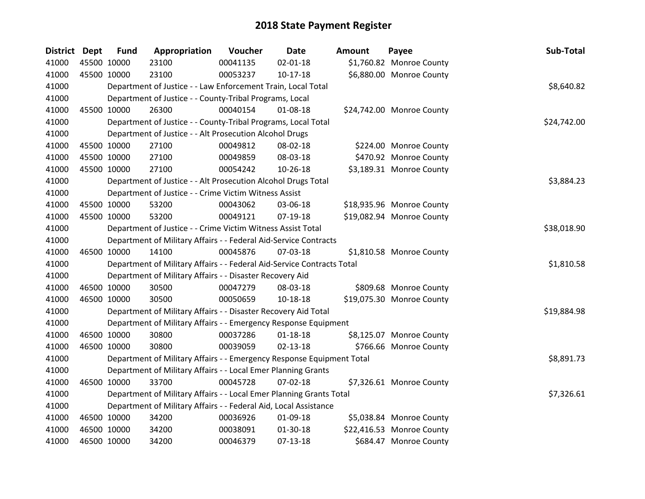| District Dept |             | <b>Fund</b> | Appropriation                                                          | Voucher  | <b>Date</b>    | Amount | Payee                     | Sub-Total   |
|---------------|-------------|-------------|------------------------------------------------------------------------|----------|----------------|--------|---------------------------|-------------|
| 41000         | 45500 10000 |             | 23100                                                                  | 00041135 | $02 - 01 - 18$ |        | \$1,760.82 Monroe County  |             |
| 41000         | 45500 10000 |             | 23100                                                                  | 00053237 | $10-17-18$     |        | \$6,880.00 Monroe County  |             |
| 41000         |             |             | Department of Justice - - Law Enforcement Train, Local Total           |          |                |        |                           | \$8,640.82  |
| 41000         |             |             | Department of Justice - - County-Tribal Programs, Local                |          |                |        |                           |             |
| 41000         |             | 45500 10000 | 26300                                                                  | 00040154 | 01-08-18       |        | \$24,742.00 Monroe County |             |
| 41000         |             |             | Department of Justice - - County-Tribal Programs, Local Total          |          |                |        |                           | \$24,742.00 |
| 41000         |             |             | Department of Justice - - Alt Prosecution Alcohol Drugs                |          |                |        |                           |             |
| 41000         | 45500 10000 |             | 27100                                                                  | 00049812 | 08-02-18       |        | \$224.00 Monroe County    |             |
| 41000         | 45500 10000 |             | 27100                                                                  | 00049859 | 08-03-18       |        | \$470.92 Monroe County    |             |
| 41000         |             | 45500 10000 | 27100                                                                  | 00054242 | 10-26-18       |        | \$3,189.31 Monroe County  |             |
| 41000         |             |             | Department of Justice - - Alt Prosecution Alcohol Drugs Total          |          |                |        |                           | \$3,884.23  |
| 41000         |             |             | Department of Justice - - Crime Victim Witness Assist                  |          |                |        |                           |             |
| 41000         | 45500 10000 |             | 53200                                                                  | 00043062 | 03-06-18       |        | \$18,935.96 Monroe County |             |
| 41000         | 45500 10000 |             | 53200                                                                  | 00049121 | 07-19-18       |        | \$19,082.94 Monroe County |             |
| 41000         |             |             | Department of Justice - - Crime Victim Witness Assist Total            |          |                |        |                           | \$38,018.90 |
| 41000         |             |             | Department of Military Affairs - - Federal Aid-Service Contracts       |          |                |        |                           |             |
| 41000         | 46500 10000 |             | 14100                                                                  | 00045876 | 07-03-18       |        | \$1,810.58 Monroe County  |             |
| 41000         |             |             | Department of Military Affairs - - Federal Aid-Service Contracts Total |          |                |        |                           | \$1,810.58  |
| 41000         |             |             | Department of Military Affairs - - Disaster Recovery Aid               |          |                |        |                           |             |
| 41000         | 46500 10000 |             | 30500                                                                  | 00047279 | 08-03-18       |        | \$809.68 Monroe County    |             |
| 41000         | 46500 10000 |             | 30500                                                                  | 00050659 | 10-18-18       |        | \$19,075.30 Monroe County |             |
| 41000         |             |             | Department of Military Affairs - - Disaster Recovery Aid Total         |          |                |        |                           | \$19,884.98 |
| 41000         |             |             | Department of Military Affairs - - Emergency Response Equipment        |          |                |        |                           |             |
| 41000         | 46500 10000 |             | 30800                                                                  | 00037286 | $01 - 18 - 18$ |        | \$8,125.07 Monroe County  |             |
| 41000         | 46500 10000 |             | 30800                                                                  | 00039059 | $02 - 13 - 18$ |        | \$766.66 Monroe County    |             |
| 41000         |             |             | Department of Military Affairs - - Emergency Response Equipment Total  |          |                |        |                           | \$8,891.73  |
| 41000         |             |             | Department of Military Affairs - - Local Emer Planning Grants          |          |                |        |                           |             |
| 41000         | 46500 10000 |             | 33700                                                                  | 00045728 | 07-02-18       |        | \$7,326.61 Monroe County  |             |
| 41000         |             |             | Department of Military Affairs - - Local Emer Planning Grants Total    |          |                |        |                           | \$7,326.61  |
| 41000         |             |             | Department of Military Affairs - - Federal Aid, Local Assistance       |          |                |        |                           |             |
| 41000         | 46500 10000 |             | 34200                                                                  | 00036926 | 01-09-18       |        | \$5,038.84 Monroe County  |             |
| 41000         |             | 46500 10000 | 34200                                                                  | 00038091 | 01-30-18       |        | \$22,416.53 Monroe County |             |
| 41000         | 46500 10000 |             | 34200                                                                  | 00046379 | $07-13-18$     |        | \$684.47 Monroe County    |             |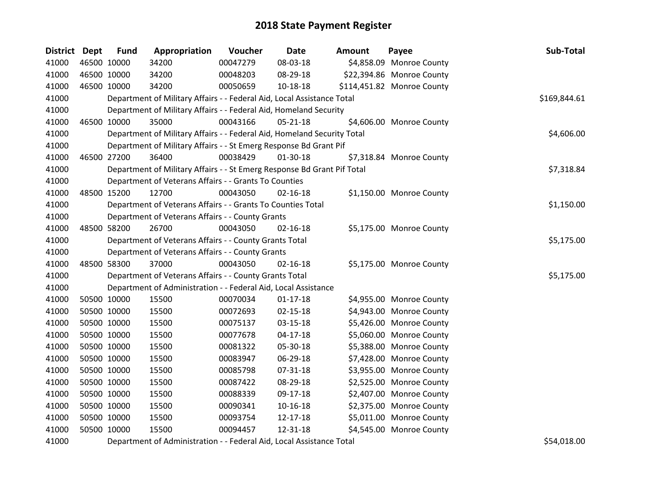| <b>District Dept</b> | <b>Fund</b> | Appropriation                                                           | Voucher  | <b>Date</b>    | <b>Amount</b> | Payee                      | Sub-Total    |
|----------------------|-------------|-------------------------------------------------------------------------|----------|----------------|---------------|----------------------------|--------------|
| 41000                | 46500 10000 | 34200                                                                   | 00047279 | 08-03-18       |               | \$4,858.09 Monroe County   |              |
| 41000                | 46500 10000 | 34200                                                                   | 00048203 | 08-29-18       |               | \$22,394.86 Monroe County  |              |
| 41000                | 46500 10000 | 34200                                                                   | 00050659 | $10-18-18$     |               | \$114,451.82 Monroe County |              |
| 41000                |             | Department of Military Affairs - - Federal Aid, Local Assistance Total  |          |                |               |                            | \$169,844.61 |
| 41000                |             | Department of Military Affairs - - Federal Aid, Homeland Security       |          |                |               |                            |              |
| 41000                | 46500 10000 | 35000                                                                   | 00043166 | $05 - 21 - 18$ |               | \$4,606.00 Monroe County   |              |
| 41000                |             | Department of Military Affairs - - Federal Aid, Homeland Security Total |          |                |               |                            | \$4,606.00   |
| 41000                |             | Department of Military Affairs - - St Emerg Response Bd Grant Pif       |          |                |               |                            |              |
| 41000                | 46500 27200 | 36400                                                                   | 00038429 | 01-30-18       |               | \$7,318.84 Monroe County   |              |
| 41000                |             | Department of Military Affairs - - St Emerg Response Bd Grant Pif Total |          |                |               |                            | \$7,318.84   |
| 41000                |             | Department of Veterans Affairs - - Grants To Counties                   |          |                |               |                            |              |
| 41000                | 48500 15200 | 12700                                                                   | 00043050 | $02 - 16 - 18$ |               | \$1,150.00 Monroe County   |              |
| 41000                |             | Department of Veterans Affairs - - Grants To Counties Total             |          |                |               |                            | \$1,150.00   |
| 41000                |             | Department of Veterans Affairs - - County Grants                        |          |                |               |                            |              |
| 41000                | 48500 58200 | 26700                                                                   | 00043050 | $02 - 16 - 18$ |               | \$5,175.00 Monroe County   |              |
| 41000                |             | Department of Veterans Affairs - - County Grants Total                  |          |                |               |                            | \$5,175.00   |
| 41000                |             | Department of Veterans Affairs - - County Grants                        |          |                |               |                            |              |
| 41000                | 48500 58300 | 37000                                                                   | 00043050 | $02 - 16 - 18$ |               | \$5,175.00 Monroe County   |              |
| 41000                |             | Department of Veterans Affairs - - County Grants Total                  |          |                |               |                            | \$5,175.00   |
| 41000                |             | Department of Administration - - Federal Aid, Local Assistance          |          |                |               |                            |              |
| 41000                | 50500 10000 | 15500                                                                   | 00070034 | $01-17-18$     |               | \$4,955.00 Monroe County   |              |
| 41000                | 50500 10000 | 15500                                                                   | 00072693 | $02 - 15 - 18$ |               | \$4,943.00 Monroe County   |              |
| 41000                | 50500 10000 | 15500                                                                   | 00075137 | 03-15-18       |               | \$5,426.00 Monroe County   |              |
| 41000                | 50500 10000 | 15500                                                                   | 00077678 | $04-17-18$     |               | \$5,060.00 Monroe County   |              |
| 41000                | 50500 10000 | 15500                                                                   | 00081322 | 05-30-18       |               | \$5,388.00 Monroe County   |              |
| 41000                | 50500 10000 | 15500                                                                   | 00083947 | 06-29-18       |               | \$7,428.00 Monroe County   |              |
| 41000                | 50500 10000 | 15500                                                                   | 00085798 | 07-31-18       |               | \$3,955.00 Monroe County   |              |
| 41000                | 50500 10000 | 15500                                                                   | 00087422 | 08-29-18       |               | \$2,525.00 Monroe County   |              |
| 41000                | 50500 10000 | 15500                                                                   | 00088339 | 09-17-18       |               | \$2,407.00 Monroe County   |              |
| 41000                | 50500 10000 | 15500                                                                   | 00090341 | 10-16-18       |               | \$2,375.00 Monroe County   |              |
| 41000                | 50500 10000 | 15500                                                                   | 00093754 | 12-17-18       |               | \$5,011.00 Monroe County   |              |
| 41000                | 50500 10000 | 15500                                                                   | 00094457 | 12-31-18       |               | \$4,545.00 Monroe County   |              |
| 41000                |             | Department of Administration - - Federal Aid, Local Assistance Total    |          |                |               |                            | \$54,018.00  |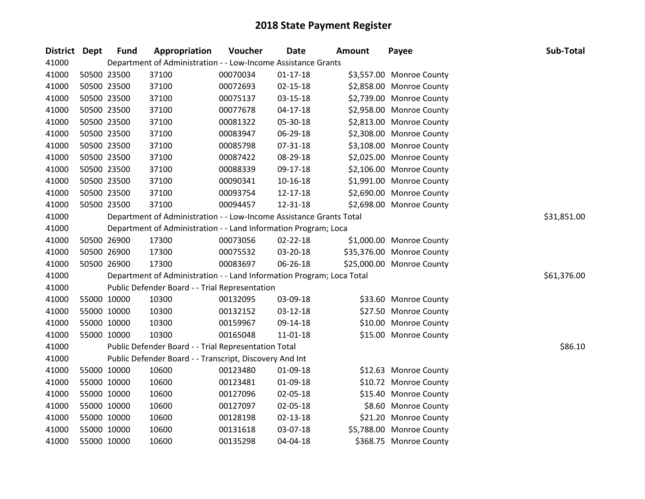| District Dept | <b>Fund</b> | Appropriation                                                         | Voucher  | <b>Date</b>    | <b>Amount</b> | Payee                     | Sub-Total   |
|---------------|-------------|-----------------------------------------------------------------------|----------|----------------|---------------|---------------------------|-------------|
| 41000         |             | Department of Administration - - Low-Income Assistance Grants         |          |                |               |                           |             |
| 41000         | 50500 23500 | 37100                                                                 | 00070034 | $01 - 17 - 18$ |               | \$3,557.00 Monroe County  |             |
| 41000         | 50500 23500 | 37100                                                                 | 00072693 | $02 - 15 - 18$ |               | \$2,858.00 Monroe County  |             |
| 41000         | 50500 23500 | 37100                                                                 | 00075137 | 03-15-18       |               | \$2,739.00 Monroe County  |             |
| 41000         | 50500 23500 | 37100                                                                 | 00077678 | $04 - 17 - 18$ |               | \$2,958.00 Monroe County  |             |
| 41000         | 50500 23500 | 37100                                                                 | 00081322 | 05-30-18       |               | \$2,813.00 Monroe County  |             |
| 41000         | 50500 23500 | 37100                                                                 | 00083947 | 06-29-18       |               | \$2,308.00 Monroe County  |             |
| 41000         | 50500 23500 | 37100                                                                 | 00085798 | 07-31-18       |               | \$3,108.00 Monroe County  |             |
| 41000         | 50500 23500 | 37100                                                                 | 00087422 | 08-29-18       |               | \$2,025.00 Monroe County  |             |
| 41000         | 50500 23500 | 37100                                                                 | 00088339 | 09-17-18       |               | \$2,106.00 Monroe County  |             |
| 41000         | 50500 23500 | 37100                                                                 | 00090341 | $10 - 16 - 18$ |               | \$1,991.00 Monroe County  |             |
| 41000         | 50500 23500 | 37100                                                                 | 00093754 | 12-17-18       |               | \$2,690.00 Monroe County  |             |
| 41000         | 50500 23500 | 37100                                                                 | 00094457 | 12-31-18       |               | \$2,698.00 Monroe County  |             |
| 41000         |             | Department of Administration - - Low-Income Assistance Grants Total   |          |                |               |                           | \$31,851.00 |
| 41000         |             | Department of Administration - - Land Information Program; Loca       |          |                |               |                           |             |
| 41000         | 50500 26900 | 17300                                                                 | 00073056 | 02-22-18       |               | \$1,000.00 Monroe County  |             |
| 41000         | 50500 26900 | 17300                                                                 | 00075532 | 03-20-18       |               | \$35,376.00 Monroe County |             |
| 41000         | 50500 26900 | 17300                                                                 | 00083697 | 06-26-18       |               | \$25,000.00 Monroe County |             |
| 41000         |             | Department of Administration - - Land Information Program; Loca Total |          |                |               |                           | \$61,376.00 |
| 41000         |             | Public Defender Board - - Trial Representation                        |          |                |               |                           |             |
| 41000         | 55000 10000 | 10300                                                                 | 00132095 | 03-09-18       |               | \$33.60 Monroe County     |             |
| 41000         | 55000 10000 | 10300                                                                 | 00132152 | 03-12-18       |               | \$27.50 Monroe County     |             |
| 41000         | 55000 10000 | 10300                                                                 | 00159967 | 09-14-18       |               | \$10.00 Monroe County     |             |
| 41000         | 55000 10000 | 10300                                                                 | 00165048 | $11 - 01 - 18$ |               | \$15.00 Monroe County     |             |
| 41000         |             | Public Defender Board - - Trial Representation Total                  |          |                |               |                           | \$86.10     |
| 41000         |             | Public Defender Board - - Transcript, Discovery And Int               |          |                |               |                           |             |
| 41000         | 55000 10000 | 10600                                                                 | 00123480 | 01-09-18       |               | \$12.63 Monroe County     |             |
| 41000         | 55000 10000 | 10600                                                                 | 00123481 | 01-09-18       |               | \$10.72 Monroe County     |             |
| 41000         | 55000 10000 | 10600                                                                 | 00127096 | 02-05-18       |               | \$15.40 Monroe County     |             |
| 41000         | 55000 10000 | 10600                                                                 | 00127097 | 02-05-18       |               | \$8.60 Monroe County      |             |
| 41000         | 55000 10000 | 10600                                                                 | 00128198 | $02 - 13 - 18$ |               | \$21.20 Monroe County     |             |
| 41000         | 55000 10000 | 10600                                                                 | 00131618 | 03-07-18       |               | \$5,788.00 Monroe County  |             |
| 41000         | 55000 10000 | 10600                                                                 | 00135298 | 04-04-18       |               | \$368.75 Monroe County    |             |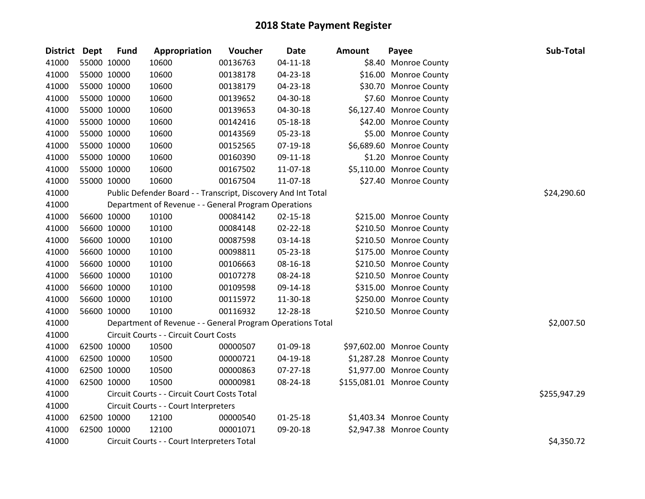| <b>District Dept</b> | <b>Fund</b> | Appropriation                                                 | Voucher  | <b>Date</b>    | <b>Amount</b> | Payee                      | Sub-Total    |
|----------------------|-------------|---------------------------------------------------------------|----------|----------------|---------------|----------------------------|--------------|
| 41000                | 55000 10000 | 10600                                                         | 00136763 | $04 - 11 - 18$ |               | \$8.40 Monroe County       |              |
| 41000                | 55000 10000 | 10600                                                         | 00138178 | 04-23-18       |               | \$16.00 Monroe County      |              |
| 41000                | 55000 10000 | 10600                                                         | 00138179 | 04-23-18       |               | \$30.70 Monroe County      |              |
| 41000                | 55000 10000 | 10600                                                         | 00139652 | 04-30-18       |               | \$7.60 Monroe County       |              |
| 41000                | 55000 10000 | 10600                                                         | 00139653 | 04-30-18       |               | \$6,127.40 Monroe County   |              |
| 41000                | 55000 10000 | 10600                                                         | 00142416 | 05-18-18       |               | \$42.00 Monroe County      |              |
| 41000                | 55000 10000 | 10600                                                         | 00143569 | 05-23-18       |               | \$5.00 Monroe County       |              |
| 41000                | 55000 10000 | 10600                                                         | 00152565 | 07-19-18       |               | \$6,689.60 Monroe County   |              |
| 41000                | 55000 10000 | 10600                                                         | 00160390 | 09-11-18       |               | \$1.20 Monroe County       |              |
| 41000                | 55000 10000 | 10600                                                         | 00167502 | 11-07-18       |               | \$5,110.00 Monroe County   |              |
| 41000                | 55000 10000 | 10600                                                         | 00167504 | 11-07-18       |               | \$27.40 Monroe County      |              |
| 41000                |             | Public Defender Board - - Transcript, Discovery And Int Total |          |                |               |                            | \$24,290.60  |
| 41000                |             | Department of Revenue - - General Program Operations          |          |                |               |                            |              |
| 41000                | 56600 10000 | 10100                                                         | 00084142 | $02 - 15 - 18$ |               | \$215.00 Monroe County     |              |
| 41000                | 56600 10000 | 10100                                                         | 00084148 | 02-22-18       |               | \$210.50 Monroe County     |              |
| 41000                | 56600 10000 | 10100                                                         | 00087598 | 03-14-18       |               | \$210.50 Monroe County     |              |
| 41000                | 56600 10000 | 10100                                                         | 00098811 | 05-23-18       |               | \$175.00 Monroe County     |              |
| 41000                | 56600 10000 | 10100                                                         | 00106663 | 08-16-18       |               | \$210.50 Monroe County     |              |
| 41000                | 56600 10000 | 10100                                                         | 00107278 | 08-24-18       |               | \$210.50 Monroe County     |              |
| 41000                | 56600 10000 | 10100                                                         | 00109598 | 09-14-18       |               | \$315.00 Monroe County     |              |
| 41000                | 56600 10000 | 10100                                                         | 00115972 | 11-30-18       |               | \$250.00 Monroe County     |              |
| 41000                | 56600 10000 | 10100                                                         | 00116932 | 12-28-18       |               | \$210.50 Monroe County     |              |
| 41000                |             | Department of Revenue - - General Program Operations Total    |          |                |               |                            | \$2,007.50   |
| 41000                |             | Circuit Courts - - Circuit Court Costs                        |          |                |               |                            |              |
| 41000                | 62500 10000 | 10500                                                         | 00000507 | 01-09-18       |               | \$97,602.00 Monroe County  |              |
| 41000                | 62500 10000 | 10500                                                         | 00000721 | 04-19-18       |               | \$1,287.28 Monroe County   |              |
| 41000                | 62500 10000 | 10500                                                         | 00000863 | 07-27-18       |               | \$1,977.00 Monroe County   |              |
| 41000                | 62500 10000 | 10500                                                         | 00000981 | 08-24-18       |               | \$155,081.01 Monroe County |              |
| 41000                |             | Circuit Courts - - Circuit Court Costs Total                  |          |                |               |                            | \$255,947.29 |
| 41000                |             | Circuit Courts - - Court Interpreters                         |          |                |               |                            |              |
| 41000                | 62500 10000 | 12100                                                         | 00000540 | $01 - 25 - 18$ |               | \$1,403.34 Monroe County   |              |
| 41000                | 62500 10000 | 12100                                                         | 00001071 | 09-20-18       |               | \$2,947.38 Monroe County   |              |
| 41000                |             | Circuit Courts - - Court Interpreters Total                   |          |                |               |                            | \$4,350.72   |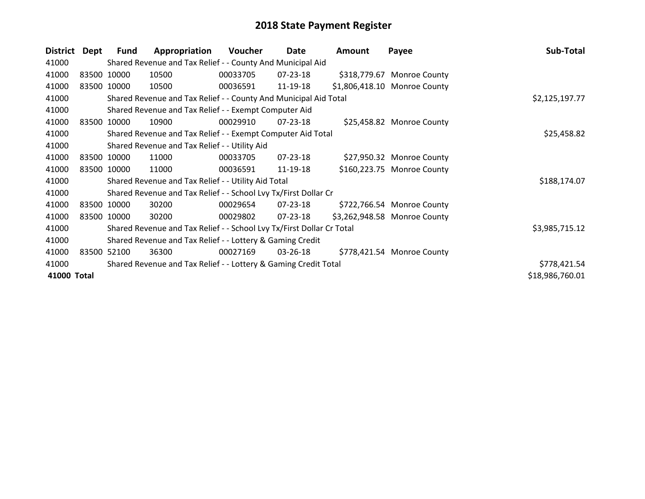| <b>District</b> | Dept | <b>Fund</b> | Appropriation                                                         | <b>Voucher</b> | Date           | Amount | Payee                        | Sub-Total       |
|-----------------|------|-------------|-----------------------------------------------------------------------|----------------|----------------|--------|------------------------------|-----------------|
| 41000           |      |             | Shared Revenue and Tax Relief - - County And Municipal Aid            |                |                |        |                              |                 |
| 41000           |      | 83500 10000 | 10500                                                                 | 00033705       | 07-23-18       |        | \$318,779.67 Monroe County   |                 |
| 41000           |      | 83500 10000 | 10500                                                                 | 00036591       | 11-19-18       |        | \$1,806,418.10 Monroe County |                 |
| 41000           |      |             | Shared Revenue and Tax Relief - - County And Municipal Aid Total      |                |                |        |                              | \$2,125,197.77  |
| 41000           |      |             | Shared Revenue and Tax Relief - - Exempt Computer Aid                 |                |                |        |                              |                 |
| 41000           |      | 83500 10000 | 10900                                                                 | 00029910       | $07 - 23 - 18$ |        | \$25,458.82 Monroe County    |                 |
| 41000           |      |             | Shared Revenue and Tax Relief - - Exempt Computer Aid Total           |                |                |        |                              | \$25,458.82     |
| 41000           |      |             | Shared Revenue and Tax Relief - - Utility Aid                         |                |                |        |                              |                 |
| 41000           |      | 83500 10000 | 11000                                                                 | 00033705       | 07-23-18       |        | \$27,950.32 Monroe County    |                 |
| 41000           |      | 83500 10000 | 11000                                                                 | 00036591       | 11-19-18       |        | \$160,223.75 Monroe County   |                 |
| 41000           |      |             | Shared Revenue and Tax Relief - - Utility Aid Total                   |                |                |        |                              | \$188,174.07    |
| 41000           |      |             | Shared Revenue and Tax Relief - - School Lvy Tx/First Dollar Cr       |                |                |        |                              |                 |
| 41000           |      | 83500 10000 | 30200                                                                 | 00029654       | 07-23-18       |        | \$722,766.54 Monroe County   |                 |
| 41000           |      | 83500 10000 | 30200                                                                 | 00029802       | $07 - 23 - 18$ |        | \$3,262,948.58 Monroe County |                 |
| 41000           |      |             | Shared Revenue and Tax Relief - - School Lvy Tx/First Dollar Cr Total |                |                |        |                              | \$3,985,715.12  |
| 41000           |      |             | Shared Revenue and Tax Relief - - Lottery & Gaming Credit             |                |                |        |                              |                 |
| 41000           |      | 83500 52100 | 36300                                                                 | 00027169       | $03 - 26 - 18$ |        | \$778,421.54 Monroe County   |                 |
| 41000           |      |             | Shared Revenue and Tax Relief - - Lottery & Gaming Credit Total       |                |                |        |                              | \$778,421.54    |
| 41000 Total     |      |             |                                                                       |                |                |        |                              | \$18,986,760.01 |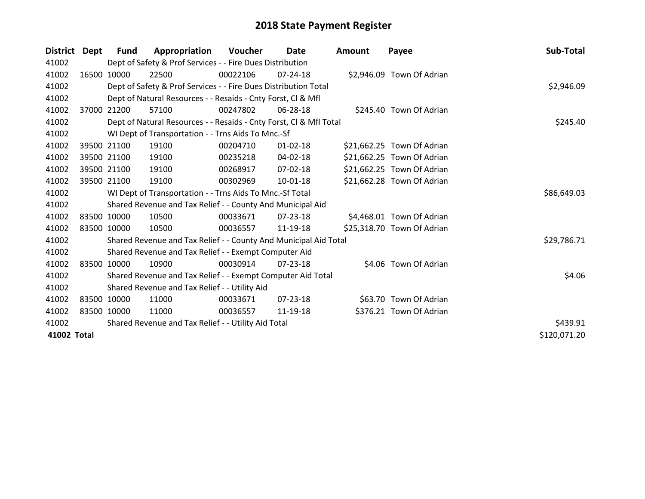| <b>District</b> | Dept  | Fund        | Appropriation                                                      | <b>Voucher</b> | <b>Date</b>    | <b>Amount</b> | Payee                      | Sub-Total    |
|-----------------|-------|-------------|--------------------------------------------------------------------|----------------|----------------|---------------|----------------------------|--------------|
| 41002           |       |             | Dept of Safety & Prof Services - - Fire Dues Distribution          |                |                |               |                            |              |
| 41002           |       | 16500 10000 | 22500                                                              | 00022106       | 07-24-18       |               | \$2,946.09 Town Of Adrian  |              |
| 41002           |       |             | Dept of Safety & Prof Services - - Fire Dues Distribution Total    | \$2,946.09     |                |               |                            |              |
| 41002           |       |             | Dept of Natural Resources - - Resaids - Cnty Forst, Cl & Mfl       |                |                |               |                            |              |
| 41002           | 37000 | 21200       | 57100                                                              | 00247802       | 06-28-18       |               | \$245.40 Town Of Adrian    |              |
| 41002           |       |             | Dept of Natural Resources - - Resaids - Cnty Forst, Cl & Mfl Total |                |                |               |                            | \$245.40     |
| 41002           |       |             | WI Dept of Transportation - - Trns Aids To Mnc.-Sf                 |                |                |               |                            |              |
| 41002           |       | 39500 21100 | 19100                                                              | 00204710       | $01 - 02 - 18$ |               | \$21,662.25 Town Of Adrian |              |
| 41002           |       | 39500 21100 | 19100                                                              | 00235218       | 04-02-18       |               | \$21,662.25 Town Of Adrian |              |
| 41002           |       | 39500 21100 | 19100                                                              | 00268917       | $07 - 02 - 18$ |               | \$21,662.25 Town Of Adrian |              |
| 41002           |       | 39500 21100 | 19100                                                              | 00302969       | 10-01-18       |               | \$21,662.28 Town Of Adrian |              |
| 41002           |       |             | WI Dept of Transportation - - Trns Aids To Mnc.-Sf Total           |                |                |               |                            | \$86,649.03  |
| 41002           |       |             | Shared Revenue and Tax Relief - - County And Municipal Aid         |                |                |               |                            |              |
| 41002           |       | 83500 10000 | 10500                                                              | 00033671       | 07-23-18       |               | \$4,468.01 Town Of Adrian  |              |
| 41002           |       | 83500 10000 | 10500                                                              | 00036557       | 11-19-18       |               | \$25,318.70 Town Of Adrian |              |
| 41002           |       |             | Shared Revenue and Tax Relief - - County And Municipal Aid Total   |                |                |               |                            | \$29,786.71  |
| 41002           |       |             | Shared Revenue and Tax Relief - - Exempt Computer Aid              |                |                |               |                            |              |
| 41002           |       | 83500 10000 | 10900                                                              | 00030914       | 07-23-18       |               | \$4.06 Town Of Adrian      |              |
| 41002           |       |             | Shared Revenue and Tax Relief - - Exempt Computer Aid Total        |                |                |               |                            | \$4.06       |
| 41002           |       |             | Shared Revenue and Tax Relief - - Utility Aid                      |                |                |               |                            |              |
| 41002           |       | 83500 10000 | 11000                                                              | 00033671       | $07 - 23 - 18$ |               | \$63.70 Town Of Adrian     |              |
| 41002           |       | 83500 10000 | 11000                                                              | 00036557       | 11-19-18       |               | \$376.21 Town Of Adrian    |              |
| 41002           |       |             | Shared Revenue and Tax Relief - - Utility Aid Total                |                |                |               |                            | \$439.91     |
| 41002 Total     |       |             |                                                                    |                |                |               |                            | \$120,071.20 |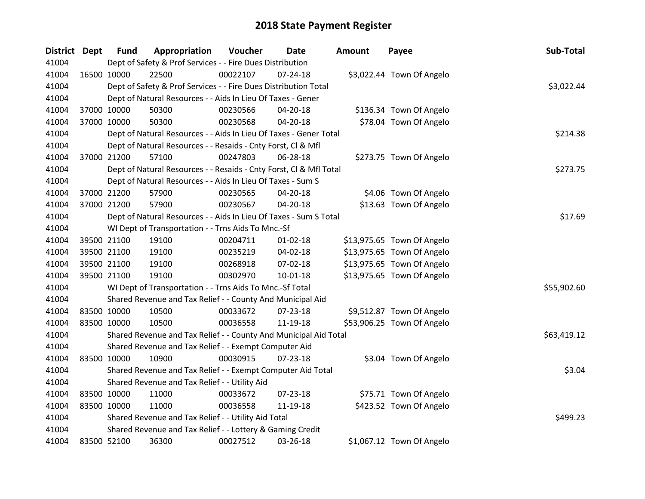| District Dept | <b>Fund</b> | Appropriation                                                      | Voucher  | <b>Date</b>    | <b>Amount</b> | Payee                      | Sub-Total   |
|---------------|-------------|--------------------------------------------------------------------|----------|----------------|---------------|----------------------------|-------------|
| 41004         |             | Dept of Safety & Prof Services - - Fire Dues Distribution          |          |                |               |                            |             |
| 41004         | 16500 10000 | 22500                                                              | 00022107 | 07-24-18       |               | \$3,022.44 Town Of Angelo  |             |
| 41004         |             | Dept of Safety & Prof Services - - Fire Dues Distribution Total    |          |                |               |                            | \$3,022.44  |
| 41004         |             | Dept of Natural Resources - - Aids In Lieu Of Taxes - Gener        |          |                |               |                            |             |
| 41004         | 37000 10000 | 50300                                                              | 00230566 | 04-20-18       |               | \$136.34 Town Of Angelo    |             |
| 41004         | 37000 10000 | 50300                                                              | 00230568 | 04-20-18       |               | \$78.04 Town Of Angelo     |             |
| 41004         |             | Dept of Natural Resources - - Aids In Lieu Of Taxes - Gener Total  |          |                |               |                            | \$214.38    |
| 41004         |             | Dept of Natural Resources - - Resaids - Cnty Forst, Cl & Mfl       |          |                |               |                            |             |
| 41004         | 37000 21200 | 57100                                                              | 00247803 | 06-28-18       |               | \$273.75 Town Of Angelo    |             |
| 41004         |             | Dept of Natural Resources - - Resaids - Cnty Forst, Cl & Mfl Total |          |                |               |                            | \$273.75    |
| 41004         |             | Dept of Natural Resources - - Aids In Lieu Of Taxes - Sum S        |          |                |               |                            |             |
| 41004         | 37000 21200 | 57900                                                              | 00230565 | 04-20-18       |               | \$4.06 Town Of Angelo      |             |
| 41004         | 37000 21200 | 57900                                                              | 00230567 | $04 - 20 - 18$ |               | \$13.63 Town Of Angelo     |             |
| 41004         |             | Dept of Natural Resources - - Aids In Lieu Of Taxes - Sum S Total  |          |                |               |                            | \$17.69     |
| 41004         |             | WI Dept of Transportation - - Trns Aids To Mnc.-Sf                 |          |                |               |                            |             |
| 41004         | 39500 21100 | 19100                                                              | 00204711 | $01 - 02 - 18$ |               | \$13,975.65 Town Of Angelo |             |
| 41004         | 39500 21100 | 19100                                                              | 00235219 | 04-02-18       |               | \$13,975.65 Town Of Angelo |             |
| 41004         | 39500 21100 | 19100                                                              | 00268918 | 07-02-18       |               | \$13,975.65 Town Of Angelo |             |
| 41004         | 39500 21100 | 19100                                                              | 00302970 | $10 - 01 - 18$ |               | \$13,975.65 Town Of Angelo |             |
| 41004         |             | WI Dept of Transportation - - Trns Aids To Mnc.-Sf Total           |          |                |               |                            | \$55,902.60 |
| 41004         |             | Shared Revenue and Tax Relief - - County And Municipal Aid         |          |                |               |                            |             |
| 41004         | 83500 10000 | 10500                                                              | 00033672 | 07-23-18       |               | \$9,512.87 Town Of Angelo  |             |
| 41004         | 83500 10000 | 10500                                                              | 00036558 | 11-19-18       |               | \$53,906.25 Town Of Angelo |             |
| 41004         |             | Shared Revenue and Tax Relief - - County And Municipal Aid Total   |          |                |               |                            | \$63,419.12 |
| 41004         |             | Shared Revenue and Tax Relief - - Exempt Computer Aid              |          |                |               |                            |             |
| 41004         | 83500 10000 | 10900                                                              | 00030915 | $07 - 23 - 18$ |               | \$3.04 Town Of Angelo      |             |
| 41004         |             | Shared Revenue and Tax Relief - - Exempt Computer Aid Total        |          |                |               |                            | \$3.04      |
| 41004         |             | Shared Revenue and Tax Relief - - Utility Aid                      |          |                |               |                            |             |
| 41004         | 83500 10000 | 11000                                                              | 00033672 | 07-23-18       |               | \$75.71 Town Of Angelo     |             |
| 41004         | 83500 10000 | 11000                                                              | 00036558 | 11-19-18       |               | \$423.52 Town Of Angelo    |             |
| 41004         |             | Shared Revenue and Tax Relief - - Utility Aid Total                |          |                |               |                            | \$499.23    |
| 41004         |             | Shared Revenue and Tax Relief - - Lottery & Gaming Credit          |          |                |               |                            |             |
| 41004         | 83500 52100 | 36300                                                              | 00027512 | 03-26-18       |               | \$1,067.12 Town Of Angelo  |             |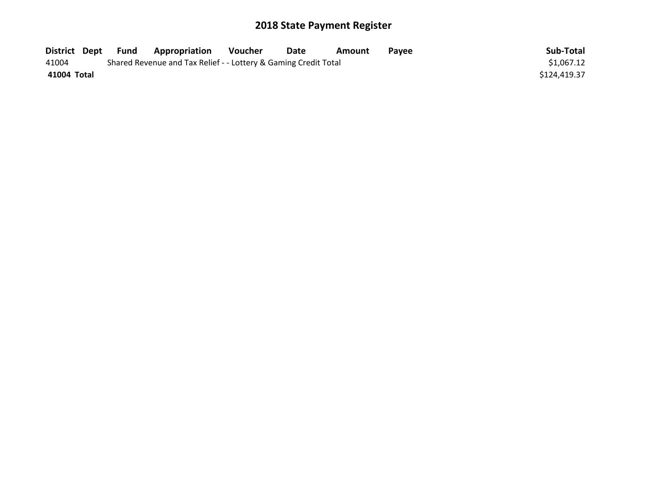| District Dept | Fund | <b>Appropriation</b>                                            | Voucher | Date | Amount | Pavee | Sub-Total    |
|---------------|------|-----------------------------------------------------------------|---------|------|--------|-------|--------------|
| 41004         |      | Shared Revenue and Tax Relief - - Lottery & Gaming Credit Total |         |      |        |       | \$1,067.12   |
| 41004 Total   |      |                                                                 |         |      |        |       | \$124,419.37 |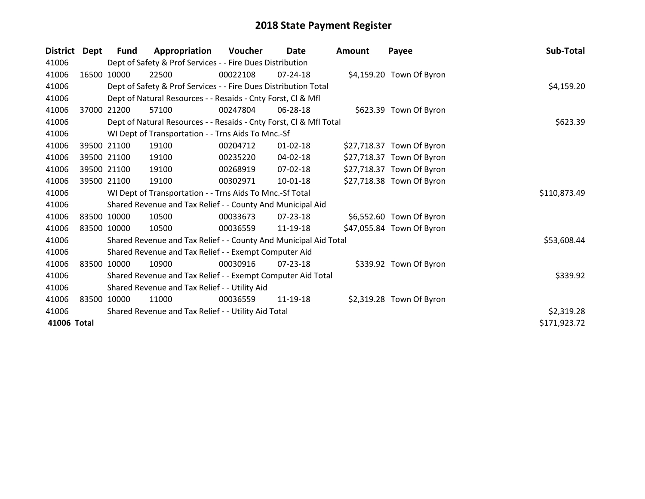| <b>District</b> | Dept  | Fund        | Appropriation                                                      | <b>Voucher</b> | Date           | <b>Amount</b> | Payee                     | Sub-Total    |
|-----------------|-------|-------------|--------------------------------------------------------------------|----------------|----------------|---------------|---------------------------|--------------|
| 41006           |       |             | Dept of Safety & Prof Services - - Fire Dues Distribution          |                |                |               |                           |              |
| 41006           |       | 16500 10000 | 22500                                                              | 00022108       | 07-24-18       |               | \$4,159.20 Town Of Byron  |              |
| 41006           |       |             | Dept of Safety & Prof Services - - Fire Dues Distribution Total    |                | \$4,159.20     |               |                           |              |
| 41006           |       |             | Dept of Natural Resources - - Resaids - Cnty Forst, CI & Mfl       |                |                |               |                           |              |
| 41006           | 37000 | 21200       | 57100                                                              | 00247804       | 06-28-18       |               | \$623.39 Town Of Byron    |              |
| 41006           |       |             | Dept of Natural Resources - - Resaids - Cnty Forst, Cl & Mfl Total |                |                |               |                           | \$623.39     |
| 41006           |       |             | WI Dept of Transportation - - Trns Aids To Mnc.-Sf                 |                |                |               |                           |              |
| 41006           |       | 39500 21100 | 19100                                                              | 00204712       | $01 - 02 - 18$ |               | \$27,718.37 Town Of Byron |              |
| 41006           |       | 39500 21100 | 19100                                                              | 00235220       | $04 - 02 - 18$ |               | \$27,718.37 Town Of Byron |              |
| 41006           |       | 39500 21100 | 19100                                                              | 00268919       | $07-02-18$     |               | \$27,718.37 Town Of Byron |              |
| 41006           |       | 39500 21100 | 19100                                                              | 00302971       | $10 - 01 - 18$ |               | \$27,718.38 Town Of Byron |              |
| 41006           |       |             | WI Dept of Transportation - - Trns Aids To Mnc.-Sf Total           |                |                |               |                           | \$110,873.49 |
| 41006           |       |             | Shared Revenue and Tax Relief - - County And Municipal Aid         |                |                |               |                           |              |
| 41006           |       | 83500 10000 | 10500                                                              | 00033673       | 07-23-18       |               | \$6,552.60 Town Of Byron  |              |
| 41006           |       | 83500 10000 | 10500                                                              | 00036559       | 11-19-18       |               | \$47,055.84 Town Of Byron |              |
| 41006           |       |             | Shared Revenue and Tax Relief - - County And Municipal Aid Total   |                |                |               |                           | \$53,608.44  |
| 41006           |       |             | Shared Revenue and Tax Relief - - Exempt Computer Aid              |                |                |               |                           |              |
| 41006           |       | 83500 10000 | 10900                                                              | 00030916       | 07-23-18       |               | \$339.92 Town Of Byron    |              |
| 41006           |       |             | Shared Revenue and Tax Relief - - Exempt Computer Aid Total        |                |                |               |                           | \$339.92     |
| 41006           |       |             | Shared Revenue and Tax Relief - - Utility Aid                      |                |                |               |                           |              |
| 41006           |       | 83500 10000 | 11000                                                              | 00036559       | 11-19-18       |               | \$2,319.28 Town Of Byron  |              |
| 41006           |       |             | Shared Revenue and Tax Relief - - Utility Aid Total                |                |                |               |                           | \$2,319.28   |
| 41006 Total     |       |             |                                                                    |                |                |               |                           | \$171,923.72 |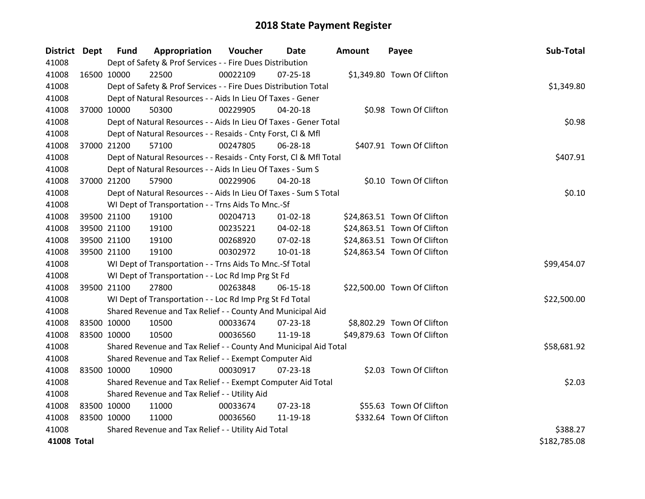| District Dept      |             | <b>Fund</b> | Appropriation                                                      | Voucher  | Date           | <b>Amount</b> | Payee                       | Sub-Total    |
|--------------------|-------------|-------------|--------------------------------------------------------------------|----------|----------------|---------------|-----------------------------|--------------|
| 41008              |             |             | Dept of Safety & Prof Services - - Fire Dues Distribution          |          |                |               |                             |              |
| 41008              |             | 16500 10000 | 22500                                                              | 00022109 | $07 - 25 - 18$ |               | \$1,349.80 Town Of Clifton  |              |
| 41008              |             |             | Dept of Safety & Prof Services - - Fire Dues Distribution Total    |          |                |               |                             | \$1,349.80   |
| 41008              |             |             | Dept of Natural Resources - - Aids In Lieu Of Taxes - Gener        |          |                |               |                             |              |
| 41008              |             | 37000 10000 | 50300                                                              | 00229905 | 04-20-18       |               | \$0.98 Town Of Clifton      |              |
| 41008              |             |             | Dept of Natural Resources - - Aids In Lieu Of Taxes - Gener Total  |          |                |               |                             | \$0.98       |
| 41008              |             |             | Dept of Natural Resources - - Resaids - Cnty Forst, Cl & Mfl       |          |                |               |                             |              |
| 41008              |             | 37000 21200 | 57100                                                              | 00247805 | 06-28-18       |               | \$407.91 Town Of Clifton    |              |
| 41008              |             |             | Dept of Natural Resources - - Resaids - Cnty Forst, CI & Mfl Total |          |                |               |                             | \$407.91     |
| 41008              |             |             | Dept of Natural Resources - - Aids In Lieu Of Taxes - Sum S        |          |                |               |                             |              |
| 41008              |             | 37000 21200 | 57900                                                              | 00229906 | 04-20-18       |               | \$0.10 Town Of Clifton      |              |
| 41008              |             |             | Dept of Natural Resources - - Aids In Lieu Of Taxes - Sum S Total  |          |                |               |                             | \$0.10       |
| 41008              |             |             | WI Dept of Transportation - - Trns Aids To Mnc.-Sf                 |          |                |               |                             |              |
| 41008              |             | 39500 21100 | 19100                                                              | 00204713 | $01 - 02 - 18$ |               | \$24,863.51 Town Of Clifton |              |
| 41008              |             | 39500 21100 | 19100                                                              | 00235221 | 04-02-18       |               | \$24,863.51 Town Of Clifton |              |
| 41008              |             | 39500 21100 | 19100                                                              | 00268920 | 07-02-18       |               | \$24,863.51 Town Of Clifton |              |
| 41008              |             | 39500 21100 | 19100                                                              | 00302972 | $10 - 01 - 18$ |               | \$24,863.54 Town Of Clifton |              |
| 41008              |             |             | WI Dept of Transportation - - Trns Aids To Mnc.-Sf Total           |          |                |               |                             | \$99,454.07  |
| 41008              |             |             | WI Dept of Transportation - - Loc Rd Imp Prg St Fd                 |          |                |               |                             |              |
| 41008              |             | 39500 21100 | 27800                                                              | 00263848 | 06-15-18       |               | \$22,500.00 Town Of Clifton |              |
| 41008              |             |             | WI Dept of Transportation - - Loc Rd Imp Prg St Fd Total           |          |                |               |                             | \$22,500.00  |
| 41008              |             |             | Shared Revenue and Tax Relief - - County And Municipal Aid         |          |                |               |                             |              |
| 41008              |             | 83500 10000 | 10500                                                              | 00033674 | $07 - 23 - 18$ |               | \$8,802.29 Town Of Clifton  |              |
| 41008              |             | 83500 10000 | 10500                                                              | 00036560 | 11-19-18       |               | \$49,879.63 Town Of Clifton |              |
| 41008              |             |             | Shared Revenue and Tax Relief - - County And Municipal Aid Total   |          |                |               |                             | \$58,681.92  |
| 41008              |             |             | Shared Revenue and Tax Relief - - Exempt Computer Aid              |          |                |               |                             |              |
| 41008              |             | 83500 10000 | 10900                                                              | 00030917 | 07-23-18       |               | \$2.03 Town Of Clifton      |              |
| 41008              |             |             | Shared Revenue and Tax Relief - - Exempt Computer Aid Total        |          |                |               |                             | \$2.03       |
| 41008              |             |             | Shared Revenue and Tax Relief - - Utility Aid                      |          |                |               |                             |              |
| 41008              | 83500 10000 |             | 11000                                                              | 00033674 | $07 - 23 - 18$ |               | \$55.63 Town Of Clifton     |              |
| 41008              | 83500 10000 |             | 11000                                                              | 00036560 | 11-19-18       |               | \$332.64 Town Of Clifton    |              |
| 41008              |             |             | Shared Revenue and Tax Relief - - Utility Aid Total                |          |                |               |                             | \$388.27     |
| <b>41008 Total</b> |             |             |                                                                    |          |                |               |                             | \$182,785.08 |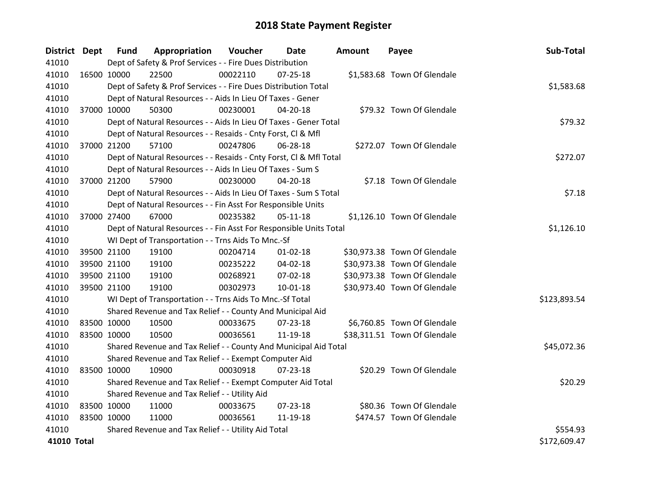| District Dept |             | <b>Fund</b> | Appropriation                                                      | Voucher    | Date           | <b>Amount</b> | Payee                        | Sub-Total    |
|---------------|-------------|-------------|--------------------------------------------------------------------|------------|----------------|---------------|------------------------------|--------------|
| 41010         |             |             | Dept of Safety & Prof Services - - Fire Dues Distribution          |            |                |               |                              |              |
| 41010         | 16500 10000 |             | 22500                                                              | 00022110   | $07 - 25 - 18$ |               | \$1,583.68 Town Of Glendale  |              |
| 41010         |             |             | Dept of Safety & Prof Services - - Fire Dues Distribution Total    |            |                |               |                              | \$1,583.68   |
| 41010         |             |             | Dept of Natural Resources - - Aids In Lieu Of Taxes - Gener        |            |                |               |                              |              |
| 41010         |             | 37000 10000 | 50300                                                              | 00230001   | 04-20-18       |               | \$79.32 Town Of Glendale     |              |
| 41010         |             |             | Dept of Natural Resources - - Aids In Lieu Of Taxes - Gener Total  |            |                |               |                              | \$79.32      |
| 41010         |             |             | Dept of Natural Resources - - Resaids - Cnty Forst, Cl & Mfl       |            |                |               |                              |              |
| 41010         | 37000 21200 |             | 57100                                                              | 00247806   | 06-28-18       |               | \$272.07 Town Of Glendale    |              |
| 41010         |             |             | Dept of Natural Resources - - Resaids - Cnty Forst, CI & Mfl Total |            |                |               |                              | \$272.07     |
| 41010         |             |             | Dept of Natural Resources - - Aids In Lieu Of Taxes - Sum S        |            |                |               |                              |              |
| 41010         | 37000 21200 |             | 57900                                                              | 00230000   | 04-20-18       |               | \$7.18 Town Of Glendale      |              |
| 41010         |             |             | Dept of Natural Resources - - Aids In Lieu Of Taxes - Sum S Total  |            |                |               |                              | \$7.18       |
| 41010         |             |             | Dept of Natural Resources - - Fin Asst For Responsible Units       |            |                |               |                              |              |
| 41010         |             | 37000 27400 | 67000                                                              | 00235382   | $05 - 11 - 18$ |               | \$1,126.10 Town Of Glendale  |              |
| 41010         |             |             | Dept of Natural Resources - - Fin Asst For Responsible Units Total | \$1,126.10 |                |               |                              |              |
| 41010         |             |             | WI Dept of Transportation - - Trns Aids To Mnc.-Sf                 |            |                |               |                              |              |
| 41010         |             | 39500 21100 | 19100                                                              | 00204714   | $01 - 02 - 18$ |               | \$30,973.38 Town Of Glendale |              |
| 41010         | 39500 21100 |             | 19100                                                              | 00235222   | 04-02-18       |               | \$30,973.38 Town Of Glendale |              |
| 41010         | 39500 21100 |             | 19100                                                              | 00268921   | 07-02-18       |               | \$30,973.38 Town Of Glendale |              |
| 41010         |             | 39500 21100 | 19100                                                              | 00302973   | 10-01-18       |               | \$30,973.40 Town Of Glendale |              |
| 41010         |             |             | WI Dept of Transportation - - Trns Aids To Mnc.-Sf Total           |            |                |               |                              | \$123,893.54 |
| 41010         |             |             | Shared Revenue and Tax Relief - - County And Municipal Aid         |            |                |               |                              |              |
| 41010         | 83500 10000 |             | 10500                                                              | 00033675   | $07 - 23 - 18$ |               | \$6,760.85 Town Of Glendale  |              |
| 41010         | 83500 10000 |             | 10500                                                              | 00036561   | 11-19-18       |               | \$38,311.51 Town Of Glendale |              |
| 41010         |             |             | Shared Revenue and Tax Relief - - County And Municipal Aid Total   |            |                |               |                              | \$45,072.36  |
| 41010         |             |             | Shared Revenue and Tax Relief - - Exempt Computer Aid              |            |                |               |                              |              |
| 41010         | 83500 10000 |             | 10900                                                              | 00030918   | $07 - 23 - 18$ |               | \$20.29 Town Of Glendale     |              |
| 41010         |             |             | Shared Revenue and Tax Relief - - Exempt Computer Aid Total        |            |                |               |                              | \$20.29      |
| 41010         |             |             | Shared Revenue and Tax Relief - - Utility Aid                      |            |                |               |                              |              |
| 41010         | 83500 10000 |             | 11000                                                              | 00033675   | $07 - 23 - 18$ |               | \$80.36 Town Of Glendale     |              |
| 41010         | 83500 10000 |             | 11000                                                              | 00036561   | 11-19-18       |               | \$474.57 Town Of Glendale    |              |
| 41010         |             |             | Shared Revenue and Tax Relief - - Utility Aid Total                |            |                |               |                              | \$554.93     |
| 41010 Total   |             |             |                                                                    |            |                |               |                              | \$172,609.47 |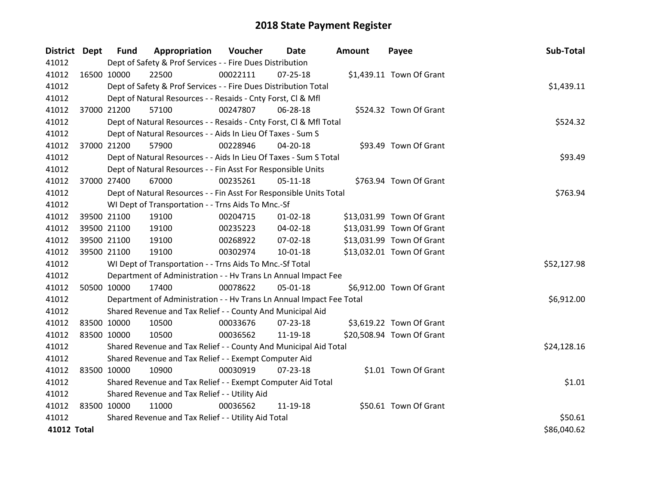| District Dept |             | <b>Fund</b> | Appropriation                                                        | Voucher  | <b>Date</b>    | Amount | Payee                     | Sub-Total   |
|---------------|-------------|-------------|----------------------------------------------------------------------|----------|----------------|--------|---------------------------|-------------|
| 41012         |             |             | Dept of Safety & Prof Services - - Fire Dues Distribution            |          |                |        |                           |             |
| 41012         |             | 16500 10000 | 22500                                                                | 00022111 | 07-25-18       |        | \$1,439.11 Town Of Grant  |             |
| 41012         |             |             | Dept of Safety & Prof Services - - Fire Dues Distribution Total      |          |                |        |                           | \$1,439.11  |
| 41012         |             |             | Dept of Natural Resources - - Resaids - Cnty Forst, CI & Mfl         |          |                |        |                           |             |
| 41012         |             | 37000 21200 | 57100                                                                | 00247807 | 06-28-18       |        | \$524.32 Town Of Grant    |             |
| 41012         |             |             | Dept of Natural Resources - - Resaids - Cnty Forst, Cl & Mfl Total   |          |                |        |                           | \$524.32    |
| 41012         |             |             | Dept of Natural Resources - - Aids In Lieu Of Taxes - Sum S          |          |                |        |                           |             |
| 41012         |             | 37000 21200 | 57900                                                                | 00228946 | 04-20-18       |        | \$93.49 Town Of Grant     |             |
| 41012         |             |             | Dept of Natural Resources - - Aids In Lieu Of Taxes - Sum S Total    |          |                |        |                           | \$93.49     |
| 41012         |             |             | Dept of Natural Resources - - Fin Asst For Responsible Units         |          |                |        |                           |             |
| 41012         |             | 37000 27400 | 67000                                                                | 00235261 | $05-11-18$     |        | \$763.94 Town Of Grant    |             |
| 41012         |             |             | Dept of Natural Resources - - Fin Asst For Responsible Units Total   |          |                |        |                           | \$763.94    |
| 41012         |             |             | WI Dept of Transportation - - Trns Aids To Mnc.-Sf                   |          |                |        |                           |             |
| 41012         |             | 39500 21100 | 19100                                                                | 00204715 | $01 - 02 - 18$ |        | \$13,031.99 Town Of Grant |             |
| 41012         |             | 39500 21100 | 19100                                                                | 00235223 | 04-02-18       |        | \$13,031.99 Town Of Grant |             |
| 41012         |             | 39500 21100 | 19100                                                                | 00268922 | 07-02-18       |        | \$13,031.99 Town Of Grant |             |
| 41012         |             | 39500 21100 | 19100                                                                | 00302974 | 10-01-18       |        | \$13,032.01 Town Of Grant |             |
| 41012         |             |             | WI Dept of Transportation - - Trns Aids To Mnc.-Sf Total             |          |                |        |                           | \$52,127.98 |
| 41012         |             |             | Department of Administration - - Hv Trans Ln Annual Impact Fee       |          |                |        |                           |             |
| 41012         |             | 50500 10000 | 17400                                                                | 00078622 | 05-01-18       |        | \$6,912.00 Town Of Grant  |             |
| 41012         |             |             | Department of Administration - - Hv Trans Ln Annual Impact Fee Total |          |                |        |                           | \$6,912.00  |
| 41012         |             |             | Shared Revenue and Tax Relief - - County And Municipal Aid           |          |                |        |                           |             |
| 41012         | 83500 10000 |             | 10500                                                                | 00033676 | 07-23-18       |        | \$3,619.22 Town Of Grant  |             |
| 41012         | 83500 10000 |             | 10500                                                                | 00036562 | 11-19-18       |        | \$20,508.94 Town Of Grant |             |
| 41012         |             |             | Shared Revenue and Tax Relief - - County And Municipal Aid Total     |          |                |        |                           | \$24,128.16 |
| 41012         |             |             | Shared Revenue and Tax Relief - - Exempt Computer Aid                |          |                |        |                           |             |
| 41012         | 83500 10000 |             | 10900                                                                | 00030919 | $07 - 23 - 18$ |        | \$1.01 Town Of Grant      |             |
| 41012         |             |             | Shared Revenue and Tax Relief - - Exempt Computer Aid Total          |          |                |        |                           | \$1.01      |
| 41012         |             |             | Shared Revenue and Tax Relief - - Utility Aid                        |          |                |        |                           |             |
| 41012         | 83500 10000 |             | 11000                                                                | 00036562 | 11-19-18       |        | \$50.61 Town Of Grant     |             |
| 41012         |             |             | Shared Revenue and Tax Relief - - Utility Aid Total                  |          |                |        |                           | \$50.61     |
| 41012 Total   |             |             |                                                                      |          |                |        |                           | \$86,040.62 |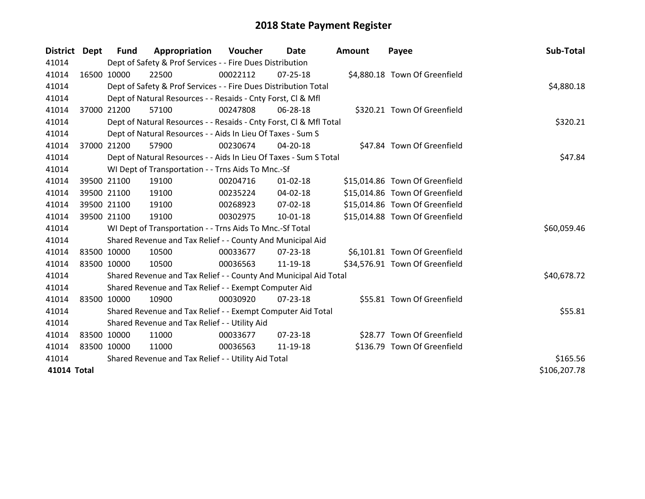| District Dept | Fund                                                | Appropriation                                                      | <b>Voucher</b> | Date           | <b>Amount</b> | Payee                          | Sub-Total    |  |
|---------------|-----------------------------------------------------|--------------------------------------------------------------------|----------------|----------------|---------------|--------------------------------|--------------|--|
| 41014         |                                                     | Dept of Safety & Prof Services - - Fire Dues Distribution          |                |                |               |                                |              |  |
| 41014         | 16500 10000                                         | 22500                                                              | 00022112       | $07 - 25 - 18$ |               | \$4,880.18 Town Of Greenfield  |              |  |
| 41014         |                                                     | Dept of Safety & Prof Services - - Fire Dues Distribution Total    |                |                |               |                                | \$4,880.18   |  |
| 41014         |                                                     | Dept of Natural Resources - - Resaids - Cnty Forst, CI & Mfl       |                |                |               |                                |              |  |
| 41014         | 37000 21200                                         | 57100                                                              | 00247808       | 06-28-18       |               | \$320.21 Town Of Greenfield    |              |  |
| 41014         |                                                     | Dept of Natural Resources - - Resaids - Cnty Forst, Cl & Mfl Total |                |                |               |                                | \$320.21     |  |
| 41014         |                                                     | Dept of Natural Resources - - Aids In Lieu Of Taxes - Sum S        |                |                |               |                                |              |  |
| 41014         | 37000 21200                                         | 57900                                                              | 00230674       | 04-20-18       |               | \$47.84 Town Of Greenfield     |              |  |
| 41014         |                                                     | Dept of Natural Resources - - Aids In Lieu Of Taxes - Sum S Total  |                |                |               |                                | \$47.84      |  |
| 41014         |                                                     | WI Dept of Transportation - - Trns Aids To Mnc.-Sf                 |                |                |               |                                |              |  |
| 41014         | 39500 21100                                         | 19100                                                              | 00204716       | $01 - 02 - 18$ |               | \$15,014.86 Town Of Greenfield |              |  |
| 41014         | 39500 21100                                         | 19100                                                              | 00235224       | 04-02-18       |               | \$15,014.86 Town Of Greenfield |              |  |
| 41014         | 39500 21100                                         | 19100                                                              | 00268923       | $07 - 02 - 18$ |               | \$15,014.86 Town Of Greenfield |              |  |
| 41014         | 39500 21100                                         | 19100                                                              | 00302975       | $10 - 01 - 18$ |               | \$15,014.88 Town Of Greenfield |              |  |
| 41014         |                                                     | WI Dept of Transportation - - Trns Aids To Mnc.-Sf Total           |                |                |               |                                | \$60,059.46  |  |
| 41014         |                                                     | Shared Revenue and Tax Relief - - County And Municipal Aid         |                |                |               |                                |              |  |
| 41014         | 83500 10000                                         | 10500                                                              | 00033677       | $07 - 23 - 18$ |               | \$6,101.81 Town Of Greenfield  |              |  |
| 41014         | 83500 10000                                         | 10500                                                              | 00036563       | 11-19-18       |               | \$34,576.91 Town Of Greenfield |              |  |
| 41014         |                                                     | Shared Revenue and Tax Relief - - County And Municipal Aid Total   |                |                |               |                                | \$40,678.72  |  |
| 41014         |                                                     | Shared Revenue and Tax Relief - - Exempt Computer Aid              |                |                |               |                                |              |  |
| 41014         | 83500 10000                                         | 10900                                                              | 00030920       | 07-23-18       |               | \$55.81 Town Of Greenfield     |              |  |
| 41014         |                                                     | Shared Revenue and Tax Relief - - Exempt Computer Aid Total        |                |                |               |                                |              |  |
| 41014         |                                                     | Shared Revenue and Tax Relief - - Utility Aid                      |                |                |               |                                |              |  |
| 41014         | 83500 10000                                         | 11000                                                              | 00033677       | $07 - 23 - 18$ |               | \$28.77 Town Of Greenfield     |              |  |
| 41014         | 83500 10000                                         | 11000                                                              | 00036563       | 11-19-18       |               | \$136.79 Town Of Greenfield    |              |  |
| 41014         | Shared Revenue and Tax Relief - - Utility Aid Total | \$165.56                                                           |                |                |               |                                |              |  |
| 41014 Total   |                                                     |                                                                    |                |                |               |                                | \$106,207.78 |  |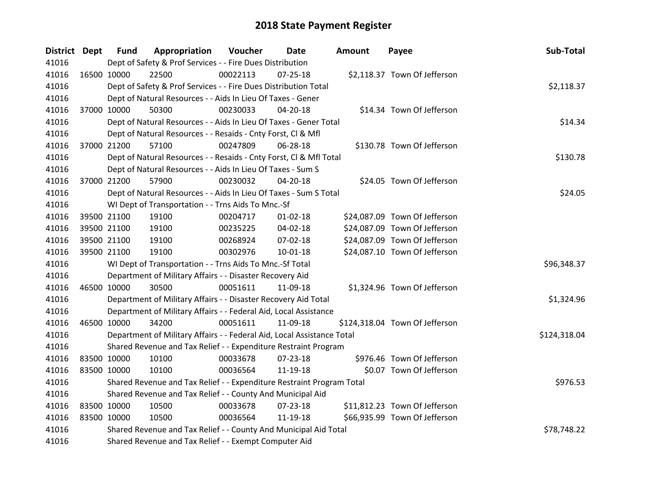| <b>District Dept</b> | <b>Fund</b>                                                      | Appropriation                                                          | Voucher  | Date           | Amount | Payee                          | Sub-Total    |
|----------------------|------------------------------------------------------------------|------------------------------------------------------------------------|----------|----------------|--------|--------------------------------|--------------|
| 41016                |                                                                  | Dept of Safety & Prof Services - - Fire Dues Distribution              |          |                |        |                                |              |
| 41016                | 16500 10000                                                      | 22500                                                                  | 00022113 | $07 - 25 - 18$ |        | \$2,118.37 Town Of Jefferson   |              |
| 41016                |                                                                  | Dept of Safety & Prof Services - - Fire Dues Distribution Total        |          |                |        |                                | \$2,118.37   |
| 41016                |                                                                  | Dept of Natural Resources - - Aids In Lieu Of Taxes - Gener            |          |                |        |                                |              |
| 41016                | 37000 10000                                                      | 50300                                                                  | 00230033 | $04 - 20 - 18$ |        | \$14.34 Town Of Jefferson      |              |
| 41016                |                                                                  | Dept of Natural Resources - - Aids In Lieu Of Taxes - Gener Total      |          |                |        |                                | \$14.34      |
| 41016                |                                                                  | Dept of Natural Resources - - Resaids - Cnty Forst, Cl & Mfl           |          |                |        |                                |              |
| 41016                | 37000 21200                                                      | 57100                                                                  | 00247809 | 06-28-18       |        | \$130.78 Town Of Jefferson     |              |
| 41016                |                                                                  | Dept of Natural Resources - - Resaids - Cnty Forst, Cl & Mfl Total     |          |                |        |                                | \$130.78     |
| 41016                |                                                                  | Dept of Natural Resources - - Aids In Lieu Of Taxes - Sum S            |          |                |        |                                |              |
| 41016                | 37000 21200                                                      | 57900                                                                  | 00230032 | 04-20-18       |        | \$24.05 Town Of Jefferson      |              |
| 41016                |                                                                  | Dept of Natural Resources - - Aids In Lieu Of Taxes - Sum S Total      |          |                |        |                                | \$24.05      |
| 41016                |                                                                  | WI Dept of Transportation - - Trns Aids To Mnc.-Sf                     |          |                |        |                                |              |
| 41016                | 39500 21100                                                      | 19100                                                                  | 00204717 | $01 - 02 - 18$ |        | \$24,087.09 Town Of Jefferson  |              |
| 41016                | 39500 21100                                                      | 19100                                                                  | 00235225 | 04-02-18       |        | \$24,087.09 Town Of Jefferson  |              |
| 41016                | 39500 21100                                                      | 19100                                                                  | 00268924 | 07-02-18       |        | \$24,087.09 Town Of Jefferson  |              |
| 41016                | 39500 21100                                                      | 19100                                                                  | 00302976 | 10-01-18       |        | \$24,087.10 Town Of Jefferson  |              |
| 41016                |                                                                  | WI Dept of Transportation - - Trns Aids To Mnc.-Sf Total               |          |                |        |                                | \$96,348.37  |
| 41016                |                                                                  | Department of Military Affairs - - Disaster Recovery Aid               |          |                |        |                                |              |
| 41016                | 46500 10000                                                      | 30500                                                                  | 00051611 | 11-09-18       |        | \$1,324.96 Town Of Jefferson   |              |
| 41016                |                                                                  | Department of Military Affairs - - Disaster Recovery Aid Total         |          |                |        |                                | \$1,324.96   |
| 41016                |                                                                  | Department of Military Affairs - - Federal Aid, Local Assistance       |          |                |        |                                |              |
| 41016                | 46500 10000                                                      | 34200                                                                  | 00051611 | 11-09-18       |        | \$124,318.04 Town Of Jefferson |              |
| 41016                |                                                                  | Department of Military Affairs - - Federal Aid, Local Assistance Total |          |                |        |                                | \$124,318.04 |
| 41016                |                                                                  | Shared Revenue and Tax Relief - - Expenditure Restraint Program        |          |                |        |                                |              |
| 41016                | 83500 10000                                                      | 10100                                                                  | 00033678 | $07 - 23 - 18$ |        | \$976.46 Town Of Jefferson     |              |
| 41016                | 83500 10000                                                      | 10100                                                                  | 00036564 | 11-19-18       |        | \$0.07 Town Of Jefferson       |              |
| 41016                |                                                                  | Shared Revenue and Tax Relief - - Expenditure Restraint Program Total  |          |                |        |                                | \$976.53     |
| 41016                |                                                                  | Shared Revenue and Tax Relief - - County And Municipal Aid             |          |                |        |                                |              |
| 41016                | 83500 10000                                                      | 10500                                                                  | 00033678 | $07 - 23 - 18$ |        | \$11,812.23 Town Of Jefferson  |              |
| 41016                | 83500 10000                                                      | 10500                                                                  | 00036564 | 11-19-18       |        | \$66,935.99 Town Of Jefferson  |              |
| 41016                | Shared Revenue and Tax Relief - - County And Municipal Aid Total | \$78,748.22                                                            |          |                |        |                                |              |
| 41016                |                                                                  | Shared Revenue and Tax Relief - - Exempt Computer Aid                  |          |                |        |                                |              |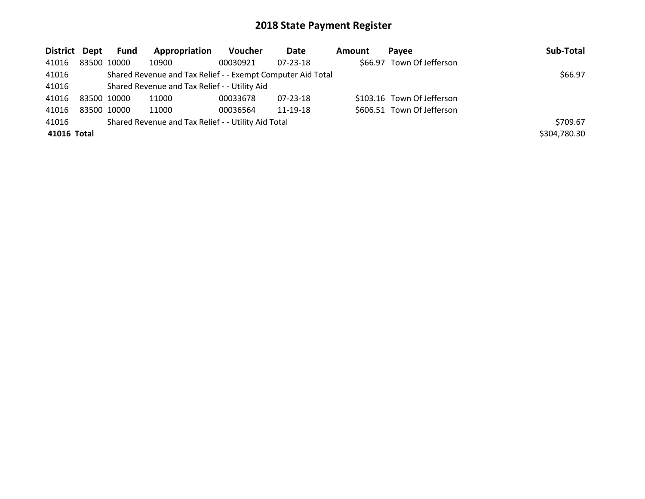| District Dept |             | Fund | Appropriation                                               | <b>Voucher</b> | Date           | Amount | Pavee                      | Sub-Total    |
|---------------|-------------|------|-------------------------------------------------------------|----------------|----------------|--------|----------------------------|--------------|
| 41016         | 83500 10000 |      | 10900                                                       | 00030921       | $07 - 23 - 18$ |        | \$66.97 Town Of Jefferson  |              |
| 41016         |             |      | Shared Revenue and Tax Relief - - Exempt Computer Aid Total |                |                |        |                            | \$66.97      |
| 41016         |             |      | Shared Revenue and Tax Relief - - Utility Aid               |                |                |        |                            |              |
| 41016         | 83500 10000 |      | 11000                                                       | 00033678       | 07-23-18       |        | \$103.16 Town Of Jefferson |              |
| 41016         | 83500 10000 |      | 11000                                                       | 00036564       | 11-19-18       |        | \$606.51 Town Of Jefferson |              |
| 41016         |             |      | Shared Revenue and Tax Relief - - Utility Aid Total         |                |                |        |                            | \$709.67     |
| 41016 Total   |             |      |                                                             |                |                |        |                            | \$304,780.30 |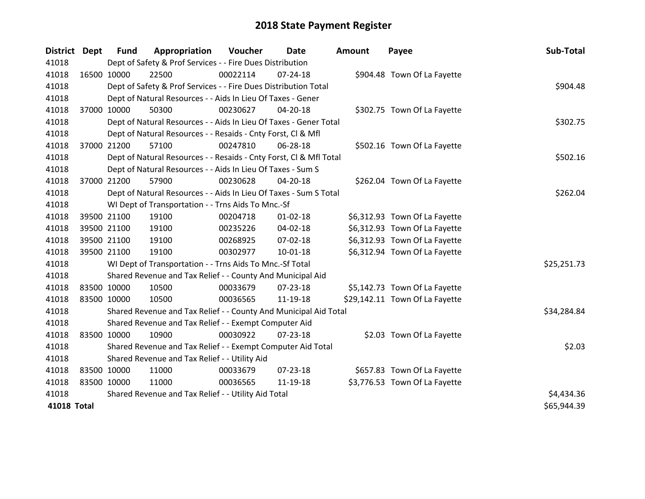| <b>District</b>    | <b>Dept</b> | <b>Fund</b> | Appropriation                                                      | Voucher  | Date           | <b>Amount</b> | Payee                          | Sub-Total   |
|--------------------|-------------|-------------|--------------------------------------------------------------------|----------|----------------|---------------|--------------------------------|-------------|
| 41018              |             |             | Dept of Safety & Prof Services - - Fire Dues Distribution          |          |                |               |                                |             |
| 41018              |             | 16500 10000 | 22500                                                              | 00022114 | $07 - 24 - 18$ |               | \$904.48 Town Of La Fayette    |             |
| 41018              |             |             | Dept of Safety & Prof Services - - Fire Dues Distribution Total    |          |                |               |                                | \$904.48    |
| 41018              |             |             | Dept of Natural Resources - - Aids In Lieu Of Taxes - Gener        |          |                |               |                                |             |
| 41018              |             | 37000 10000 | 50300                                                              | 00230627 | 04-20-18       |               | \$302.75 Town Of La Fayette    |             |
| 41018              |             |             | Dept of Natural Resources - - Aids In Lieu Of Taxes - Gener Total  |          |                |               |                                | \$302.75    |
| 41018              |             |             | Dept of Natural Resources - - Resaids - Cnty Forst, CI & Mfl       |          |                |               |                                |             |
| 41018              |             | 37000 21200 | 57100                                                              | 00247810 | 06-28-18       |               | \$502.16 Town Of La Fayette    |             |
| 41018              |             |             | Dept of Natural Resources - - Resaids - Cnty Forst, Cl & Mfl Total |          |                |               |                                | \$502.16    |
| 41018              |             |             | Dept of Natural Resources - - Aids In Lieu Of Taxes - Sum S        |          |                |               |                                |             |
| 41018              |             | 37000 21200 | 57900                                                              | 00230628 | 04-20-18       |               | \$262.04 Town Of La Fayette    |             |
| 41018              |             |             | Dept of Natural Resources - - Aids In Lieu Of Taxes - Sum S Total  |          |                |               |                                | \$262.04    |
| 41018              |             |             | WI Dept of Transportation - - Trns Aids To Mnc.-Sf                 |          |                |               |                                |             |
| 41018              |             | 39500 21100 | 19100                                                              | 00204718 | $01 - 02 - 18$ |               | \$6,312.93 Town Of La Fayette  |             |
| 41018              |             | 39500 21100 | 19100                                                              | 00235226 | 04-02-18       |               | \$6,312.93 Town Of La Fayette  |             |
| 41018              |             | 39500 21100 | 19100                                                              | 00268925 | 07-02-18       |               | \$6,312.93 Town Of La Fayette  |             |
| 41018              |             | 39500 21100 | 19100                                                              | 00302977 | $10 - 01 - 18$ |               | \$6,312.94 Town Of La Fayette  |             |
| 41018              |             |             | WI Dept of Transportation - - Trns Aids To Mnc.-Sf Total           |          |                |               |                                | \$25,251.73 |
| 41018              |             |             | Shared Revenue and Tax Relief - - County And Municipal Aid         |          |                |               |                                |             |
| 41018              |             | 83500 10000 | 10500                                                              | 00033679 | $07 - 23 - 18$ |               | \$5,142.73 Town Of La Fayette  |             |
| 41018              |             | 83500 10000 | 10500                                                              | 00036565 | 11-19-18       |               | \$29,142.11 Town Of La Fayette |             |
| 41018              |             |             | Shared Revenue and Tax Relief - - County And Municipal Aid Total   |          |                |               |                                | \$34,284.84 |
| 41018              |             |             | Shared Revenue and Tax Relief - - Exempt Computer Aid              |          |                |               |                                |             |
| 41018              |             | 83500 10000 | 10900                                                              | 00030922 | $07 - 23 - 18$ |               | \$2.03 Town Of La Fayette      |             |
| 41018              |             |             | Shared Revenue and Tax Relief - - Exempt Computer Aid Total        |          |                |               |                                | \$2.03      |
| 41018              |             |             | Shared Revenue and Tax Relief - - Utility Aid                      |          |                |               |                                |             |
| 41018              | 83500 10000 |             | 11000                                                              | 00033679 | 07-23-18       |               | \$657.83 Town Of La Fayette    |             |
| 41018              |             | 83500 10000 | 11000                                                              | 00036565 | 11-19-18       |               | \$3,776.53 Town Of La Fayette  |             |
| 41018              |             |             | Shared Revenue and Tax Relief - - Utility Aid Total                |          |                |               |                                | \$4,434.36  |
| <b>41018 Total</b> |             |             |                                                                    |          |                |               |                                | \$65,944.39 |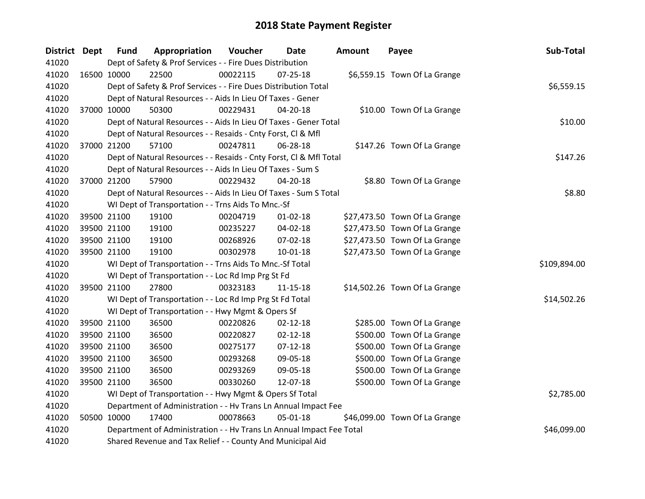| <b>District Dept</b> | <b>Fund</b>                                                     | Appropriation                                                        | Voucher  | Date           | <b>Amount</b> | Payee                         | Sub-Total    |
|----------------------|-----------------------------------------------------------------|----------------------------------------------------------------------|----------|----------------|---------------|-------------------------------|--------------|
| 41020                |                                                                 | Dept of Safety & Prof Services - - Fire Dues Distribution            |          |                |               |                               |              |
| 41020                | 16500 10000                                                     | 22500                                                                | 00022115 | $07 - 25 - 18$ |               | \$6,559.15 Town Of La Grange  |              |
| 41020                | Dept of Safety & Prof Services - - Fire Dues Distribution Total | \$6,559.15                                                           |          |                |               |                               |              |
| 41020                |                                                                 | Dept of Natural Resources - - Aids In Lieu Of Taxes - Gener          |          |                |               |                               |              |
| 41020                | 37000 10000                                                     | 50300                                                                | 00229431 | 04-20-18       |               | \$10.00 Town Of La Grange     |              |
| 41020                |                                                                 | Dept of Natural Resources - - Aids In Lieu Of Taxes - Gener Total    |          |                |               |                               | \$10.00      |
| 41020                |                                                                 | Dept of Natural Resources - - Resaids - Cnty Forst, Cl & Mfl         |          |                |               |                               |              |
| 41020                | 37000 21200                                                     | 57100                                                                | 00247811 | 06-28-18       |               | \$147.26 Town Of La Grange    |              |
| 41020                |                                                                 | Dept of Natural Resources - - Resaids - Cnty Forst, Cl & Mfl Total   |          |                |               |                               | \$147.26     |
| 41020                |                                                                 | Dept of Natural Resources - - Aids In Lieu Of Taxes - Sum S          |          |                |               |                               |              |
| 41020                | 37000 21200                                                     | 57900                                                                | 00229432 | 04-20-18       |               | \$8.80 Town Of La Grange      |              |
| 41020                |                                                                 | Dept of Natural Resources - - Aids In Lieu Of Taxes - Sum S Total    |          |                |               |                               | \$8.80       |
| 41020                |                                                                 | WI Dept of Transportation - - Trns Aids To Mnc.-Sf                   |          |                |               |                               |              |
| 41020                | 39500 21100                                                     | 19100                                                                | 00204719 | $01 - 02 - 18$ |               | \$27,473.50 Town Of La Grange |              |
| 41020                | 39500 21100                                                     | 19100                                                                | 00235227 | 04-02-18       |               | \$27,473.50 Town Of La Grange |              |
| 41020                | 39500 21100                                                     | 19100                                                                | 00268926 | 07-02-18       |               | \$27,473.50 Town Of La Grange |              |
| 41020                | 39500 21100                                                     | 19100                                                                | 00302978 | 10-01-18       |               | \$27,473.50 Town Of La Grange |              |
| 41020                |                                                                 | WI Dept of Transportation - - Trns Aids To Mnc.-Sf Total             |          |                |               |                               | \$109,894.00 |
| 41020                |                                                                 | WI Dept of Transportation - - Loc Rd Imp Prg St Fd                   |          |                |               |                               |              |
| 41020                | 39500 21100                                                     | 27800                                                                | 00323183 | $11 - 15 - 18$ |               | \$14,502.26 Town Of La Grange |              |
| 41020                |                                                                 | WI Dept of Transportation - - Loc Rd Imp Prg St Fd Total             |          |                |               |                               | \$14,502.26  |
| 41020                |                                                                 | WI Dept of Transportation - - Hwy Mgmt & Opers Sf                    |          |                |               |                               |              |
| 41020                | 39500 21100                                                     | 36500                                                                | 00220826 | $02 - 12 - 18$ |               | \$285.00 Town Of La Grange    |              |
| 41020                | 39500 21100                                                     | 36500                                                                | 00220827 | $02 - 12 - 18$ |               | \$500.00 Town Of La Grange    |              |
| 41020                | 39500 21100                                                     | 36500                                                                | 00275177 | $07 - 12 - 18$ |               | \$500.00 Town Of La Grange    |              |
| 41020                | 39500 21100                                                     | 36500                                                                | 00293268 | 09-05-18       |               | \$500.00 Town Of La Grange    |              |
| 41020                | 39500 21100                                                     | 36500                                                                | 00293269 | 09-05-18       |               | \$500.00 Town Of La Grange    |              |
| 41020                | 39500 21100                                                     | 36500                                                                | 00330260 | 12-07-18       |               | \$500.00 Town Of La Grange    |              |
| 41020                |                                                                 | WI Dept of Transportation - - Hwy Mgmt & Opers Sf Total              |          |                |               |                               | \$2,785.00   |
| 41020                |                                                                 | Department of Administration - - Hv Trans Ln Annual Impact Fee       |          |                |               |                               |              |
| 41020                | 50500 10000                                                     | 17400                                                                | 00078663 | 05-01-18       |               | \$46,099.00 Town Of La Grange |              |
| 41020                |                                                                 | Department of Administration - - Hv Trans Ln Annual Impact Fee Total |          |                |               |                               | \$46,099.00  |
| 41020                |                                                                 | Shared Revenue and Tax Relief - - County And Municipal Aid           |          |                |               |                               |              |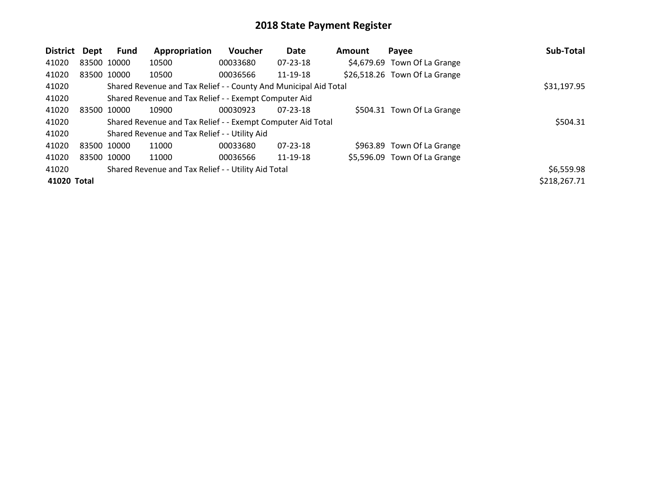| <b>District</b> | Dept        | <b>Fund</b> | Appropriation                                                    | Voucher  | Date           | Amount | Payee                         | Sub-Total    |
|-----------------|-------------|-------------|------------------------------------------------------------------|----------|----------------|--------|-------------------------------|--------------|
| 41020           |             | 83500 10000 | 10500                                                            | 00033680 | 07-23-18       |        | \$4,679.69 Town Of La Grange  |              |
| 41020           |             | 83500 10000 | 10500                                                            | 00036566 | 11-19-18       |        | \$26,518.26 Town Of La Grange |              |
| 41020           |             |             | Shared Revenue and Tax Relief - - County And Municipal Aid Total |          |                |        |                               | \$31,197.95  |
| 41020           |             |             | Shared Revenue and Tax Relief - - Exempt Computer Aid            |          |                |        |                               |              |
| 41020           | 83500       | 10000       | 10900                                                            | 00030923 | $07 - 23 - 18$ |        | \$504.31 Town Of La Grange    |              |
| 41020           |             |             | Shared Revenue and Tax Relief - - Exempt Computer Aid Total      |          |                |        |                               | \$504.31     |
| 41020           |             |             | Shared Revenue and Tax Relief - - Utility Aid                    |          |                |        |                               |              |
| 41020           | 83500 10000 |             | 11000                                                            | 00033680 | $07 - 23 - 18$ |        | \$963.89 Town Of La Grange    |              |
| 41020           |             | 83500 10000 | 11000                                                            | 00036566 | 11-19-18       |        | \$5,596.09 Town Of La Grange  |              |
| 41020           |             |             | Shared Revenue and Tax Relief - - Utility Aid Total              |          |                |        |                               | \$6,559.98   |
| 41020 Total     |             |             |                                                                  |          |                |        |                               | \$218,267.71 |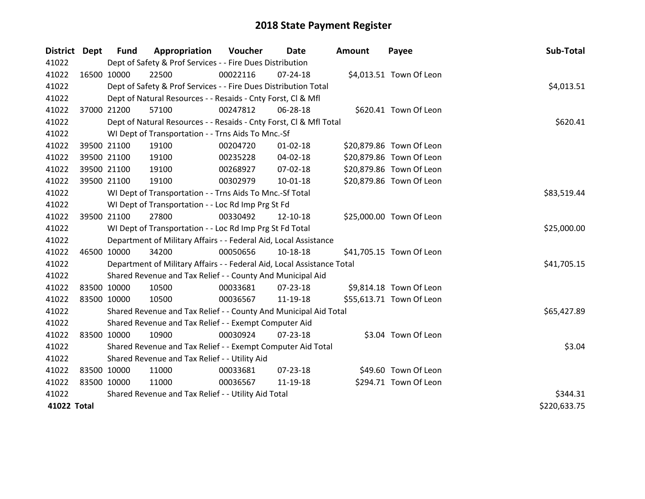| District Dept | <b>Fund</b> | Appropriation                                                          | Voucher  | Date           | <b>Amount</b> | Payee                    | Sub-Total    |
|---------------|-------------|------------------------------------------------------------------------|----------|----------------|---------------|--------------------------|--------------|
| 41022         |             | Dept of Safety & Prof Services - - Fire Dues Distribution              |          |                |               |                          |              |
| 41022         | 16500 10000 | 22500                                                                  | 00022116 | $07 - 24 - 18$ |               | \$4,013.51 Town Of Leon  |              |
| 41022         |             | Dept of Safety & Prof Services - - Fire Dues Distribution Total        |          |                |               |                          | \$4,013.51   |
| 41022         |             | Dept of Natural Resources - - Resaids - Cnty Forst, CI & Mfl           |          |                |               |                          |              |
| 41022         | 37000 21200 | 57100                                                                  | 00247812 | 06-28-18       |               | \$620.41 Town Of Leon    |              |
| 41022         |             | Dept of Natural Resources - - Resaids - Cnty Forst, Cl & Mfl Total     |          | \$620.41       |               |                          |              |
| 41022         |             | WI Dept of Transportation - - Trns Aids To Mnc.-Sf                     |          |                |               |                          |              |
| 41022         | 39500 21100 | 19100                                                                  | 00204720 | $01 - 02 - 18$ |               | \$20,879.86 Town Of Leon |              |
| 41022         | 39500 21100 | 19100                                                                  | 00235228 | 04-02-18       |               | \$20,879.86 Town Of Leon |              |
| 41022         | 39500 21100 | 19100                                                                  | 00268927 | 07-02-18       |               | \$20,879.86 Town Of Leon |              |
| 41022         | 39500 21100 | 19100                                                                  | 00302979 | 10-01-18       |               | \$20,879.86 Town Of Leon |              |
| 41022         |             | WI Dept of Transportation - - Trns Aids To Mnc.-Sf Total               |          |                |               |                          | \$83,519.44  |
| 41022         |             | WI Dept of Transportation - - Loc Rd Imp Prg St Fd                     |          |                |               |                          |              |
| 41022         | 39500 21100 | 27800                                                                  | 00330492 | 12-10-18       |               | \$25,000.00 Town Of Leon |              |
| 41022         |             | WI Dept of Transportation - - Loc Rd Imp Prg St Fd Total               |          |                |               |                          | \$25,000.00  |
| 41022         |             | Department of Military Affairs - - Federal Aid, Local Assistance       |          |                |               |                          |              |
| 41022         | 46500 10000 | 34200                                                                  | 00050656 | 10-18-18       |               | \$41,705.15 Town Of Leon |              |
| 41022         |             | Department of Military Affairs - - Federal Aid, Local Assistance Total |          |                |               |                          | \$41,705.15  |
| 41022         |             | Shared Revenue and Tax Relief - - County And Municipal Aid             |          |                |               |                          |              |
| 41022         | 83500 10000 | 10500                                                                  | 00033681 | 07-23-18       |               | \$9,814.18 Town Of Leon  |              |
| 41022         | 83500 10000 | 10500                                                                  | 00036567 | 11-19-18       |               | \$55,613.71 Town Of Leon |              |
| 41022         |             | Shared Revenue and Tax Relief - - County And Municipal Aid Total       |          |                |               |                          | \$65,427.89  |
| 41022         |             | Shared Revenue and Tax Relief - - Exempt Computer Aid                  |          |                |               |                          |              |
| 41022         | 83500 10000 | 10900                                                                  | 00030924 | $07 - 23 - 18$ |               | \$3.04 Town Of Leon      |              |
| 41022         |             | Shared Revenue and Tax Relief - - Exempt Computer Aid Total            |          |                |               |                          | \$3.04       |
| 41022         |             | Shared Revenue and Tax Relief - - Utility Aid                          |          |                |               |                          |              |
| 41022         | 83500 10000 | 11000                                                                  | 00033681 | 07-23-18       |               | \$49.60 Town Of Leon     |              |
| 41022         | 83500 10000 | 11000                                                                  | 00036567 | 11-19-18       |               | \$294.71 Town Of Leon    |              |
| 41022         |             | Shared Revenue and Tax Relief - - Utility Aid Total                    |          |                |               |                          | \$344.31     |
| 41022 Total   |             |                                                                        |          |                |               |                          | \$220,633.75 |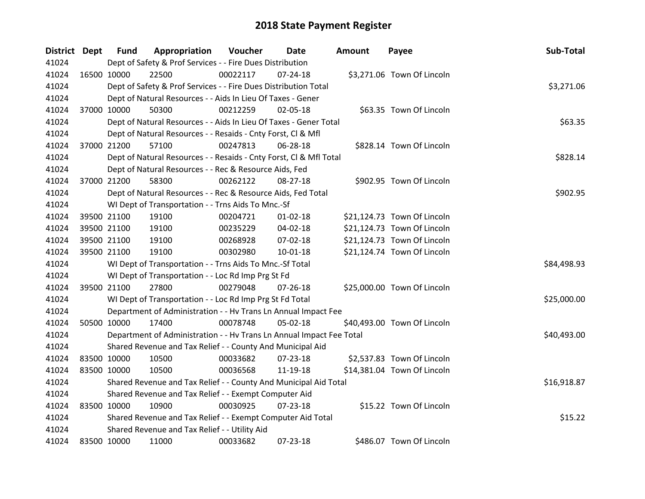| District Dept | <b>Fund</b>                                   | Appropriation                                                        | Voucher    | Date           | <b>Amount</b> | Payee                       | Sub-Total   |
|---------------|-----------------------------------------------|----------------------------------------------------------------------|------------|----------------|---------------|-----------------------------|-------------|
| 41024         |                                               | Dept of Safety & Prof Services - - Fire Dues Distribution            |            |                |               |                             |             |
| 41024         | 16500 10000                                   | 22500                                                                | 00022117   | $07 - 24 - 18$ |               | \$3,271.06 Town Of Lincoln  |             |
| 41024         |                                               | Dept of Safety & Prof Services - - Fire Dues Distribution Total      | \$3,271.06 |                |               |                             |             |
| 41024         |                                               | Dept of Natural Resources - - Aids In Lieu Of Taxes - Gener          |            |                |               |                             |             |
| 41024         | 37000 10000                                   | 50300                                                                | 00212259   | 02-05-18       |               | \$63.35 Town Of Lincoln     |             |
| 41024         |                                               | Dept of Natural Resources - - Aids In Lieu Of Taxes - Gener Total    |            |                |               |                             | \$63.35     |
| 41024         |                                               | Dept of Natural Resources - - Resaids - Cnty Forst, Cl & Mfl         |            |                |               |                             |             |
| 41024         | 37000 21200                                   | 57100                                                                | 00247813   | 06-28-18       |               | \$828.14 Town Of Lincoln    |             |
| 41024         |                                               | Dept of Natural Resources - - Resaids - Cnty Forst, CI & Mfl Total   |            |                |               |                             | \$828.14    |
| 41024         |                                               | Dept of Natural Resources - - Rec & Resource Aids, Fed               |            |                |               |                             |             |
| 41024         | 37000 21200                                   | 58300                                                                | 00262122   | $08 - 27 - 18$ |               | \$902.95 Town Of Lincoln    |             |
| 41024         |                                               | Dept of Natural Resources - - Rec & Resource Aids, Fed Total         |            |                |               |                             | \$902.95    |
| 41024         |                                               | WI Dept of Transportation - - Trns Aids To Mnc.-Sf                   |            |                |               |                             |             |
| 41024         | 39500 21100                                   | 19100                                                                | 00204721   | $01 - 02 - 18$ |               | \$21,124.73 Town Of Lincoln |             |
| 41024         | 39500 21100                                   | 19100                                                                | 00235229   | 04-02-18       |               | \$21,124.73 Town Of Lincoln |             |
| 41024         | 39500 21100                                   | 19100                                                                | 00268928   | $07 - 02 - 18$ |               | \$21,124.73 Town Of Lincoln |             |
| 41024         | 39500 21100                                   | 19100                                                                | 00302980   | $10 - 01 - 18$ |               | \$21,124.74 Town Of Lincoln |             |
| 41024         |                                               | WI Dept of Transportation - - Trns Aids To Mnc.-Sf Total             |            |                |               |                             | \$84,498.93 |
| 41024         |                                               | WI Dept of Transportation - - Loc Rd Imp Prg St Fd                   |            |                |               |                             |             |
| 41024         | 39500 21100                                   | 27800                                                                | 00279048   | $07 - 26 - 18$ |               | \$25,000.00 Town Of Lincoln |             |
| 41024         |                                               | WI Dept of Transportation - - Loc Rd Imp Prg St Fd Total             |            |                |               |                             | \$25,000.00 |
| 41024         |                                               | Department of Administration - - Hv Trans Ln Annual Impact Fee       |            |                |               |                             |             |
| 41024         | 50500 10000                                   | 17400                                                                | 00078748   | $05-02-18$     |               | \$40,493.00 Town Of Lincoln |             |
| 41024         |                                               | Department of Administration - - Hv Trans Ln Annual Impact Fee Total |            |                |               |                             | \$40,493.00 |
| 41024         |                                               | Shared Revenue and Tax Relief - - County And Municipal Aid           |            |                |               |                             |             |
| 41024         | 83500 10000                                   | 10500                                                                | 00033682   | $07 - 23 - 18$ |               | \$2,537.83 Town Of Lincoln  |             |
| 41024         | 83500 10000                                   | 10500                                                                | 00036568   | 11-19-18       |               | \$14,381.04 Town Of Lincoln |             |
| 41024         |                                               | Shared Revenue and Tax Relief - - County And Municipal Aid Total     |            |                |               |                             | \$16,918.87 |
| 41024         |                                               | Shared Revenue and Tax Relief - - Exempt Computer Aid                |            |                |               |                             |             |
| 41024         | 83500 10000                                   | 10900                                                                | 00030925   | $07 - 23 - 18$ |               | \$15.22 Town Of Lincoln     |             |
| 41024         |                                               | Shared Revenue and Tax Relief - - Exempt Computer Aid Total          |            |                |               |                             | \$15.22     |
| 41024         | Shared Revenue and Tax Relief - - Utility Aid |                                                                      |            |                |               |                             |             |
| 41024         | 83500 10000                                   | 11000                                                                | 00033682   | 07-23-18       |               | \$486.07 Town Of Lincoln    |             |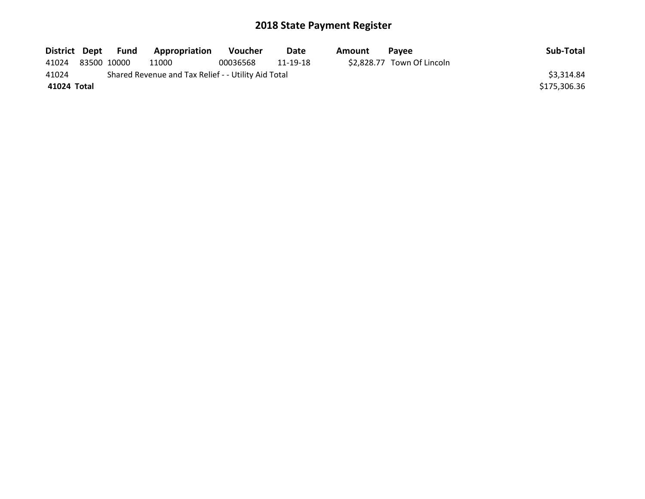| District Dept | Fund        | Appropriation                                       | <b>Voucher</b> | <b>Date</b> | Amount | <b>Pavee</b>               | Sub-Total    |
|---------------|-------------|-----------------------------------------------------|----------------|-------------|--------|----------------------------|--------------|
| 41024         | 83500 10000 | 11000                                               | 00036568       | 11-19-18    |        | \$2,828.77 Town Of Lincoln |              |
| 41024         |             | Shared Revenue and Tax Relief - - Utility Aid Total |                |             |        |                            | \$3,314.84   |
| 41024 Total   |             |                                                     |                |             |        |                            | \$175,306.36 |
|               |             |                                                     |                |             |        |                            |              |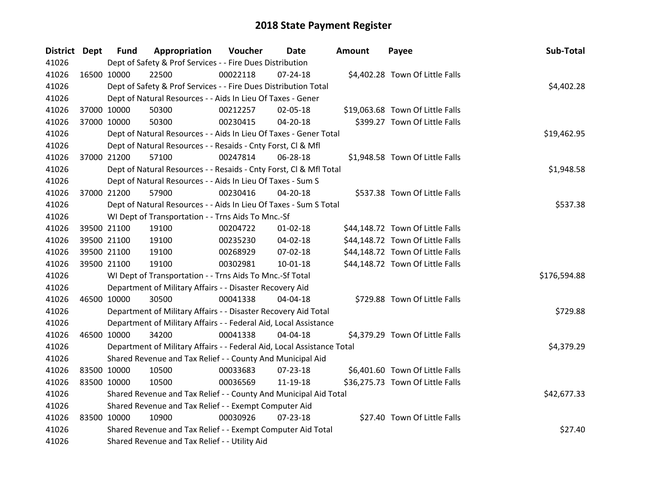| <b>District Dept</b> |             | <b>Fund</b> | Appropriation                                                          | <b>Voucher</b> | Date           | Amount | Payee                            | Sub-Total    |
|----------------------|-------------|-------------|------------------------------------------------------------------------|----------------|----------------|--------|----------------------------------|--------------|
| 41026                |             |             | Dept of Safety & Prof Services - - Fire Dues Distribution              |                |                |        |                                  |              |
| 41026                | 16500 10000 |             | 22500                                                                  | 00022118       | $07 - 24 - 18$ |        | \$4,402.28 Town Of Little Falls  |              |
| 41026                |             |             | Dept of Safety & Prof Services - - Fire Dues Distribution Total        |                |                |        |                                  | \$4,402.28   |
| 41026                |             |             | Dept of Natural Resources - - Aids In Lieu Of Taxes - Gener            |                |                |        |                                  |              |
| 41026                |             | 37000 10000 | 50300                                                                  | 00212257       | 02-05-18       |        | \$19,063.68 Town Of Little Falls |              |
| 41026                |             | 37000 10000 | 50300                                                                  | 00230415       | 04-20-18       |        | \$399.27 Town Of Little Falls    |              |
| 41026                |             |             | Dept of Natural Resources - - Aids In Lieu Of Taxes - Gener Total      |                |                |        |                                  | \$19,462.95  |
| 41026                |             |             | Dept of Natural Resources - - Resaids - Cnty Forst, Cl & Mfl           |                |                |        |                                  |              |
| 41026                |             | 37000 21200 | 57100                                                                  | 00247814       | 06-28-18       |        | \$1,948.58 Town Of Little Falls  |              |
| 41026                |             |             | Dept of Natural Resources - - Resaids - Cnty Forst, CI & Mfl Total     |                |                |        |                                  | \$1,948.58   |
| 41026                |             |             | Dept of Natural Resources - - Aids In Lieu Of Taxes - Sum S            |                |                |        |                                  |              |
| 41026                |             | 37000 21200 | 57900                                                                  | 00230416       | $04 - 20 - 18$ |        | \$537.38 Town Of Little Falls    |              |
| 41026                |             |             | Dept of Natural Resources - - Aids In Lieu Of Taxes - Sum S Total      |                |                |        |                                  | \$537.38     |
| 41026                |             |             | WI Dept of Transportation - - Trns Aids To Mnc.-Sf                     |                |                |        |                                  |              |
| 41026                |             | 39500 21100 | 19100                                                                  | 00204722       | $01 - 02 - 18$ |        | \$44,148.72 Town Of Little Falls |              |
| 41026                |             | 39500 21100 | 19100                                                                  | 00235230       | 04-02-18       |        | \$44,148.72 Town Of Little Falls |              |
| 41026                |             | 39500 21100 | 19100                                                                  | 00268929       | 07-02-18       |        | \$44,148.72 Town Of Little Falls |              |
| 41026                |             | 39500 21100 | 19100                                                                  | 00302981       | 10-01-18       |        | \$44,148.72 Town Of Little Falls |              |
| 41026                |             |             | WI Dept of Transportation - - Trns Aids To Mnc.-Sf Total               |                |                |        |                                  | \$176,594.88 |
| 41026                |             |             | Department of Military Affairs - - Disaster Recovery Aid               |                |                |        |                                  |              |
| 41026                |             | 46500 10000 | 30500                                                                  | 00041338       | 04-04-18       |        | \$729.88 Town Of Little Falls    |              |
| 41026                |             |             | Department of Military Affairs - - Disaster Recovery Aid Total         |                |                |        |                                  | \$729.88     |
| 41026                |             |             | Department of Military Affairs - - Federal Aid, Local Assistance       |                |                |        |                                  |              |
| 41026                |             | 46500 10000 | 34200                                                                  | 00041338       | 04-04-18       |        | \$4,379.29 Town Of Little Falls  |              |
| 41026                |             |             | Department of Military Affairs - - Federal Aid, Local Assistance Total |                |                |        |                                  | \$4,379.29   |
| 41026                |             |             | Shared Revenue and Tax Relief - - County And Municipal Aid             |                |                |        |                                  |              |
| 41026                |             | 83500 10000 | 10500                                                                  | 00033683       | 07-23-18       |        | \$6,401.60 Town Of Little Falls  |              |
| 41026                | 83500 10000 |             | 10500                                                                  | 00036569       | 11-19-18       |        | \$36,275.73 Town Of Little Falls |              |
| 41026                |             |             | Shared Revenue and Tax Relief - - County And Municipal Aid Total       |                |                |        |                                  | \$42,677.33  |
| 41026                |             |             | Shared Revenue and Tax Relief - - Exempt Computer Aid                  |                |                |        |                                  |              |
| 41026                | 83500 10000 |             | 10900                                                                  | 00030926       | $07 - 23 - 18$ |        | \$27.40 Town Of Little Falls     |              |
| 41026                |             |             | Shared Revenue and Tax Relief - - Exempt Computer Aid Total            |                |                |        |                                  | \$27.40      |
| 41026                |             |             | Shared Revenue and Tax Relief - - Utility Aid                          |                |                |        |                                  |              |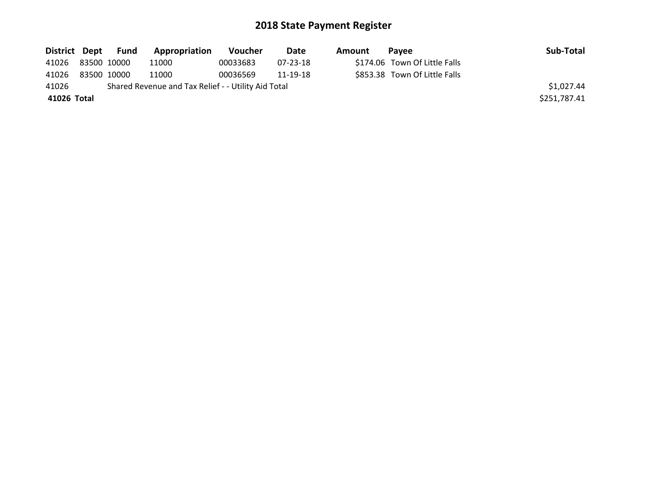|                   | District Dept Fund | <b>Appropriation</b>                                | <b>Voucher</b> | <b>Date</b> | Amount | Pavee                         | Sub-Total    |
|-------------------|--------------------|-----------------------------------------------------|----------------|-------------|--------|-------------------------------|--------------|
| 41026 83500 10000 |                    | 11000                                               | 00033683       | 07-23-18    |        | \$174.06 Town Of Little Falls |              |
| 41026             | 83500 10000        | 11000                                               | 00036569       | 11-19-18    |        | \$853.38 Town Of Little Falls |              |
| 41026             |                    | Shared Revenue and Tax Relief - - Utility Aid Total |                |             |        |                               | \$1,027.44   |
| 41026 Total       |                    |                                                     |                |             |        |                               | \$251,787.41 |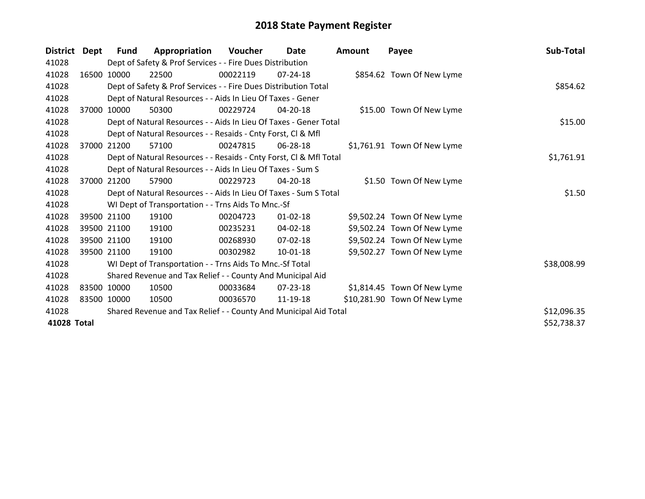| <b>District</b> | Dept  | Fund        | Appropriation                                                      | <b>Voucher</b> | Date           | <b>Amount</b> | Payee                        | Sub-Total   |
|-----------------|-------|-------------|--------------------------------------------------------------------|----------------|----------------|---------------|------------------------------|-------------|
| 41028           |       |             | Dept of Safety & Prof Services - - Fire Dues Distribution          |                |                |               |                              |             |
| 41028           |       | 16500 10000 | 22500                                                              | 00022119       | $07 - 24 - 18$ |               | \$854.62 Town Of New Lyme    |             |
| 41028           |       |             | Dept of Safety & Prof Services - - Fire Dues Distribution Total    |                |                |               |                              | \$854.62    |
| 41028           |       |             | Dept of Natural Resources - - Aids In Lieu Of Taxes - Gener        |                |                |               |                              |             |
| 41028           | 37000 | 10000       | 50300                                                              | 00229724       | 04-20-18       |               | \$15.00 Town Of New Lyme     |             |
| 41028           |       |             | Dept of Natural Resources - - Aids In Lieu Of Taxes - Gener Total  |                |                |               |                              | \$15.00     |
| 41028           |       |             | Dept of Natural Resources - - Resaids - Cnty Forst, Cl & Mfl       |                |                |               |                              |             |
| 41028           | 37000 | 21200       | 57100                                                              | 00247815       | 06-28-18       |               | \$1,761.91 Town Of New Lyme  |             |
| 41028           |       |             | Dept of Natural Resources - - Resaids - Cnty Forst, Cl & Mfl Total |                |                |               |                              | \$1,761.91  |
| 41028           |       |             | Dept of Natural Resources - - Aids In Lieu Of Taxes - Sum S        |                |                |               |                              |             |
| 41028           |       | 37000 21200 | 57900                                                              | 00229723       | 04-20-18       |               | \$1.50 Town Of New Lyme      |             |
| 41028           |       |             | Dept of Natural Resources - - Aids In Lieu Of Taxes - Sum S Total  |                |                |               |                              | \$1.50      |
| 41028           |       |             | WI Dept of Transportation - - Trns Aids To Mnc.-Sf                 |                |                |               |                              |             |
| 41028           |       | 39500 21100 | 19100                                                              | 00204723       | $01 - 02 - 18$ |               | \$9,502.24 Town Of New Lyme  |             |
| 41028           |       | 39500 21100 | 19100                                                              | 00235231       | 04-02-18       |               | \$9,502.24 Town Of New Lyme  |             |
| 41028           |       | 39500 21100 | 19100                                                              | 00268930       | 07-02-18       |               | \$9,502.24 Town Of New Lyme  |             |
| 41028           |       | 39500 21100 | 19100                                                              | 00302982       | $10 - 01 - 18$ |               | \$9,502.27 Town Of New Lyme  |             |
| 41028           |       |             | WI Dept of Transportation - - Trns Aids To Mnc.-Sf Total           |                |                |               |                              | \$38,008.99 |
| 41028           |       |             | Shared Revenue and Tax Relief - - County And Municipal Aid         |                |                |               |                              |             |
| 41028           |       | 83500 10000 | 10500                                                              | 00033684       | 07-23-18       |               | \$1,814.45 Town Of New Lyme  |             |
| 41028           |       | 83500 10000 | 10500                                                              | 00036570       | 11-19-18       |               | \$10,281.90 Town Of New Lyme |             |
| 41028           |       |             | Shared Revenue and Tax Relief - - County And Municipal Aid Total   |                |                |               |                              | \$12,096.35 |
| 41028 Total     |       |             |                                                                    |                |                |               |                              | \$52,738.37 |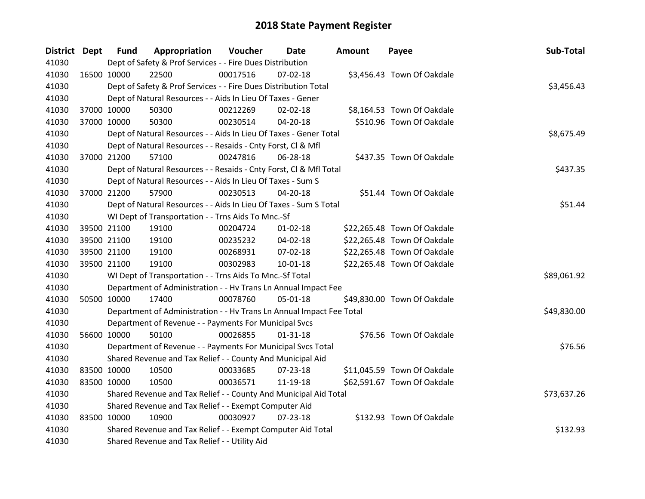| District Dept |             | <b>Fund</b> | Appropriation                                                        | Voucher  | Date           | <b>Amount</b> | Payee                       | Sub-Total   |
|---------------|-------------|-------------|----------------------------------------------------------------------|----------|----------------|---------------|-----------------------------|-------------|
| 41030         |             |             | Dept of Safety & Prof Services - - Fire Dues Distribution            |          |                |               |                             |             |
| 41030         | 16500 10000 |             | 22500                                                                | 00017516 | 07-02-18       |               | \$3,456.43 Town Of Oakdale  |             |
| 41030         |             |             | Dept of Safety & Prof Services - - Fire Dues Distribution Total      |          |                |               |                             | \$3,456.43  |
| 41030         |             |             | Dept of Natural Resources - - Aids In Lieu Of Taxes - Gener          |          |                |               |                             |             |
| 41030         |             | 37000 10000 | 50300                                                                | 00212269 | 02-02-18       |               | \$8,164.53 Town Of Oakdale  |             |
| 41030         |             | 37000 10000 | 50300                                                                | 00230514 | 04-20-18       |               | \$510.96 Town Of Oakdale    |             |
| 41030         |             |             | Dept of Natural Resources - - Aids In Lieu Of Taxes - Gener Total    |          |                |               |                             | \$8,675.49  |
| 41030         |             |             | Dept of Natural Resources - - Resaids - Cnty Forst, Cl & Mfl         |          |                |               |                             |             |
| 41030         |             | 37000 21200 | 57100                                                                | 00247816 | 06-28-18       |               | \$437.35 Town Of Oakdale    |             |
| 41030         |             |             | Dept of Natural Resources - - Resaids - Cnty Forst, CI & Mfl Total   |          |                |               |                             | \$437.35    |
| 41030         |             |             | Dept of Natural Resources - - Aids In Lieu Of Taxes - Sum S          |          |                |               |                             |             |
| 41030         |             | 37000 21200 | 57900                                                                | 00230513 | $04 - 20 - 18$ |               | \$51.44 Town Of Oakdale     |             |
| 41030         |             |             | Dept of Natural Resources - - Aids In Lieu Of Taxes - Sum S Total    |          |                |               |                             | \$51.44     |
| 41030         |             |             | WI Dept of Transportation - - Trns Aids To Mnc.-Sf                   |          |                |               |                             |             |
| 41030         |             | 39500 21100 | 19100                                                                | 00204724 | $01 - 02 - 18$ |               | \$22,265.48 Town Of Oakdale |             |
| 41030         |             | 39500 21100 | 19100                                                                | 00235232 | 04-02-18       |               | \$22,265.48 Town Of Oakdale |             |
| 41030         |             | 39500 21100 | 19100                                                                | 00268931 | 07-02-18       |               | \$22,265.48 Town Of Oakdale |             |
| 41030         |             | 39500 21100 | 19100                                                                | 00302983 | 10-01-18       |               | \$22,265.48 Town Of Oakdale |             |
| 41030         |             |             | WI Dept of Transportation - - Trns Aids To Mnc.-Sf Total             |          |                |               |                             | \$89,061.92 |
| 41030         |             |             | Department of Administration - - Hv Trans Ln Annual Impact Fee       |          |                |               |                             |             |
| 41030         |             | 50500 10000 | 17400                                                                | 00078760 | 05-01-18       |               | \$49,830.00 Town Of Oakdale |             |
| 41030         |             |             | Department of Administration - - Hv Trans Ln Annual Impact Fee Total |          |                |               |                             | \$49,830.00 |
| 41030         |             |             | Department of Revenue - - Payments For Municipal Svcs                |          |                |               |                             |             |
| 41030         |             | 56600 10000 | 50100                                                                | 00026855 | $01 - 31 - 18$ |               | \$76.56 Town Of Oakdale     |             |
| 41030         |             |             | Department of Revenue - - Payments For Municipal Svcs Total          |          |                |               |                             | \$76.56     |
| 41030         |             |             | Shared Revenue and Tax Relief - - County And Municipal Aid           |          |                |               |                             |             |
| 41030         | 83500 10000 |             | 10500                                                                | 00033685 | 07-23-18       |               | \$11,045.59 Town Of Oakdale |             |
| 41030         | 83500 10000 |             | 10500                                                                | 00036571 | 11-19-18       |               | \$62,591.67 Town Of Oakdale |             |
| 41030         |             |             | Shared Revenue and Tax Relief - - County And Municipal Aid Total     |          |                |               |                             | \$73,637.26 |
| 41030         |             |             | Shared Revenue and Tax Relief - - Exempt Computer Aid                |          |                |               |                             |             |
| 41030         | 83500 10000 |             | 10900                                                                | 00030927 | $07 - 23 - 18$ |               | \$132.93 Town Of Oakdale    |             |
| 41030         |             |             | Shared Revenue and Tax Relief - - Exempt Computer Aid Total          |          |                |               |                             | \$132.93    |
| 41030         |             |             | Shared Revenue and Tax Relief - - Utility Aid                        |          |                |               |                             |             |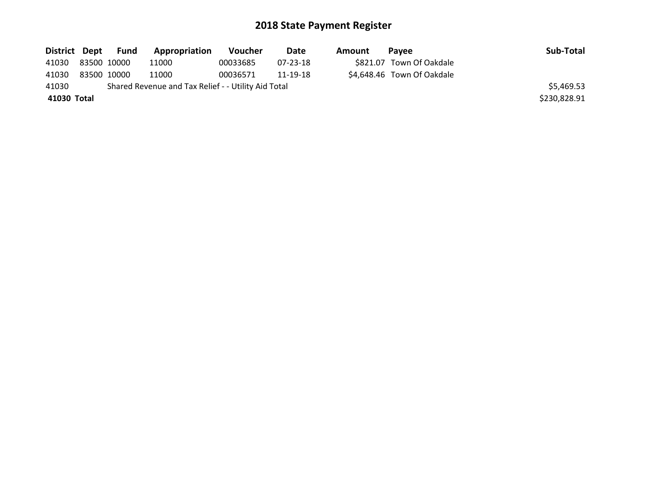|                   |  | District Dept Fund | <b>Appropriation</b>                                | <b>Voucher</b> | <b>Date</b> | Amount | Pavee                      | Sub-Total    |
|-------------------|--|--------------------|-----------------------------------------------------|----------------|-------------|--------|----------------------------|--------------|
| 41030 83500 10000 |  |                    | 11000                                               | 00033685       | 07-23-18    |        | \$821.07 Town Of Oakdale   |              |
| 41030             |  | 83500 10000        | 11000                                               | 00036571       | 11-19-18    |        | \$4,648.46 Town Of Oakdale |              |
| 41030             |  |                    | Shared Revenue and Tax Relief - - Utility Aid Total |                |             |        |                            | \$5,469.53   |
| 41030 Total       |  |                    |                                                     |                |             |        |                            | \$230,828.91 |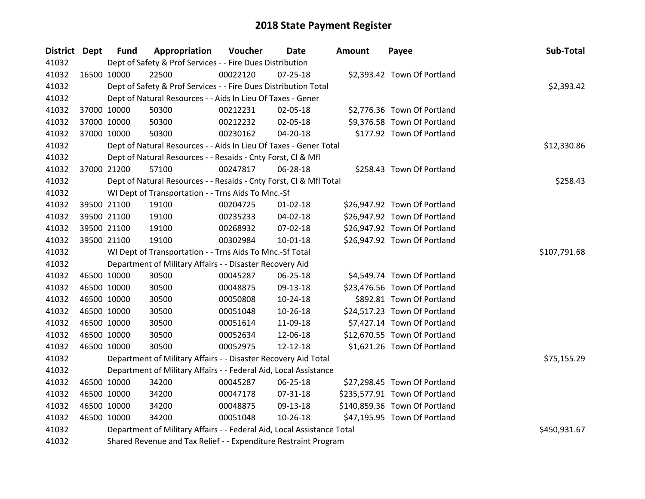| District Dept | <b>Fund</b> | Appropriation                                                          | Voucher  | Date           | <b>Amount</b> | Payee                         | Sub-Total    |
|---------------|-------------|------------------------------------------------------------------------|----------|----------------|---------------|-------------------------------|--------------|
| 41032         |             | Dept of Safety & Prof Services - - Fire Dues Distribution              |          |                |               |                               |              |
| 41032         | 16500 10000 | 22500                                                                  | 00022120 | $07 - 25 - 18$ |               | \$2,393.42 Town Of Portland   |              |
| 41032         |             | Dept of Safety & Prof Services - - Fire Dues Distribution Total        |          |                |               |                               | \$2,393.42   |
| 41032         |             | Dept of Natural Resources - - Aids In Lieu Of Taxes - Gener            |          |                |               |                               |              |
| 41032         | 37000 10000 | 50300                                                                  | 00212231 | 02-05-18       |               | \$2,776.36 Town Of Portland   |              |
| 41032         | 37000 10000 | 50300                                                                  | 00212232 | 02-05-18       |               | \$9,376.58 Town Of Portland   |              |
| 41032         | 37000 10000 | 50300                                                                  | 00230162 | 04-20-18       |               | \$177.92 Town Of Portland     |              |
| 41032         |             | Dept of Natural Resources - - Aids In Lieu Of Taxes - Gener Total      |          |                |               |                               | \$12,330.86  |
| 41032         |             | Dept of Natural Resources - - Resaids - Cnty Forst, Cl & Mfl           |          |                |               |                               |              |
| 41032         | 37000 21200 | 57100                                                                  | 00247817 | 06-28-18       |               | \$258.43 Town Of Portland     |              |
| 41032         |             | Dept of Natural Resources - - Resaids - Cnty Forst, Cl & Mfl Total     |          |                |               |                               | \$258.43     |
| 41032         |             | WI Dept of Transportation - - Trns Aids To Mnc.-Sf                     |          |                |               |                               |              |
| 41032         | 39500 21100 | 19100                                                                  | 00204725 | $01 - 02 - 18$ |               | \$26,947.92 Town Of Portland  |              |
| 41032         | 39500 21100 | 19100                                                                  | 00235233 | 04-02-18       |               | \$26,947.92 Town Of Portland  |              |
| 41032         | 39500 21100 | 19100                                                                  | 00268932 | 07-02-18       |               | \$26,947.92 Town Of Portland  |              |
| 41032         | 39500 21100 | 19100                                                                  | 00302984 | $10-01-18$     |               | \$26,947.92 Town Of Portland  |              |
| 41032         |             | WI Dept of Transportation - - Trns Aids To Mnc.-Sf Total               |          |                |               |                               | \$107,791.68 |
| 41032         |             | Department of Military Affairs - - Disaster Recovery Aid               |          |                |               |                               |              |
| 41032         | 46500 10000 | 30500                                                                  | 00045287 | 06-25-18       |               | \$4,549.74 Town Of Portland   |              |
| 41032         | 46500 10000 | 30500                                                                  | 00048875 | 09-13-18       |               | \$23,476.56 Town Of Portland  |              |
| 41032         | 46500 10000 | 30500                                                                  | 00050808 | 10-24-18       |               | \$892.81 Town Of Portland     |              |
| 41032         | 46500 10000 | 30500                                                                  | 00051048 | 10-26-18       |               | \$24,517.23 Town Of Portland  |              |
| 41032         | 46500 10000 | 30500                                                                  | 00051614 | 11-09-18       |               | \$7,427.14 Town Of Portland   |              |
| 41032         | 46500 10000 | 30500                                                                  | 00052634 | 12-06-18       |               | \$12,670.55 Town Of Portland  |              |
| 41032         | 46500 10000 | 30500                                                                  | 00052975 | 12-12-18       |               | \$1,621.26 Town Of Portland   |              |
| 41032         |             | Department of Military Affairs - - Disaster Recovery Aid Total         |          |                |               |                               | \$75,155.29  |
| 41032         |             | Department of Military Affairs - - Federal Aid, Local Assistance       |          |                |               |                               |              |
| 41032         | 46500 10000 | 34200                                                                  | 00045287 | 06-25-18       |               | \$27,298.45 Town Of Portland  |              |
| 41032         | 46500 10000 | 34200                                                                  | 00047178 | 07-31-18       |               | \$235,577.91 Town Of Portland |              |
| 41032         | 46500 10000 | 34200                                                                  | 00048875 | 09-13-18       |               | \$140,859.36 Town Of Portland |              |
| 41032         | 46500 10000 | 34200                                                                  | 00051048 | 10-26-18       |               | \$47,195.95 Town Of Portland  |              |
| 41032         |             | Department of Military Affairs - - Federal Aid, Local Assistance Total |          |                |               |                               | \$450,931.67 |
| 41032         |             | Shared Revenue and Tax Relief - - Expenditure Restraint Program        |          |                |               |                               |              |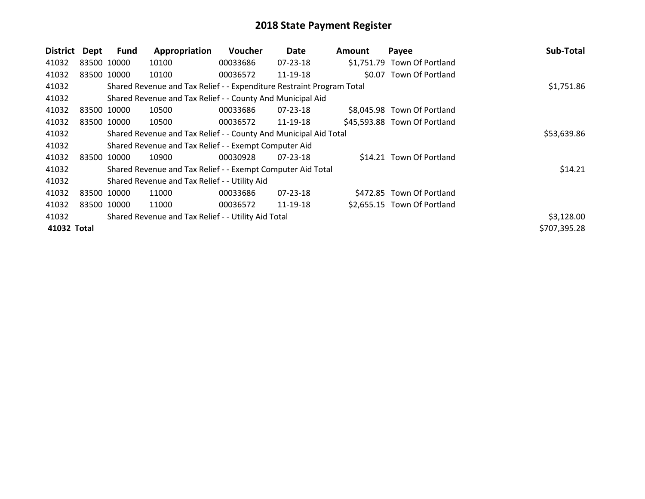| <b>District</b> | Dept        | Fund        | Appropriation                                                         | Voucher  | Date           | <b>Amount</b> | Payee                        | Sub-Total    |
|-----------------|-------------|-------------|-----------------------------------------------------------------------|----------|----------------|---------------|------------------------------|--------------|
| 41032           | 83500 10000 |             | 10100                                                                 | 00033686 | 07-23-18       |               | \$1,751.79 Town Of Portland  |              |
| 41032           | 83500 10000 |             | 10100                                                                 | 00036572 | 11-19-18       |               | \$0.07 Town Of Portland      |              |
| 41032           |             |             | Shared Revenue and Tax Relief - - Expenditure Restraint Program Total |          |                |               |                              | \$1,751.86   |
| 41032           |             |             | Shared Revenue and Tax Relief - - County And Municipal Aid            |          |                |               |                              |              |
| 41032           | 83500 10000 |             | 10500                                                                 | 00033686 | 07-23-18       |               | \$8,045.98 Town Of Portland  |              |
| 41032           | 83500 10000 |             | 10500                                                                 | 00036572 | 11-19-18       |               | \$45,593.88 Town Of Portland |              |
| 41032           |             |             | Shared Revenue and Tax Relief - - County And Municipal Aid Total      |          |                |               |                              | \$53,639.86  |
| 41032           |             |             | Shared Revenue and Tax Relief - - Exempt Computer Aid                 |          |                |               |                              |              |
| 41032           | 83500 10000 |             | 10900                                                                 | 00030928 | $07 - 23 - 18$ |               | \$14.21 Town Of Portland     |              |
| 41032           |             |             | Shared Revenue and Tax Relief - - Exempt Computer Aid Total           |          |                |               |                              | \$14.21      |
| 41032           |             |             | Shared Revenue and Tax Relief - - Utility Aid                         |          |                |               |                              |              |
| 41032           | 83500 10000 |             | 11000                                                                 | 00033686 | $07 - 23 - 18$ |               | \$472.85 Town Of Portland    |              |
| 41032           |             | 83500 10000 | 11000                                                                 | 00036572 | 11-19-18       |               | \$2,655.15 Town Of Portland  |              |
| 41032           |             |             | Shared Revenue and Tax Relief - - Utility Aid Total                   |          |                |               |                              | \$3,128.00   |
| 41032 Total     |             |             |                                                                       |          |                |               |                              | \$707,395.28 |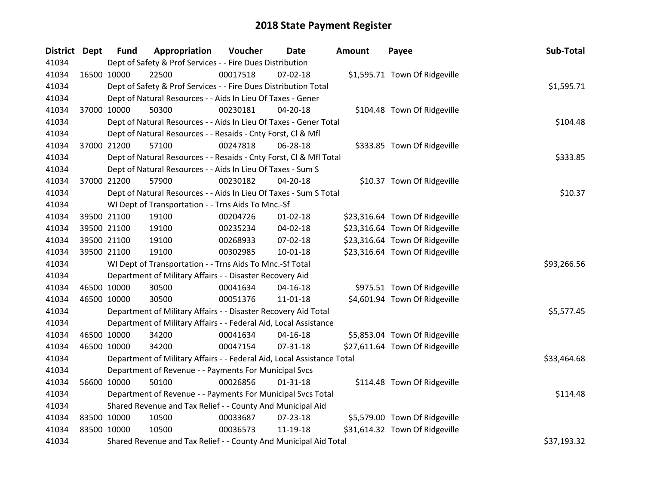| District Dept |             | <b>Fund</b> | Appropriation                                                          | Voucher  | <b>Date</b>    | <b>Amount</b> | Payee                          | Sub-Total   |
|---------------|-------------|-------------|------------------------------------------------------------------------|----------|----------------|---------------|--------------------------------|-------------|
| 41034         |             |             | Dept of Safety & Prof Services - - Fire Dues Distribution              |          |                |               |                                |             |
| 41034         |             | 16500 10000 | 22500                                                                  | 00017518 | $07 - 02 - 18$ |               | \$1,595.71 Town Of Ridgeville  |             |
| 41034         |             |             | Dept of Safety & Prof Services - - Fire Dues Distribution Total        |          |                |               |                                | \$1,595.71  |
| 41034         |             |             | Dept of Natural Resources - - Aids In Lieu Of Taxes - Gener            |          |                |               |                                |             |
| 41034         |             | 37000 10000 | 50300                                                                  | 00230181 | 04-20-18       |               | \$104.48 Town Of Ridgeville    |             |
| 41034         |             |             | Dept of Natural Resources - - Aids In Lieu Of Taxes - Gener Total      |          |                |               |                                | \$104.48    |
| 41034         |             |             | Dept of Natural Resources - - Resaids - Cnty Forst, Cl & Mfl           |          |                |               |                                |             |
| 41034         |             | 37000 21200 | 57100                                                                  | 00247818 | 06-28-18       |               | \$333.85 Town Of Ridgeville    |             |
| 41034         |             |             | Dept of Natural Resources - - Resaids - Cnty Forst, CI & Mfl Total     |          |                |               |                                | \$333.85    |
| 41034         |             |             | Dept of Natural Resources - - Aids In Lieu Of Taxes - Sum S            |          |                |               |                                |             |
| 41034         |             | 37000 21200 | 57900                                                                  | 00230182 | 04-20-18       |               | \$10.37 Town Of Ridgeville     |             |
| 41034         |             |             | Dept of Natural Resources - - Aids In Lieu Of Taxes - Sum S Total      |          |                |               |                                | \$10.37     |
| 41034         |             |             | WI Dept of Transportation - - Trns Aids To Mnc.-Sf                     |          |                |               |                                |             |
| 41034         |             | 39500 21100 | 19100                                                                  | 00204726 | $01 - 02 - 18$ |               | \$23,316.64 Town Of Ridgeville |             |
| 41034         |             | 39500 21100 | 19100                                                                  | 00235234 | 04-02-18       |               | \$23,316.64 Town Of Ridgeville |             |
| 41034         |             | 39500 21100 | 19100                                                                  | 00268933 | 07-02-18       |               | \$23,316.64 Town Of Ridgeville |             |
| 41034         |             | 39500 21100 | 19100                                                                  | 00302985 | $10 - 01 - 18$ |               | \$23,316.64 Town Of Ridgeville |             |
| 41034         |             |             | WI Dept of Transportation - - Trns Aids To Mnc.-Sf Total               |          |                |               |                                | \$93,266.56 |
| 41034         |             |             | Department of Military Affairs - - Disaster Recovery Aid               |          |                |               |                                |             |
| 41034         |             | 46500 10000 | 30500                                                                  | 00041634 | $04 - 16 - 18$ |               | \$975.51 Town Of Ridgeville    |             |
| 41034         |             | 46500 10000 | 30500                                                                  | 00051376 | 11-01-18       |               | \$4,601.94 Town Of Ridgeville  |             |
| 41034         |             |             | Department of Military Affairs - - Disaster Recovery Aid Total         |          |                |               |                                | \$5,577.45  |
| 41034         |             |             | Department of Military Affairs - - Federal Aid, Local Assistance       |          |                |               |                                |             |
| 41034         |             | 46500 10000 | 34200                                                                  | 00041634 | $04 - 16 - 18$ |               | \$5,853.04 Town Of Ridgeville  |             |
| 41034         |             | 46500 10000 | 34200                                                                  | 00047154 | 07-31-18       |               | \$27,611.64 Town Of Ridgeville |             |
| 41034         |             |             | Department of Military Affairs - - Federal Aid, Local Assistance Total |          |                |               |                                | \$33,464.68 |
| 41034         |             |             | Department of Revenue - - Payments For Municipal Svcs                  |          |                |               |                                |             |
| 41034         |             | 56600 10000 | 50100                                                                  | 00026856 | $01 - 31 - 18$ |               | \$114.48 Town Of Ridgeville    |             |
| 41034         |             |             | Department of Revenue - - Payments For Municipal Svcs Total            |          |                |               |                                | \$114.48    |
| 41034         |             |             | Shared Revenue and Tax Relief - - County And Municipal Aid             |          |                |               |                                |             |
| 41034         | 83500 10000 |             | 10500                                                                  | 00033687 | 07-23-18       |               | \$5,579.00 Town Of Ridgeville  |             |
| 41034         | 83500 10000 |             | 10500                                                                  | 00036573 | 11-19-18       |               | \$31,614.32 Town Of Ridgeville |             |
| 41034         |             |             | Shared Revenue and Tax Relief - - County And Municipal Aid Total       |          |                |               |                                | \$37,193.32 |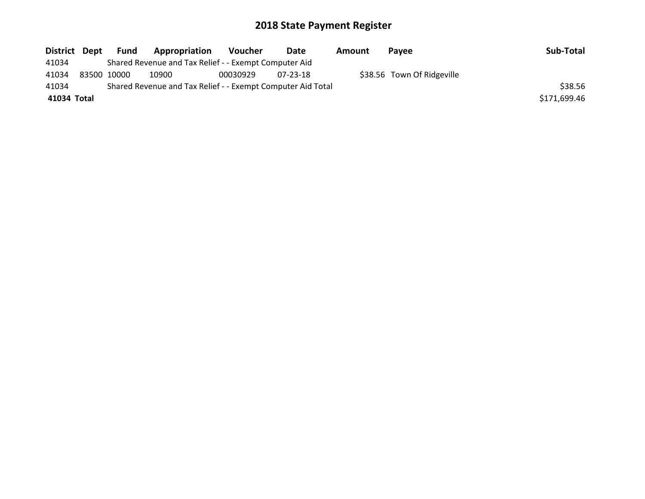| District Dept | Fund        | Appropriation                                               | <b>Voucher</b> | Date     | Amount | Pavee                      | Sub-Total    |
|---------------|-------------|-------------------------------------------------------------|----------------|----------|--------|----------------------------|--------------|
| 41034         |             | Shared Revenue and Tax Relief - - Exempt Computer Aid       |                |          |        |                            |              |
| 41034         | 83500 10000 | 10900                                                       | 00030929       | 07-23-18 |        | \$38.56 Town Of Ridgeville |              |
| 41034         |             | Shared Revenue and Tax Relief - - Exempt Computer Aid Total |                |          |        |                            | \$38.56      |
| 41034 Total   |             |                                                             |                |          |        |                            | \$171,699.46 |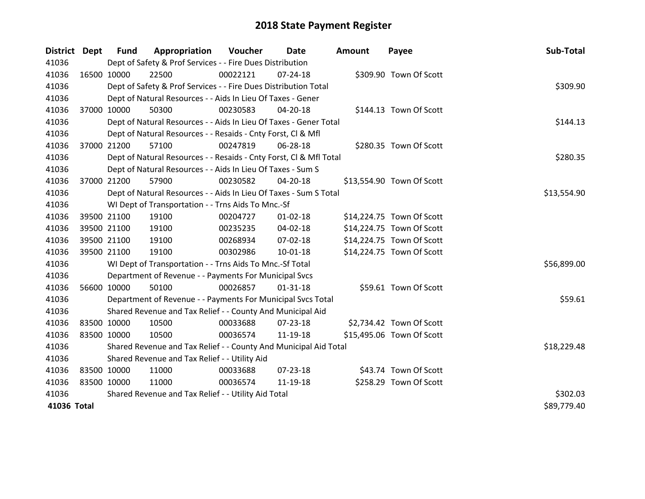| District Dept |             | <b>Fund</b> | Appropriation                                                      | Voucher  | Date           | <b>Amount</b> | Payee                     | Sub-Total   |
|---------------|-------------|-------------|--------------------------------------------------------------------|----------|----------------|---------------|---------------------------|-------------|
| 41036         |             |             | Dept of Safety & Prof Services - - Fire Dues Distribution          |          |                |               |                           |             |
| 41036         |             | 16500 10000 | 22500                                                              | 00022121 | $07 - 24 - 18$ |               | \$309.90 Town Of Scott    |             |
| 41036         |             |             | Dept of Safety & Prof Services - - Fire Dues Distribution Total    |          |                |               |                           | \$309.90    |
| 41036         |             |             | Dept of Natural Resources - - Aids In Lieu Of Taxes - Gener        |          |                |               |                           |             |
| 41036         |             | 37000 10000 | 50300                                                              | 00230583 | 04-20-18       |               | \$144.13 Town Of Scott    |             |
| 41036         |             |             | Dept of Natural Resources - - Aids In Lieu Of Taxes - Gener Total  |          |                |               |                           | \$144.13    |
| 41036         |             |             | Dept of Natural Resources - - Resaids - Cnty Forst, CI & Mfl       |          |                |               |                           |             |
| 41036         |             | 37000 21200 | 57100                                                              | 00247819 | 06-28-18       |               | \$280.35 Town Of Scott    |             |
| 41036         |             |             | Dept of Natural Resources - - Resaids - Cnty Forst, Cl & Mfl Total |          |                |               |                           | \$280.35    |
| 41036         |             |             | Dept of Natural Resources - - Aids In Lieu Of Taxes - Sum S        |          |                |               |                           |             |
| 41036         |             | 37000 21200 | 57900                                                              | 00230582 | 04-20-18       |               | \$13,554.90 Town Of Scott |             |
| 41036         |             |             | Dept of Natural Resources - - Aids In Lieu Of Taxes - Sum S Total  |          |                |               |                           | \$13,554.90 |
| 41036         |             |             | WI Dept of Transportation - - Trns Aids To Mnc.-Sf                 |          |                |               |                           |             |
| 41036         |             | 39500 21100 | 19100                                                              | 00204727 | $01 - 02 - 18$ |               | \$14,224.75 Town Of Scott |             |
| 41036         |             | 39500 21100 | 19100                                                              | 00235235 | 04-02-18       |               | \$14,224.75 Town Of Scott |             |
| 41036         |             | 39500 21100 | 19100                                                              | 00268934 | 07-02-18       |               | \$14,224.75 Town Of Scott |             |
| 41036         |             | 39500 21100 | 19100                                                              | 00302986 | $10 - 01 - 18$ |               | \$14,224.75 Town Of Scott |             |
| 41036         |             |             | WI Dept of Transportation - - Trns Aids To Mnc.-Sf Total           |          |                |               |                           | \$56,899.00 |
| 41036         |             |             | Department of Revenue - - Payments For Municipal Svcs              |          |                |               |                           |             |
| 41036         |             | 56600 10000 | 50100                                                              | 00026857 | $01 - 31 - 18$ |               | \$59.61 Town Of Scott     |             |
| 41036         |             |             | Department of Revenue - - Payments For Municipal Svcs Total        |          |                |               |                           | \$59.61     |
| 41036         |             |             | Shared Revenue and Tax Relief - - County And Municipal Aid         |          |                |               |                           |             |
| 41036         |             | 83500 10000 | 10500                                                              | 00033688 | 07-23-18       |               | \$2,734.42 Town Of Scott  |             |
| 41036         |             | 83500 10000 | 10500                                                              | 00036574 | 11-19-18       |               | \$15,495.06 Town Of Scott |             |
| 41036         |             |             | Shared Revenue and Tax Relief - - County And Municipal Aid Total   |          |                |               |                           | \$18,229.48 |
| 41036         |             |             | Shared Revenue and Tax Relief - - Utility Aid                      |          |                |               |                           |             |
| 41036         |             | 83500 10000 | 11000                                                              | 00033688 | 07-23-18       |               | \$43.74 Town Of Scott     |             |
| 41036         | 83500 10000 |             | 11000                                                              | 00036574 | 11-19-18       |               | \$258.29 Town Of Scott    |             |
| 41036         |             |             | Shared Revenue and Tax Relief - - Utility Aid Total                |          |                |               |                           | \$302.03    |
| 41036 Total   |             |             |                                                                    |          |                |               |                           | \$89,779.40 |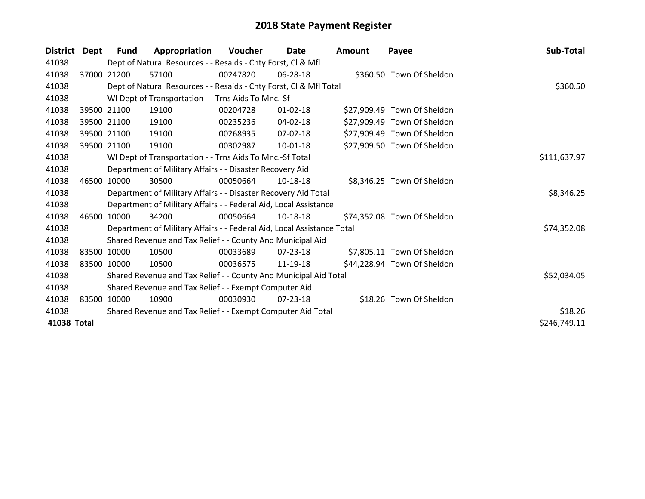| <b>District</b> | Dept | <b>Fund</b> | Appropriation                                                          | Voucher  | Date           | <b>Amount</b> | Payee                       | Sub-Total    |
|-----------------|------|-------------|------------------------------------------------------------------------|----------|----------------|---------------|-----------------------------|--------------|
| 41038           |      |             | Dept of Natural Resources - - Resaids - Cnty Forst, Cl & Mfl           |          |                |               |                             |              |
| 41038           |      | 37000 21200 | 57100                                                                  | 00247820 | $06 - 28 - 18$ |               | \$360.50 Town Of Sheldon    |              |
| 41038           |      |             | Dept of Natural Resources - - Resaids - Cnty Forst, Cl & Mfl Total     |          |                |               |                             | \$360.50     |
| 41038           |      |             | WI Dept of Transportation - - Trns Aids To Mnc.-Sf                     |          |                |               |                             |              |
| 41038           |      | 39500 21100 | 19100                                                                  | 00204728 | $01 - 02 - 18$ |               | \$27,909.49 Town Of Sheldon |              |
| 41038           |      | 39500 21100 | 19100                                                                  | 00235236 | 04-02-18       |               | \$27,909.49 Town Of Sheldon |              |
| 41038           |      | 39500 21100 | 19100                                                                  | 00268935 | 07-02-18       |               | \$27,909.49 Town Of Sheldon |              |
| 41038           |      | 39500 21100 | 19100                                                                  | 00302987 | 10-01-18       |               | \$27,909.50 Town Of Sheldon |              |
| 41038           |      |             | WI Dept of Transportation - - Trns Aids To Mnc.-Sf Total               |          |                |               |                             | \$111,637.97 |
| 41038           |      |             | Department of Military Affairs - - Disaster Recovery Aid               |          |                |               |                             |              |
| 41038           |      | 46500 10000 | 30500                                                                  | 00050664 | 10-18-18       |               | \$8,346.25 Town Of Sheldon  |              |
| 41038           |      |             | Department of Military Affairs - - Disaster Recovery Aid Total         |          |                |               |                             | \$8,346.25   |
| 41038           |      |             | Department of Military Affairs - - Federal Aid, Local Assistance       |          |                |               |                             |              |
| 41038           |      | 46500 10000 | 34200                                                                  | 00050664 | 10-18-18       |               | \$74,352.08 Town Of Sheldon |              |
| 41038           |      |             | Department of Military Affairs - - Federal Aid, Local Assistance Total |          |                |               |                             | \$74,352.08  |
| 41038           |      |             | Shared Revenue and Tax Relief - - County And Municipal Aid             |          |                |               |                             |              |
| 41038           |      | 83500 10000 | 10500                                                                  | 00033689 | 07-23-18       |               | \$7,805.11 Town Of Sheldon  |              |
| 41038           |      | 83500 10000 | 10500                                                                  | 00036575 | 11-19-18       |               | \$44,228.94 Town Of Sheldon |              |
| 41038           |      |             | Shared Revenue and Tax Relief - - County And Municipal Aid Total       |          |                |               |                             | \$52,034.05  |
| 41038           |      |             | Shared Revenue and Tax Relief - - Exempt Computer Aid                  |          |                |               |                             |              |
| 41038           |      | 83500 10000 | 10900                                                                  | 00030930 | $07 - 23 - 18$ |               | \$18.26 Town Of Sheldon     |              |
| 41038           |      |             | Shared Revenue and Tax Relief - - Exempt Computer Aid Total            |          |                |               |                             | \$18.26      |
| 41038 Total     |      |             |                                                                        |          |                |               |                             | \$246,749.11 |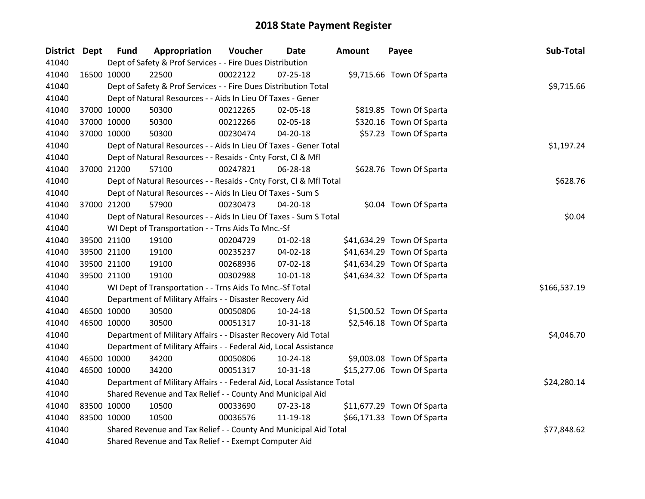| District Dept | <b>Fund</b> | Appropriation                                                          | Voucher  | <b>Date</b>    | <b>Amount</b> | Payee                      | Sub-Total    |
|---------------|-------------|------------------------------------------------------------------------|----------|----------------|---------------|----------------------------|--------------|
| 41040         |             | Dept of Safety & Prof Services - - Fire Dues Distribution              |          |                |               |                            |              |
| 41040         | 16500 10000 | 22500                                                                  | 00022122 | $07 - 25 - 18$ |               | \$9,715.66 Town Of Sparta  |              |
| 41040         |             | Dept of Safety & Prof Services - - Fire Dues Distribution Total        |          |                |               |                            | \$9,715.66   |
| 41040         |             | Dept of Natural Resources - - Aids In Lieu Of Taxes - Gener            |          |                |               |                            |              |
| 41040         | 37000 10000 | 50300                                                                  | 00212265 | 02-05-18       |               | \$819.85 Town Of Sparta    |              |
| 41040         | 37000 10000 | 50300                                                                  | 00212266 | 02-05-18       |               | \$320.16 Town Of Sparta    |              |
| 41040         | 37000 10000 | 50300                                                                  | 00230474 | 04-20-18       |               | \$57.23 Town Of Sparta     |              |
| 41040         |             | Dept of Natural Resources - - Aids In Lieu Of Taxes - Gener Total      |          |                |               |                            | \$1,197.24   |
| 41040         |             | Dept of Natural Resources - - Resaids - Cnty Forst, Cl & Mfl           |          |                |               |                            |              |
| 41040         | 37000 21200 | 57100                                                                  | 00247821 | 06-28-18       |               | \$628.76 Town Of Sparta    |              |
| 41040         |             | Dept of Natural Resources - - Resaids - Cnty Forst, Cl & Mfl Total     |          |                |               |                            | \$628.76     |
| 41040         |             | Dept of Natural Resources - - Aids In Lieu Of Taxes - Sum S            |          |                |               |                            |              |
| 41040         | 37000 21200 | 57900                                                                  | 00230473 | $04 - 20 - 18$ |               | \$0.04 Town Of Sparta      |              |
| 41040         |             | Dept of Natural Resources - - Aids In Lieu Of Taxes - Sum S Total      |          |                |               |                            | \$0.04       |
| 41040         |             | WI Dept of Transportation - - Trns Aids To Mnc.-Sf                     |          |                |               |                            |              |
| 41040         | 39500 21100 | 19100                                                                  | 00204729 | $01 - 02 - 18$ |               | \$41,634.29 Town Of Sparta |              |
| 41040         | 39500 21100 | 19100                                                                  | 00235237 | 04-02-18       |               | \$41,634.29 Town Of Sparta |              |
| 41040         | 39500 21100 | 19100                                                                  | 00268936 | 07-02-18       |               | \$41,634.29 Town Of Sparta |              |
| 41040         | 39500 21100 | 19100                                                                  | 00302988 | 10-01-18       |               | \$41,634.32 Town Of Sparta |              |
| 41040         |             | WI Dept of Transportation - - Trns Aids To Mnc.-Sf Total               |          |                |               |                            | \$166,537.19 |
| 41040         |             | Department of Military Affairs - - Disaster Recovery Aid               |          |                |               |                            |              |
| 41040         | 46500 10000 | 30500                                                                  | 00050806 | $10-24-18$     |               | \$1,500.52 Town Of Sparta  |              |
| 41040         | 46500 10000 | 30500                                                                  | 00051317 | 10-31-18       |               | \$2,546.18 Town Of Sparta  |              |
| 41040         |             | Department of Military Affairs - - Disaster Recovery Aid Total         |          |                |               |                            | \$4,046.70   |
| 41040         |             | Department of Military Affairs - - Federal Aid, Local Assistance       |          |                |               |                            |              |
| 41040         | 46500 10000 | 34200                                                                  | 00050806 | 10-24-18       |               | \$9,003.08 Town Of Sparta  |              |
| 41040         | 46500 10000 | 34200                                                                  | 00051317 | $10-31-18$     |               | \$15,277.06 Town Of Sparta |              |
| 41040         |             | Department of Military Affairs - - Federal Aid, Local Assistance Total |          |                |               |                            | \$24,280.14  |
| 41040         |             | Shared Revenue and Tax Relief - - County And Municipal Aid             |          |                |               |                            |              |
| 41040         | 83500 10000 | 10500                                                                  | 00033690 | 07-23-18       |               | \$11,677.29 Town Of Sparta |              |
| 41040         | 83500 10000 | 10500                                                                  | 00036576 | 11-19-18       |               | \$66,171.33 Town Of Sparta |              |
| 41040         |             | Shared Revenue and Tax Relief - - County And Municipal Aid Total       |          |                |               |                            | \$77,848.62  |
| 41040         |             | Shared Revenue and Tax Relief - - Exempt Computer Aid                  |          |                |               |                            |              |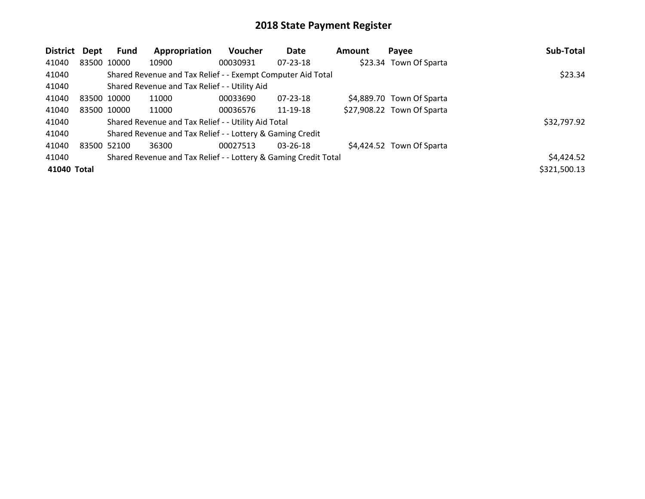| <b>District</b> | Dept        | Fund        | Appropriation                                                   | Voucher  | Date           | <b>Amount</b> | Payee                      | Sub-Total    |
|-----------------|-------------|-------------|-----------------------------------------------------------------|----------|----------------|---------------|----------------------------|--------------|
| 41040           |             | 83500 10000 | 10900                                                           | 00030931 | $07 - 23 - 18$ |               | \$23.34 Town Of Sparta     |              |
| 41040           |             |             | Shared Revenue and Tax Relief - - Exempt Computer Aid Total     |          |                |               |                            | \$23.34      |
| 41040           |             |             | Shared Revenue and Tax Relief - - Utility Aid                   |          |                |               |                            |              |
| 41040           | 83500 10000 |             | 11000                                                           | 00033690 | $07 - 23 - 18$ |               | \$4,889.70 Town Of Sparta  |              |
| 41040           |             | 83500 10000 | 11000                                                           | 00036576 | 11-19-18       |               | \$27,908.22 Town Of Sparta |              |
| 41040           |             |             | Shared Revenue and Tax Relief - - Utility Aid Total             |          |                |               |                            | \$32,797.92  |
| 41040           |             |             | Shared Revenue and Tax Relief - - Lottery & Gaming Credit       |          |                |               |                            |              |
| 41040           | 83500 52100 |             | 36300                                                           | 00027513 | $03 - 26 - 18$ |               | \$4,424.52 Town Of Sparta  |              |
| 41040           |             |             | Shared Revenue and Tax Relief - - Lottery & Gaming Credit Total |          |                |               |                            | \$4,424.52   |
| 41040 Total     |             |             |                                                                 |          |                |               |                            | \$321,500.13 |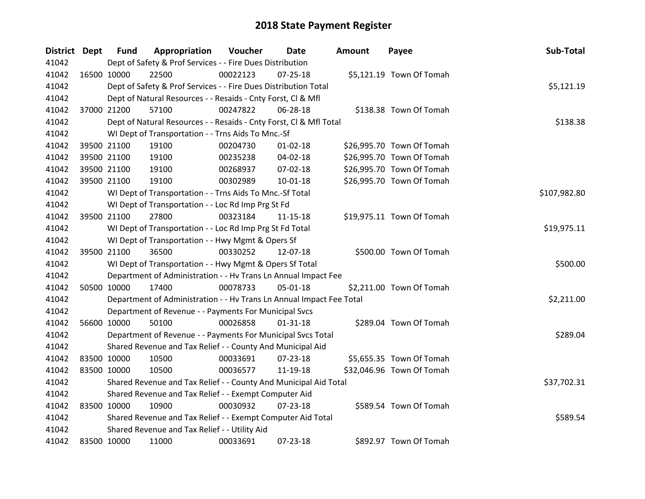| <b>District Dept</b> | <b>Fund</b> | Appropriation                                                        | Voucher     | Date           | <b>Amount</b> | Payee                     | Sub-Total    |
|----------------------|-------------|----------------------------------------------------------------------|-------------|----------------|---------------|---------------------------|--------------|
| 41042                |             | Dept of Safety & Prof Services - - Fire Dues Distribution            |             |                |               |                           |              |
| 41042                | 16500 10000 | 22500                                                                | 00022123    | $07 - 25 - 18$ |               | \$5,121.19 Town Of Tomah  |              |
| 41042                |             | Dept of Safety & Prof Services - - Fire Dues Distribution Total      |             |                |               |                           | \$5,121.19   |
| 41042                |             | Dept of Natural Resources - - Resaids - Cnty Forst, Cl & Mfl         |             |                |               |                           |              |
| 41042                | 37000 21200 | 57100                                                                | 00247822    | 06-28-18       |               | \$138.38 Town Of Tomah    |              |
| 41042                |             | Dept of Natural Resources - - Resaids - Cnty Forst, CI & Mfl Total   |             |                |               |                           | \$138.38     |
| 41042                |             | WI Dept of Transportation - - Trns Aids To Mnc.-Sf                   |             |                |               |                           |              |
| 41042                | 39500 21100 | 19100                                                                | 00204730    | $01 - 02 - 18$ |               | \$26,995.70 Town Of Tomah |              |
| 41042                | 39500 21100 | 19100                                                                | 00235238    | 04-02-18       |               | \$26,995.70 Town Of Tomah |              |
| 41042                | 39500 21100 | 19100                                                                | 00268937    | 07-02-18       |               | \$26,995.70 Town Of Tomah |              |
| 41042                | 39500 21100 | 19100                                                                | 00302989    | $10 - 01 - 18$ |               | \$26,995.70 Town Of Tomah |              |
| 41042                |             | WI Dept of Transportation - - Trns Aids To Mnc.-Sf Total             |             |                |               |                           | \$107,982.80 |
| 41042                |             | WI Dept of Transportation - - Loc Rd Imp Prg St Fd                   |             |                |               |                           |              |
| 41042                | 39500 21100 | 27800                                                                | 00323184    | $11 - 15 - 18$ |               | \$19,975.11 Town Of Tomah |              |
| 41042                |             | WI Dept of Transportation - - Loc Rd Imp Prg St Fd Total             | \$19,975.11 |                |               |                           |              |
| 41042                |             | WI Dept of Transportation - - Hwy Mgmt & Opers Sf                    |             |                |               |                           |              |
| 41042                | 39500 21100 | 36500                                                                | 00330252    | 12-07-18       |               | \$500.00 Town Of Tomah    |              |
| 41042                |             | WI Dept of Transportation - - Hwy Mgmt & Opers Sf Total              |             |                |               |                           | \$500.00     |
| 41042                |             | Department of Administration - - Hv Trans Ln Annual Impact Fee       |             |                |               |                           |              |
| 41042                | 50500 10000 | 17400                                                                | 00078733    | 05-01-18       |               | \$2,211.00 Town Of Tomah  |              |
| 41042                |             | Department of Administration - - Hv Trans Ln Annual Impact Fee Total |             |                |               |                           | \$2,211.00   |
| 41042                |             | Department of Revenue - - Payments For Municipal Svcs                |             |                |               |                           |              |
| 41042                | 56600 10000 | 50100                                                                | 00026858    | $01 - 31 - 18$ |               | \$289.04 Town Of Tomah    |              |
| 41042                |             | Department of Revenue - - Payments For Municipal Svcs Total          |             |                |               |                           | \$289.04     |
| 41042                |             | Shared Revenue and Tax Relief - - County And Municipal Aid           |             |                |               |                           |              |
| 41042                | 83500 10000 | 10500                                                                | 00033691    | $07 - 23 - 18$ |               | \$5,655.35 Town Of Tomah  |              |
| 41042                | 83500 10000 | 10500                                                                | 00036577    | 11-19-18       |               | \$32,046.96 Town Of Tomah |              |
| 41042                |             | Shared Revenue and Tax Relief - - County And Municipal Aid Total     |             |                |               |                           | \$37,702.31  |
| 41042                |             | Shared Revenue and Tax Relief - - Exempt Computer Aid                |             |                |               |                           |              |
| 41042                | 83500 10000 | 10900                                                                | 00030932    | $07 - 23 - 18$ |               | \$589.54 Town Of Tomah    |              |
| 41042                |             | Shared Revenue and Tax Relief - - Exempt Computer Aid Total          |             |                |               |                           | \$589.54     |
| 41042                |             | Shared Revenue and Tax Relief - - Utility Aid                        |             |                |               |                           |              |
| 41042                | 83500 10000 | 11000                                                                | 00033691    | 07-23-18       |               | \$892.97 Town Of Tomah    |              |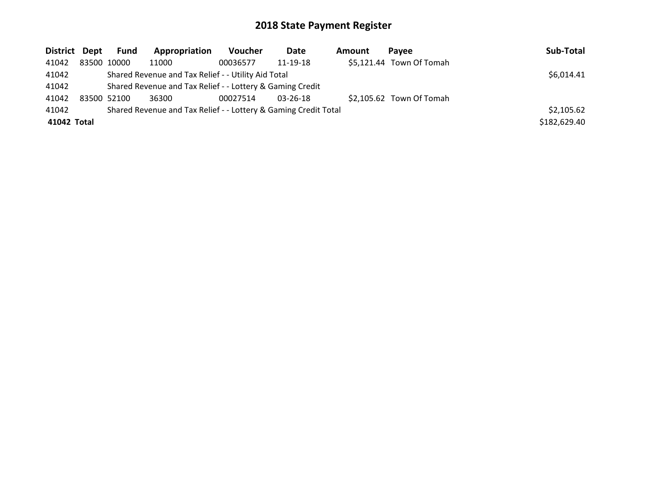| District Dept | <b>Fund</b>                                               | Appropriation                                                   | <b>Voucher</b> | Date           | Amount | <b>Pavee</b>             | Sub-Total    |
|---------------|-----------------------------------------------------------|-----------------------------------------------------------------|----------------|----------------|--------|--------------------------|--------------|
| 41042         | 83500 10000                                               | 11000                                                           | 00036577       | 11-19-18       |        | \$5,121.44 Town Of Tomah |              |
| 41042         |                                                           | Shared Revenue and Tax Relief - - Utility Aid Total             |                |                |        |                          | \$6,014.41   |
| 41042         | Shared Revenue and Tax Relief - - Lottery & Gaming Credit |                                                                 |                |                |        |                          |              |
| 41042         | 83500 52100                                               | 36300                                                           | 00027514       | $03 - 26 - 18$ |        | \$2,105.62 Town Of Tomah |              |
| 41042         |                                                           | Shared Revenue and Tax Relief - - Lottery & Gaming Credit Total |                |                |        |                          | \$2,105.62   |
| 41042 Total   |                                                           |                                                                 |                |                |        |                          | \$182,629.40 |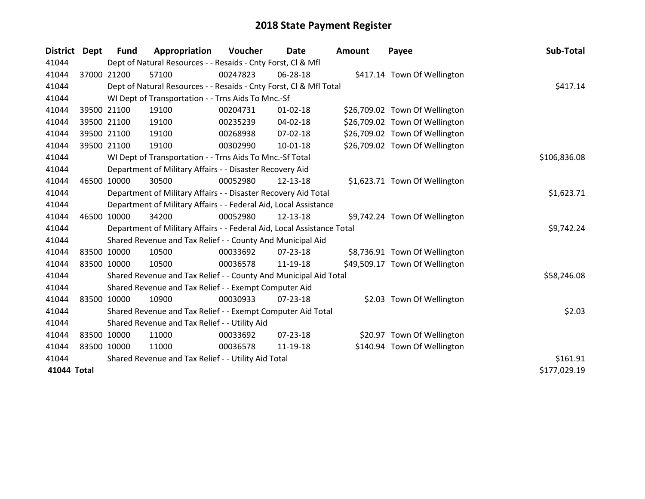| <b>District</b> | <b>Dept</b> | <b>Fund</b>                                   | Appropriation                                                          | Voucher  | <b>Date</b>    | <b>Amount</b> | Payee                          | Sub-Total    |
|-----------------|-------------|-----------------------------------------------|------------------------------------------------------------------------|----------|----------------|---------------|--------------------------------|--------------|
| 41044           |             |                                               | Dept of Natural Resources - - Resaids - Cnty Forst, CI & Mfl           |          |                |               |                                |              |
| 41044           |             | 37000 21200                                   | 57100                                                                  | 00247823 | 06-28-18       |               | \$417.14 Town Of Wellington    |              |
| 41044           |             |                                               | Dept of Natural Resources - - Resaids - Cnty Forst, CI & Mfl Total     |          |                |               |                                | \$417.14     |
| 41044           |             |                                               | WI Dept of Transportation - - Trns Aids To Mnc.-Sf                     |          |                |               |                                |              |
| 41044           |             | 39500 21100                                   | 19100                                                                  | 00204731 | $01 - 02 - 18$ |               | \$26,709.02 Town Of Wellington |              |
| 41044           |             | 39500 21100                                   | 19100                                                                  | 00235239 | $04 - 02 - 18$ |               | \$26,709.02 Town Of Wellington |              |
| 41044           |             | 39500 21100                                   | 19100                                                                  | 00268938 | $07 - 02 - 18$ |               | \$26,709.02 Town Of Wellington |              |
| 41044           |             | 39500 21100                                   | 19100                                                                  | 00302990 | $10 - 01 - 18$ |               | \$26,709.02 Town Of Wellington |              |
| 41044           |             |                                               | WI Dept of Transportation - - Trns Aids To Mnc.-Sf Total               |          |                |               |                                | \$106,836.08 |
| 41044           |             |                                               | Department of Military Affairs - - Disaster Recovery Aid               |          |                |               |                                |              |
| 41044           |             | 46500 10000                                   | 30500                                                                  | 00052980 | 12-13-18       |               | \$1,623.71 Town Of Wellington  |              |
| 41044           |             |                                               | Department of Military Affairs - - Disaster Recovery Aid Total         |          |                |               |                                | \$1,623.71   |
| 41044           |             |                                               | Department of Military Affairs - - Federal Aid, Local Assistance       |          |                |               |                                |              |
| 41044           |             | 46500 10000                                   | 34200                                                                  | 00052980 | 12-13-18       |               | \$9,742.24 Town Of Wellington  |              |
| 41044           |             |                                               | Department of Military Affairs - - Federal Aid, Local Assistance Total |          |                |               |                                | \$9,742.24   |
| 41044           |             |                                               | Shared Revenue and Tax Relief - - County And Municipal Aid             |          |                |               |                                |              |
| 41044           |             | 83500 10000                                   | 10500                                                                  | 00033692 | $07 - 23 - 18$ |               | \$8,736.91 Town Of Wellington  |              |
| 41044           |             | 83500 10000                                   | 10500                                                                  | 00036578 | 11-19-18       |               | \$49,509.17 Town Of Wellington |              |
| 41044           |             |                                               | Shared Revenue and Tax Relief - - County And Municipal Aid Total       |          |                |               |                                | \$58,246.08  |
| 41044           |             |                                               | Shared Revenue and Tax Relief - - Exempt Computer Aid                  |          |                |               |                                |              |
| 41044           |             | 83500 10000                                   | 10900                                                                  | 00030933 | 07-23-18       |               | \$2.03 Town Of Wellington      |              |
| 41044           |             |                                               | Shared Revenue and Tax Relief - - Exempt Computer Aid Total            |          |                |               |                                | \$2.03       |
| 41044           |             | Shared Revenue and Tax Relief - - Utility Aid |                                                                        |          |                |               |                                |              |
| 41044           |             | 83500 10000                                   | 11000                                                                  | 00033692 | $07 - 23 - 18$ |               | \$20.97 Town Of Wellington     |              |
| 41044           |             | 83500 10000                                   | 11000                                                                  | 00036578 | 11-19-18       |               | \$140.94 Town Of Wellington    |              |
| 41044           |             |                                               | Shared Revenue and Tax Relief - - Utility Aid Total                    |          |                |               |                                | \$161.91     |
| 41044 Total     |             |                                               |                                                                        |          |                |               |                                | \$177,029.19 |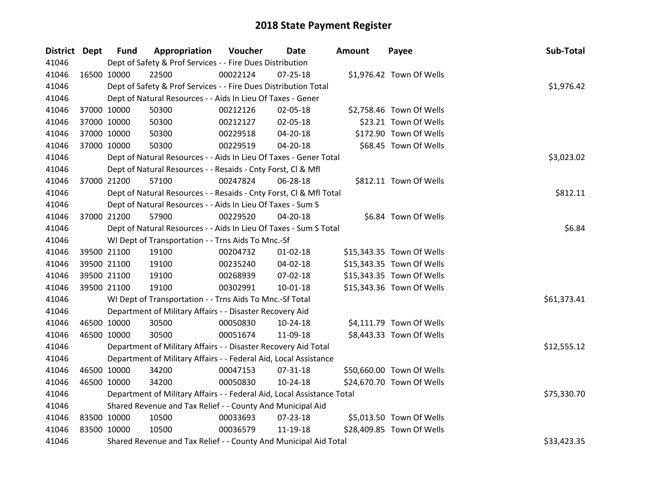| District Dept |             | <b>Fund</b> | Appropriation                                                          | Voucher  | Date           | <b>Amount</b> | Payee                     | Sub-Total   |
|---------------|-------------|-------------|------------------------------------------------------------------------|----------|----------------|---------------|---------------------------|-------------|
| 41046         |             |             | Dept of Safety & Prof Services - - Fire Dues Distribution              |          |                |               |                           |             |
| 41046         |             | 16500 10000 | 22500                                                                  | 00022124 | $07 - 25 - 18$ |               | \$1,976.42 Town Of Wells  |             |
| 41046         |             |             | Dept of Safety & Prof Services - - Fire Dues Distribution Total        |          |                |               |                           | \$1,976.42  |
| 41046         |             |             | Dept of Natural Resources - - Aids In Lieu Of Taxes - Gener            |          |                |               |                           |             |
| 41046         |             | 37000 10000 | 50300                                                                  | 00212126 | 02-05-18       |               | \$2,758.46 Town Of Wells  |             |
| 41046         |             | 37000 10000 | 50300                                                                  | 00212127 | 02-05-18       |               | \$23.21 Town Of Wells     |             |
| 41046         |             | 37000 10000 | 50300                                                                  | 00229518 | 04-20-18       |               | \$172.90 Town Of Wells    |             |
| 41046         |             | 37000 10000 | 50300                                                                  | 00229519 | 04-20-18       |               | \$68.45 Town Of Wells     |             |
| 41046         |             |             | Dept of Natural Resources - - Aids In Lieu Of Taxes - Gener Total      |          |                |               |                           | \$3,023.02  |
| 41046         |             |             | Dept of Natural Resources - - Resaids - Cnty Forst, CI & Mfl           |          |                |               |                           |             |
| 41046         |             | 37000 21200 | 57100                                                                  | 00247824 | 06-28-18       |               | \$812.11 Town Of Wells    |             |
| 41046         |             |             | Dept of Natural Resources - - Resaids - Cnty Forst, Cl & Mfl Total     |          |                |               |                           | \$812.11    |
| 41046         |             |             | Dept of Natural Resources - - Aids In Lieu Of Taxes - Sum S            |          |                |               |                           |             |
| 41046         |             | 37000 21200 | 57900                                                                  | 00229520 | 04-20-18       |               | \$6.84 Town Of Wells      |             |
| 41046         |             |             | Dept of Natural Resources - - Aids In Lieu Of Taxes - Sum S Total      | \$6.84   |                |               |                           |             |
| 41046         |             |             | WI Dept of Transportation - - Trns Aids To Mnc.-Sf                     |          |                |               |                           |             |
| 41046         |             | 39500 21100 | 19100                                                                  | 00204732 | $01 - 02 - 18$ |               | \$15,343.35 Town Of Wells |             |
| 41046         |             | 39500 21100 | 19100                                                                  | 00235240 | 04-02-18       |               | \$15,343.35 Town Of Wells |             |
| 41046         |             | 39500 21100 | 19100                                                                  | 00268939 | 07-02-18       |               | \$15,343.35 Town Of Wells |             |
| 41046         |             | 39500 21100 | 19100                                                                  | 00302991 | 10-01-18       |               | \$15,343.36 Town Of Wells |             |
| 41046         |             |             | WI Dept of Transportation - - Trns Aids To Mnc.-Sf Total               |          |                |               |                           | \$61,373.41 |
| 41046         |             |             | Department of Military Affairs - - Disaster Recovery Aid               |          |                |               |                           |             |
| 41046         |             | 46500 10000 | 30500                                                                  | 00050830 | $10-24-18$     |               | \$4,111.79 Town Of Wells  |             |
| 41046         |             | 46500 10000 | 30500                                                                  | 00051674 | 11-09-18       |               | \$8,443.33 Town Of Wells  |             |
| 41046         |             |             | Department of Military Affairs - - Disaster Recovery Aid Total         |          |                |               |                           | \$12,555.12 |
| 41046         |             |             | Department of Military Affairs - - Federal Aid, Local Assistance       |          |                |               |                           |             |
| 41046         |             | 46500 10000 | 34200                                                                  | 00047153 | 07-31-18       |               | \$50,660.00 Town Of Wells |             |
| 41046         |             | 46500 10000 | 34200                                                                  | 00050830 | 10-24-18       |               | \$24,670.70 Town Of Wells |             |
| 41046         |             |             | Department of Military Affairs - - Federal Aid, Local Assistance Total |          |                |               |                           | \$75,330.70 |
| 41046         |             |             | Shared Revenue and Tax Relief - - County And Municipal Aid             |          |                |               |                           |             |
| 41046         | 83500 10000 |             | 10500                                                                  | 00033693 | 07-23-18       |               | \$5,013.50 Town Of Wells  |             |
| 41046         | 83500 10000 |             | 10500                                                                  | 00036579 | 11-19-18       |               | \$28,409.85 Town Of Wells |             |
| 41046         |             |             | Shared Revenue and Tax Relief - - County And Municipal Aid Total       |          |                |               |                           | \$33,423.35 |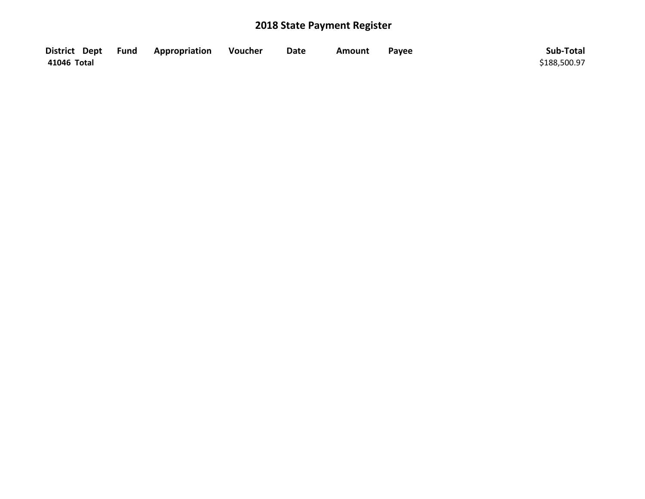|             | District Dept Fund Appropriation | Voucher | <b>Date</b> | <b>Amount</b> | Payee | Sub-Total    |
|-------------|----------------------------------|---------|-------------|---------------|-------|--------------|
| 41046 Total |                                  |         |             |               |       | \$188,500.97 |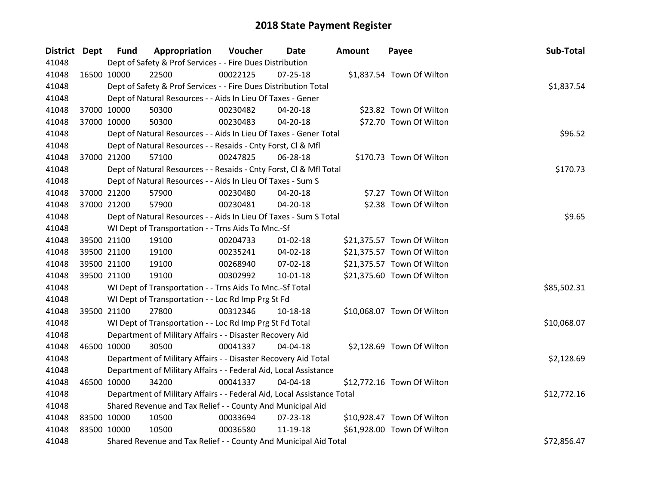| District Dept |             | <b>Fund</b> | Appropriation                                                          | Voucher  | Date           | <b>Amount</b> | Payee                      | Sub-Total   |
|---------------|-------------|-------------|------------------------------------------------------------------------|----------|----------------|---------------|----------------------------|-------------|
| 41048         |             |             | Dept of Safety & Prof Services - - Fire Dues Distribution              |          |                |               |                            |             |
| 41048         | 16500 10000 |             | 22500                                                                  | 00022125 | $07 - 25 - 18$ |               | \$1,837.54 Town Of Wilton  |             |
| 41048         |             |             | Dept of Safety & Prof Services - - Fire Dues Distribution Total        |          |                |               |                            | \$1,837.54  |
| 41048         |             |             | Dept of Natural Resources - - Aids In Lieu Of Taxes - Gener            |          |                |               |                            |             |
| 41048         |             | 37000 10000 | 50300                                                                  | 00230482 | 04-20-18       |               | \$23.82 Town Of Wilton     |             |
| 41048         |             | 37000 10000 | 50300                                                                  | 00230483 | 04-20-18       |               | \$72.70 Town Of Wilton     |             |
| 41048         |             |             | Dept of Natural Resources - - Aids In Lieu Of Taxes - Gener Total      |          |                |               |                            | \$96.52     |
| 41048         |             |             | Dept of Natural Resources - - Resaids - Cnty Forst, CI & Mfl           |          |                |               |                            |             |
| 41048         |             | 37000 21200 | 57100                                                                  | 00247825 | 06-28-18       |               | \$170.73 Town Of Wilton    |             |
| 41048         |             |             | Dept of Natural Resources - - Resaids - Cnty Forst, Cl & Mfl Total     |          |                |               |                            | \$170.73    |
| 41048         |             |             | Dept of Natural Resources - - Aids In Lieu Of Taxes - Sum S            |          |                |               |                            |             |
| 41048         |             | 37000 21200 | 57900                                                                  | 00230480 | 04-20-18       |               | \$7.27 Town Of Wilton      |             |
| 41048         |             | 37000 21200 | 57900                                                                  | 00230481 | 04-20-18       |               | \$2.38 Town Of Wilton      |             |
| 41048         |             |             | Dept of Natural Resources - - Aids In Lieu Of Taxes - Sum S Total      |          |                |               |                            | \$9.65      |
| 41048         |             |             | WI Dept of Transportation - - Trns Aids To Mnc.-Sf                     |          |                |               |                            |             |
| 41048         |             | 39500 21100 | 19100                                                                  | 00204733 | $01 - 02 - 18$ |               | \$21,375.57 Town Of Wilton |             |
| 41048         |             | 39500 21100 | 19100                                                                  | 00235241 | 04-02-18       |               | \$21,375.57 Town Of Wilton |             |
| 41048         |             | 39500 21100 | 19100                                                                  | 00268940 | 07-02-18       |               | \$21,375.57 Town Of Wilton |             |
| 41048         |             | 39500 21100 | 19100                                                                  | 00302992 | 10-01-18       |               | \$21,375.60 Town Of Wilton |             |
| 41048         |             |             | WI Dept of Transportation - - Trns Aids To Mnc.-Sf Total               |          |                |               |                            | \$85,502.31 |
| 41048         |             |             | WI Dept of Transportation - - Loc Rd Imp Prg St Fd                     |          |                |               |                            |             |
| 41048         |             | 39500 21100 | 27800                                                                  | 00312346 | 10-18-18       |               | \$10,068.07 Town Of Wilton |             |
| 41048         |             |             | WI Dept of Transportation - - Loc Rd Imp Prg St Fd Total               |          |                |               |                            | \$10,068.07 |
| 41048         |             |             | Department of Military Affairs - - Disaster Recovery Aid               |          |                |               |                            |             |
| 41048         |             | 46500 10000 | 30500                                                                  | 00041337 | 04-04-18       |               | \$2,128.69 Town Of Wilton  |             |
| 41048         |             |             | Department of Military Affairs - - Disaster Recovery Aid Total         |          |                |               |                            | \$2,128.69  |
| 41048         |             |             | Department of Military Affairs - - Federal Aid, Local Assistance       |          |                |               |                            |             |
| 41048         |             | 46500 10000 | 34200                                                                  | 00041337 | 04-04-18       |               | \$12,772.16 Town Of Wilton |             |
| 41048         |             |             | Department of Military Affairs - - Federal Aid, Local Assistance Total |          |                |               |                            | \$12,772.16 |
| 41048         |             |             | Shared Revenue and Tax Relief - - County And Municipal Aid             |          |                |               |                            |             |
| 41048         | 83500 10000 |             | 10500                                                                  | 00033694 | 07-23-18       |               | \$10,928.47 Town Of Wilton |             |
| 41048         | 83500 10000 |             | 10500                                                                  | 00036580 | 11-19-18       |               | \$61,928.00 Town Of Wilton |             |
| 41048         |             |             | Shared Revenue and Tax Relief - - County And Municipal Aid Total       |          |                |               |                            | \$72,856.47 |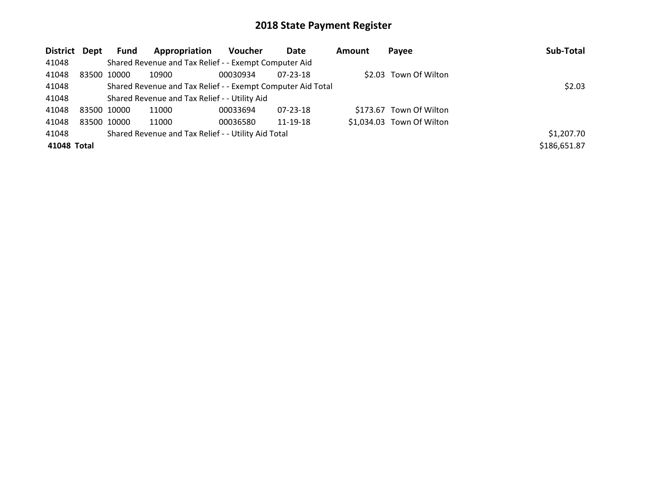| District Dept | Fund        | Appropriation                                               | <b>Voucher</b> | Date     | Amount | Payee                     | Sub-Total    |
|---------------|-------------|-------------------------------------------------------------|----------------|----------|--------|---------------------------|--------------|
| 41048         |             | Shared Revenue and Tax Relief - - Exempt Computer Aid       |                |          |        |                           |              |
| 41048         | 83500 10000 | 10900                                                       | 00030934       | 07-23-18 |        | \$2.03 Town Of Wilton     |              |
| 41048         |             | Shared Revenue and Tax Relief - - Exempt Computer Aid Total |                |          |        |                           | \$2.03       |
| 41048         |             | Shared Revenue and Tax Relief - - Utility Aid               |                |          |        |                           |              |
| 41048         | 83500 10000 | 11000                                                       | 00033694       | 07-23-18 |        | \$173.67 Town Of Wilton   |              |
| 41048         | 83500 10000 | 11000                                                       | 00036580       | 11-19-18 |        | \$1,034.03 Town Of Wilton |              |
| 41048         |             | Shared Revenue and Tax Relief - - Utility Aid Total         |                |          |        |                           | \$1,207.70   |
| 41048 Total   |             |                                                             |                |          |        |                           | \$186,651.87 |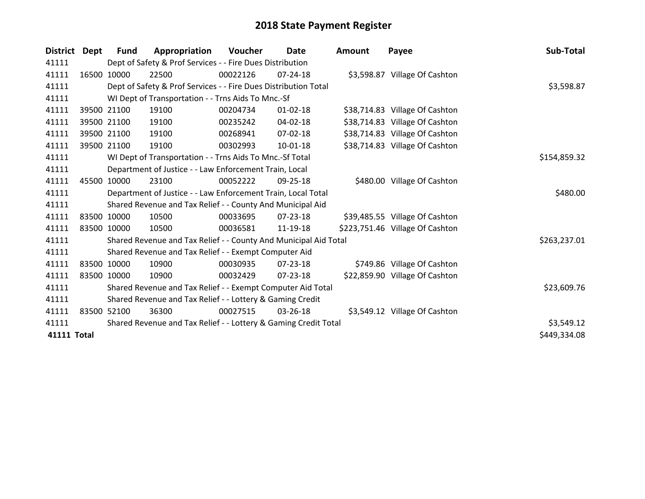| <b>District</b>    | Dept  | <b>Fund</b> | Appropriation                                                    | Voucher  | <b>Date</b>    | <b>Amount</b> | Payee                           | Sub-Total    |
|--------------------|-------|-------------|------------------------------------------------------------------|----------|----------------|---------------|---------------------------------|--------------|
| 41111              |       |             | Dept of Safety & Prof Services - - Fire Dues Distribution        |          |                |               |                                 |              |
| 41111              |       | 16500 10000 | 22500                                                            | 00022126 | $07 - 24 - 18$ |               | \$3,598.87 Village Of Cashton   |              |
| 41111              |       |             | Dept of Safety & Prof Services - - Fire Dues Distribution Total  |          |                |               |                                 | \$3,598.87   |
| 41111              |       |             | WI Dept of Transportation - - Trns Aids To Mnc.-Sf               |          |                |               |                                 |              |
| 41111              |       | 39500 21100 | 19100                                                            | 00204734 | $01 - 02 - 18$ |               | \$38,714.83 Village Of Cashton  |              |
| 41111              |       | 39500 21100 | 19100                                                            | 00235242 | 04-02-18       |               | \$38,714.83 Village Of Cashton  |              |
| 41111              |       | 39500 21100 | 19100                                                            | 00268941 | 07-02-18       |               | \$38,714.83 Village Of Cashton  |              |
| 41111              |       | 39500 21100 | 19100                                                            | 00302993 | $10 - 01 - 18$ |               | \$38,714.83 Village Of Cashton  |              |
| 41111              |       |             | WI Dept of Transportation - - Trns Aids To Mnc.-Sf Total         |          |                |               |                                 | \$154,859.32 |
| 41111              |       |             | Department of Justice - - Law Enforcement Train, Local           |          |                |               |                                 |              |
| 41111              | 45500 | 10000       | 23100                                                            | 00052222 | 09-25-18       |               | \$480.00 Village Of Cashton     |              |
| 41111              |       |             | Department of Justice - - Law Enforcement Train, Local Total     |          |                |               |                                 | \$480.00     |
| 41111              |       |             | Shared Revenue and Tax Relief - - County And Municipal Aid       |          |                |               |                                 |              |
| 41111              |       | 83500 10000 | 10500                                                            | 00033695 | 07-23-18       |               | \$39,485.55 Village Of Cashton  |              |
| 41111              |       | 83500 10000 | 10500                                                            | 00036581 | 11-19-18       |               | \$223,751.46 Village Of Cashton |              |
| 41111              |       |             | Shared Revenue and Tax Relief - - County And Municipal Aid Total |          |                |               |                                 | \$263,237.01 |
| 41111              |       |             | Shared Revenue and Tax Relief - - Exempt Computer Aid            |          |                |               |                                 |              |
| 41111              |       | 83500 10000 | 10900                                                            | 00030935 | $07 - 23 - 18$ |               | \$749.86 Village Of Cashton     |              |
| 41111              |       | 83500 10000 | 10900                                                            | 00032429 | $07 - 23 - 18$ |               | \$22,859.90 Village Of Cashton  |              |
| 41111              |       |             | Shared Revenue and Tax Relief - - Exempt Computer Aid Total      |          |                |               |                                 | \$23,609.76  |
| 41111              |       |             | Shared Revenue and Tax Relief - - Lottery & Gaming Credit        |          |                |               |                                 |              |
| 41111              |       | 83500 52100 | 36300                                                            | 00027515 | $03 - 26 - 18$ |               | \$3,549.12 Village Of Cashton   |              |
| 41111              |       |             | Shared Revenue and Tax Relief - - Lottery & Gaming Credit Total  |          |                |               |                                 | \$3,549.12   |
| <b>41111 Total</b> |       |             |                                                                  |          |                |               |                                 | \$449,334.08 |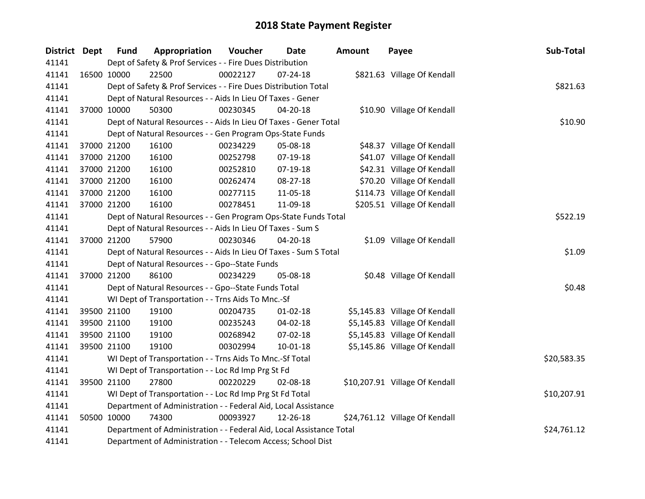| District Dept | <b>Fund</b> | Appropriation                                                        | Voucher  | <b>Date</b> | <b>Amount</b> | Payee                          | Sub-Total   |
|---------------|-------------|----------------------------------------------------------------------|----------|-------------|---------------|--------------------------------|-------------|
| 41141         |             | Dept of Safety & Prof Services - - Fire Dues Distribution            |          |             |               |                                |             |
| 41141         | 16500 10000 | 22500                                                                | 00022127 | 07-24-18    |               | \$821.63 Village Of Kendall    |             |
| 41141         |             | Dept of Safety & Prof Services - - Fire Dues Distribution Total      |          |             |               |                                | \$821.63    |
| 41141         |             | Dept of Natural Resources - - Aids In Lieu Of Taxes - Gener          |          |             |               |                                |             |
| 41141         | 37000 10000 | 50300                                                                | 00230345 | 04-20-18    |               | \$10.90 Village Of Kendall     |             |
| 41141         |             | Dept of Natural Resources - - Aids In Lieu Of Taxes - Gener Total    |          | \$10.90     |               |                                |             |
| 41141         |             | Dept of Natural Resources - - Gen Program Ops-State Funds            |          |             |               |                                |             |
| 41141         | 37000 21200 | 16100                                                                | 00234229 | 05-08-18    |               | \$48.37 Village Of Kendall     |             |
| 41141         | 37000 21200 | 16100                                                                | 00252798 | 07-19-18    |               | \$41.07 Village Of Kendall     |             |
| 41141         | 37000 21200 | 16100                                                                | 00252810 | 07-19-18    |               | \$42.31 Village Of Kendall     |             |
| 41141         | 37000 21200 | 16100                                                                | 00262474 | 08-27-18    |               | \$70.20 Village Of Kendall     |             |
| 41141         | 37000 21200 | 16100                                                                | 00277115 | 11-05-18    |               | \$114.73 Village Of Kendall    |             |
| 41141         | 37000 21200 | 16100                                                                | 00278451 | 11-09-18    |               | \$205.51 Village Of Kendall    |             |
| 41141         |             | Dept of Natural Resources - - Gen Program Ops-State Funds Total      |          |             |               |                                | \$522.19    |
| 41141         |             | Dept of Natural Resources - - Aids In Lieu Of Taxes - Sum S          |          |             |               |                                |             |
| 41141         | 37000 21200 | 57900                                                                | 00230346 | 04-20-18    |               | \$1.09 Village Of Kendall      |             |
| 41141         |             | Dept of Natural Resources - - Aids In Lieu Of Taxes - Sum S Total    |          |             |               |                                | \$1.09      |
| 41141         |             | Dept of Natural Resources - - Gpo--State Funds                       |          |             |               |                                |             |
| 41141         | 37000 21200 | 86100                                                                | 00234229 | 05-08-18    |               | \$0.48 Village Of Kendall      |             |
| 41141         |             | Dept of Natural Resources - - Gpo--State Funds Total                 |          |             |               |                                | \$0.48      |
| 41141         |             | WI Dept of Transportation - - Trns Aids To Mnc.-Sf                   |          |             |               |                                |             |
| 41141         | 39500 21100 | 19100                                                                | 00204735 | 01-02-18    |               | \$5,145.83 Village Of Kendall  |             |
| 41141         | 39500 21100 | 19100                                                                | 00235243 | 04-02-18    |               | \$5,145.83 Village Of Kendall  |             |
| 41141         | 39500 21100 | 19100                                                                | 00268942 | 07-02-18    |               | \$5,145.83 Village Of Kendall  |             |
| 41141         | 39500 21100 | 19100                                                                | 00302994 | 10-01-18    |               | \$5,145.86 Village Of Kendall  |             |
| 41141         |             | WI Dept of Transportation - - Trns Aids To Mnc.-Sf Total             |          |             |               |                                | \$20,583.35 |
| 41141         |             | WI Dept of Transportation - - Loc Rd Imp Prg St Fd                   |          |             |               |                                |             |
| 41141         | 39500 21100 | 27800                                                                | 00220229 | 02-08-18    |               | \$10,207.91 Village Of Kendall |             |
| 41141         |             | WI Dept of Transportation - - Loc Rd Imp Prg St Fd Total             |          |             |               |                                | \$10,207.91 |
| 41141         |             | Department of Administration - - Federal Aid, Local Assistance       |          |             |               |                                |             |
| 41141         | 50500 10000 | 74300                                                                | 00093927 | 12-26-18    |               | \$24,761.12 Village Of Kendall |             |
| 41141         |             | Department of Administration - - Federal Aid, Local Assistance Total |          |             |               |                                | \$24,761.12 |
| 41141         |             | Department of Administration - - Telecom Access; School Dist         |          |             |               |                                |             |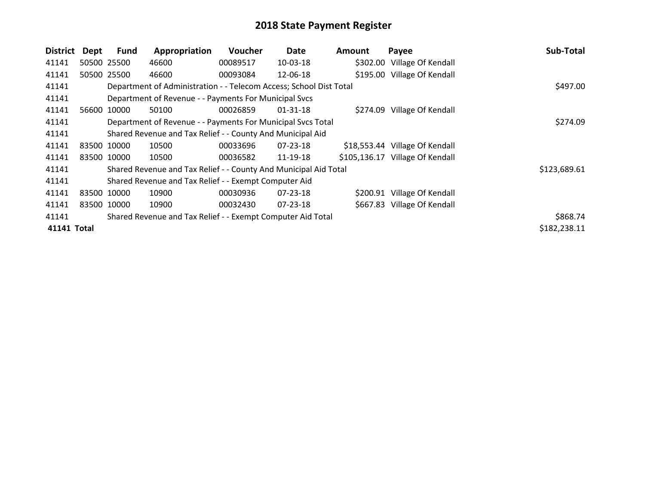| <b>District</b> | Dept        | <b>Fund</b> | Appropriation                                                      | Voucher  | Date           | <b>Amount</b> | Payee                           | Sub-Total    |
|-----------------|-------------|-------------|--------------------------------------------------------------------|----------|----------------|---------------|---------------------------------|--------------|
| 41141           |             | 50500 25500 | 46600                                                              | 00089517 | 10-03-18       |               | \$302.00 Village Of Kendall     |              |
| 41141           |             | 50500 25500 | 46600                                                              | 00093084 | 12-06-18       |               | \$195.00 Village Of Kendall     |              |
| 41141           |             |             | Department of Administration - - Telecom Access; School Dist Total |          |                |               |                                 | \$497.00     |
| 41141           |             |             | Department of Revenue - - Payments For Municipal Svcs              |          |                |               |                                 |              |
| 41141           |             | 56600 10000 | 50100                                                              | 00026859 | 01-31-18       |               | \$274.09 Village Of Kendall     |              |
| 41141           |             |             | Department of Revenue - - Payments For Municipal Svcs Total        |          |                |               |                                 | \$274.09     |
| 41141           |             |             | Shared Revenue and Tax Relief - - County And Municipal Aid         |          |                |               |                                 |              |
| 41141           | 83500 10000 |             | 10500                                                              | 00033696 | 07-23-18       |               | \$18,553.44 Village Of Kendall  |              |
| 41141           | 83500 10000 |             | 10500                                                              | 00036582 | 11-19-18       |               | \$105,136.17 Village Of Kendall |              |
| 41141           |             |             | Shared Revenue and Tax Relief - - County And Municipal Aid Total   |          |                |               |                                 | \$123,689.61 |
| 41141           |             |             | Shared Revenue and Tax Relief - - Exempt Computer Aid              |          |                |               |                                 |              |
| 41141           | 83500 10000 |             | 10900                                                              | 00030936 | $07 - 23 - 18$ |               | \$200.91 Village Of Kendall     |              |
| 41141           |             | 83500 10000 | 10900                                                              | 00032430 | $07 - 23 - 18$ |               | \$667.83 Village Of Kendall     |              |
| 41141           |             |             | Shared Revenue and Tax Relief - - Exempt Computer Aid Total        |          |                |               |                                 | \$868.74     |
| 41141 Total     |             |             |                                                                    |          |                |               |                                 | \$182,238.11 |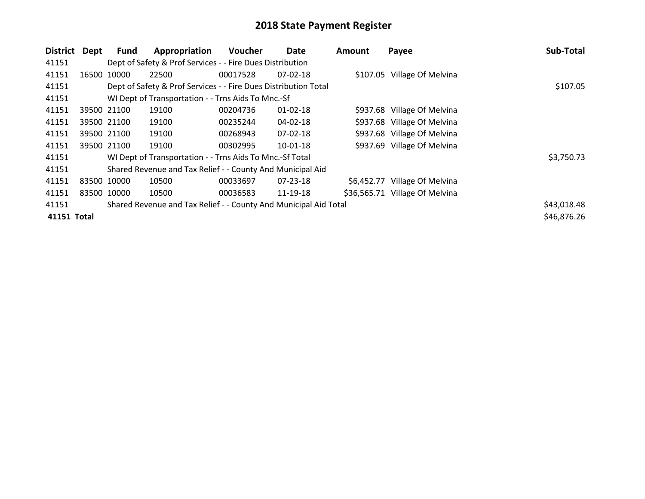| District    | Dept        | Fund        | Appropriation                                                    | <b>Voucher</b> | Date           | Amount     | Payee                          | Sub-Total   |
|-------------|-------------|-------------|------------------------------------------------------------------|----------------|----------------|------------|--------------------------------|-------------|
| 41151       |             |             | Dept of Safety & Prof Services - - Fire Dues Distribution        |                |                |            |                                |             |
| 41151       |             | 16500 10000 | 22500                                                            | 00017528       | $07-02-18$     |            | \$107.05 Village Of Melvina    |             |
| 41151       |             |             | Dept of Safety & Prof Services - - Fire Dues Distribution Total  |                |                |            |                                | \$107.05    |
| 41151       |             |             | WI Dept of Transportation - - Trns Aids To Mnc.-Sf               |                |                |            |                                |             |
| 41151       |             | 39500 21100 | 19100                                                            | 00204736       | $01 - 02 - 18$ |            | \$937.68 Village Of Melvina    |             |
| 41151       |             | 39500 21100 | 19100                                                            | 00235244       | 04-02-18       |            | \$937.68 Village Of Melvina    |             |
| 41151       |             | 39500 21100 | 19100                                                            | 00268943       | 07-02-18       |            | \$937.68 Village Of Melvina    |             |
| 41151       |             | 39500 21100 | 19100                                                            | 00302995       | $10 - 01 - 18$ |            | \$937.69 Village Of Melvina    |             |
| 41151       |             |             | WI Dept of Transportation - - Trns Aids To Mnc.-Sf Total         |                |                |            |                                | \$3,750.73  |
| 41151       |             |             | Shared Revenue and Tax Relief - - County And Municipal Aid       |                |                |            |                                |             |
| 41151       | 83500 10000 |             | 10500                                                            | 00033697       | $07 - 23 - 18$ | \$6,452.77 | Village Of Melvina             |             |
| 41151       | 83500 10000 |             | 10500                                                            | 00036583       | 11-19-18       |            | \$36,565.71 Village Of Melvina |             |
| 41151       |             |             | Shared Revenue and Tax Relief - - County And Municipal Aid Total |                |                |            |                                | \$43,018.48 |
| 41151 Total |             |             |                                                                  |                |                |            |                                | \$46,876.26 |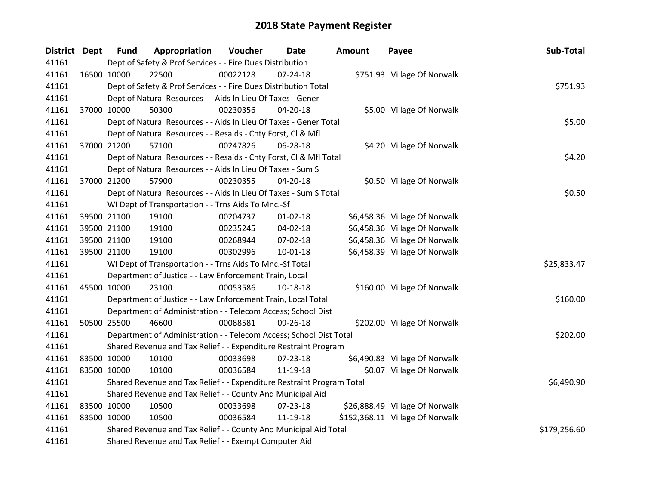| District Dept | <b>Fund</b> | Appropriation                                                         | Voucher  | Date           | Amount | Payee                           | Sub-Total    |
|---------------|-------------|-----------------------------------------------------------------------|----------|----------------|--------|---------------------------------|--------------|
| 41161         |             | Dept of Safety & Prof Services - - Fire Dues Distribution             |          |                |        |                                 |              |
| 41161         | 16500 10000 | 22500                                                                 | 00022128 | $07 - 24 - 18$ |        | \$751.93 Village Of Norwalk     |              |
| 41161         |             | Dept of Safety & Prof Services - - Fire Dues Distribution Total       |          |                |        |                                 | \$751.93     |
| 41161         |             | Dept of Natural Resources - - Aids In Lieu Of Taxes - Gener           |          |                |        |                                 |              |
| 41161         | 37000 10000 | 50300                                                                 | 00230356 | 04-20-18       |        | \$5.00 Village Of Norwalk       |              |
| 41161         |             | Dept of Natural Resources - - Aids In Lieu Of Taxes - Gener Total     | \$5.00   |                |        |                                 |              |
| 41161         |             | Dept of Natural Resources - - Resaids - Cnty Forst, Cl & Mfl          |          |                |        |                                 |              |
| 41161         | 37000 21200 | 57100                                                                 | 00247826 | 06-28-18       |        | \$4.20 Village Of Norwalk       |              |
| 41161         |             | Dept of Natural Resources - - Resaids - Cnty Forst, CI & Mfl Total    |          |                |        |                                 | \$4.20       |
| 41161         |             | Dept of Natural Resources - - Aids In Lieu Of Taxes - Sum S           |          |                |        |                                 |              |
| 41161         | 37000 21200 | 57900                                                                 | 00230355 | 04-20-18       |        | \$0.50 Village Of Norwalk       |              |
| 41161         |             | Dept of Natural Resources - - Aids In Lieu Of Taxes - Sum S Total     |          |                |        |                                 | \$0.50       |
| 41161         |             | WI Dept of Transportation - - Trns Aids To Mnc.-Sf                    |          |                |        |                                 |              |
| 41161         | 39500 21100 | 19100                                                                 | 00204737 | $01 - 02 - 18$ |        | \$6,458.36 Village Of Norwalk   |              |
| 41161         | 39500 21100 | 19100                                                                 | 00235245 | 04-02-18       |        | \$6,458.36 Village Of Norwalk   |              |
| 41161         | 39500 21100 | 19100                                                                 | 00268944 | 07-02-18       |        | \$6,458.36 Village Of Norwalk   |              |
| 41161         | 39500 21100 | 19100                                                                 | 00302996 | $10 - 01 - 18$ |        | \$6,458.39 Village Of Norwalk   |              |
| 41161         |             | WI Dept of Transportation - - Trns Aids To Mnc.-Sf Total              |          |                |        |                                 | \$25,833.47  |
| 41161         |             | Department of Justice - - Law Enforcement Train, Local                |          |                |        |                                 |              |
| 41161         | 45500 10000 | 23100                                                                 | 00053586 | 10-18-18       |        | \$160.00 Village Of Norwalk     |              |
| 41161         |             | Department of Justice - - Law Enforcement Train, Local Total          |          |                |        |                                 | \$160.00     |
| 41161         |             | Department of Administration - - Telecom Access; School Dist          |          |                |        |                                 |              |
| 41161         | 50500 25500 | 46600                                                                 | 00088581 | 09-26-18       |        | \$202.00 Village Of Norwalk     |              |
| 41161         |             | Department of Administration - - Telecom Access; School Dist Total    |          |                |        |                                 | \$202.00     |
| 41161         |             | Shared Revenue and Tax Relief - - Expenditure Restraint Program       |          |                |        |                                 |              |
| 41161         | 83500 10000 | 10100                                                                 | 00033698 | 07-23-18       |        | \$6,490.83 Village Of Norwalk   |              |
| 41161         | 83500 10000 | 10100                                                                 | 00036584 | 11-19-18       |        | \$0.07 Village Of Norwalk       |              |
| 41161         |             | Shared Revenue and Tax Relief - - Expenditure Restraint Program Total |          |                |        |                                 | \$6,490.90   |
| 41161         |             | Shared Revenue and Tax Relief - - County And Municipal Aid            |          |                |        |                                 |              |
| 41161         | 83500 10000 | 10500                                                                 | 00033698 | 07-23-18       |        | \$26,888.49 Village Of Norwalk  |              |
| 41161         | 83500 10000 | 10500                                                                 | 00036584 | 11-19-18       |        | \$152,368.11 Village Of Norwalk |              |
| 41161         |             | Shared Revenue and Tax Relief - - County And Municipal Aid Total      |          |                |        |                                 | \$179,256.60 |
| 41161         |             | Shared Revenue and Tax Relief - - Exempt Computer Aid                 |          |                |        |                                 |              |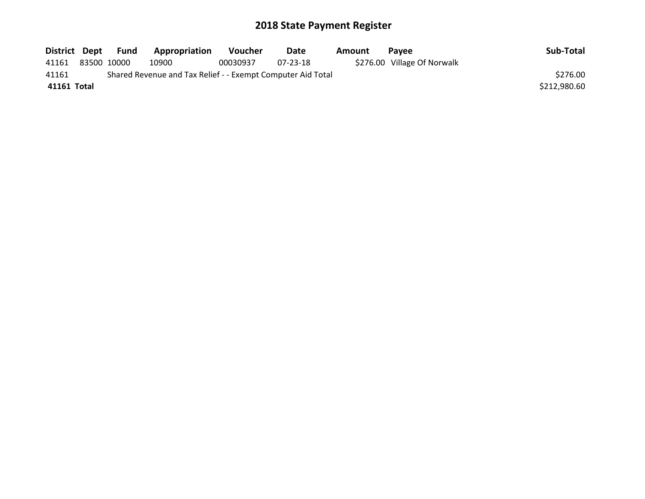| District Dept |             | Fund | Appropriation                                               | <b>Voucher</b> | Date     | Amount | Pavee                       | Sub-Total    |
|---------------|-------------|------|-------------------------------------------------------------|----------------|----------|--------|-----------------------------|--------------|
| 41161         | 83500 10000 |      | 10900                                                       | 00030937       | 07-23-18 |        | \$276.00 Village Of Norwalk |              |
| 41161         |             |      | Shared Revenue and Tax Relief - - Exempt Computer Aid Total |                |          |        |                             | \$276.00     |
| 41161 Total   |             |      |                                                             |                |          |        |                             | \$212,980.60 |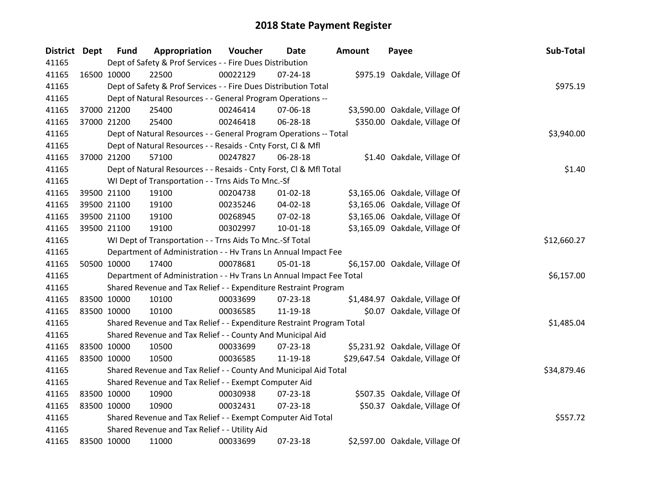| District Dept | <b>Fund</b> | Appropriation                                                         | Voucher  | Date           | Amount | Payee                           | Sub-Total   |
|---------------|-------------|-----------------------------------------------------------------------|----------|----------------|--------|---------------------------------|-------------|
| 41165         |             | Dept of Safety & Prof Services - - Fire Dues Distribution             |          |                |        |                                 |             |
| 41165         | 16500 10000 | 22500                                                                 | 00022129 | 07-24-18       |        | \$975.19 Oakdale, Village Of    |             |
| 41165         |             | Dept of Safety & Prof Services - - Fire Dues Distribution Total       |          |                |        |                                 | \$975.19    |
| 41165         |             | Dept of Natural Resources - - General Program Operations --           |          |                |        |                                 |             |
| 41165         | 37000 21200 | 25400                                                                 | 00246414 | 07-06-18       |        | \$3,590.00 Oakdale, Village Of  |             |
| 41165         | 37000 21200 | 25400                                                                 | 00246418 | 06-28-18       |        | \$350.00 Oakdale, Village Of    |             |
| 41165         |             | Dept of Natural Resources - - General Program Operations -- Total     |          |                |        |                                 | \$3,940.00  |
| 41165         |             | Dept of Natural Resources - - Resaids - Cnty Forst, Cl & Mfl          |          |                |        |                                 |             |
| 41165         | 37000 21200 | 57100                                                                 | 00247827 | 06-28-18       |        | \$1.40 Oakdale, Village Of      |             |
| 41165         |             | Dept of Natural Resources - - Resaids - Cnty Forst, Cl & Mfl Total    |          |                |        |                                 | \$1.40      |
| 41165         |             | WI Dept of Transportation - - Trns Aids To Mnc.-Sf                    |          |                |        |                                 |             |
| 41165         | 39500 21100 | 19100                                                                 | 00204738 | $01 - 02 - 18$ |        | \$3,165.06 Oakdale, Village Of  |             |
| 41165         | 39500 21100 | 19100                                                                 | 00235246 | 04-02-18       |        | \$3,165.06 Oakdale, Village Of  |             |
| 41165         | 39500 21100 | 19100                                                                 | 00268945 | 07-02-18       |        | \$3,165.06 Oakdale, Village Of  |             |
| 41165         | 39500 21100 | 19100                                                                 | 00302997 | 10-01-18       |        | \$3,165.09 Oakdale, Village Of  |             |
| 41165         |             | WI Dept of Transportation - - Trns Aids To Mnc.-Sf Total              |          |                |        |                                 | \$12,660.27 |
| 41165         |             | Department of Administration - - Hv Trans Ln Annual Impact Fee        |          |                |        |                                 |             |
| 41165         | 50500 10000 | 17400                                                                 | 00078681 | 05-01-18       |        | \$6,157.00 Oakdale, Village Of  |             |
| 41165         |             | Department of Administration - - Hv Trans Ln Annual Impact Fee Total  |          |                |        |                                 | \$6,157.00  |
| 41165         |             | Shared Revenue and Tax Relief - - Expenditure Restraint Program       |          |                |        |                                 |             |
| 41165         | 83500 10000 | 10100                                                                 | 00033699 | 07-23-18       |        | \$1,484.97 Oakdale, Village Of  |             |
| 41165         | 83500 10000 | 10100                                                                 | 00036585 | 11-19-18       |        | \$0.07 Oakdale, Village Of      |             |
| 41165         |             | Shared Revenue and Tax Relief - - Expenditure Restraint Program Total |          |                |        |                                 | \$1,485.04  |
| 41165         |             | Shared Revenue and Tax Relief - - County And Municipal Aid            |          |                |        |                                 |             |
| 41165         | 83500 10000 | 10500                                                                 | 00033699 | 07-23-18       |        | \$5,231.92 Oakdale, Village Of  |             |
| 41165         | 83500 10000 | 10500                                                                 | 00036585 | 11-19-18       |        | \$29,647.54 Oakdale, Village Of |             |
| 41165         |             | Shared Revenue and Tax Relief - - County And Municipal Aid Total      |          |                |        |                                 | \$34,879.46 |
| 41165         |             | Shared Revenue and Tax Relief - - Exempt Computer Aid                 |          |                |        |                                 |             |
| 41165         | 83500 10000 | 10900                                                                 | 00030938 | 07-23-18       |        | \$507.35 Oakdale, Village Of    |             |
| 41165         | 83500 10000 | 10900                                                                 | 00032431 | 07-23-18       |        | \$50.37 Oakdale, Village Of     |             |
| 41165         |             | Shared Revenue and Tax Relief - - Exempt Computer Aid Total           |          |                |        |                                 | \$557.72    |
| 41165         |             | Shared Revenue and Tax Relief - - Utility Aid                         |          |                |        |                                 |             |
| 41165         | 83500 10000 | 11000                                                                 | 00033699 | 07-23-18       |        | \$2,597.00 Oakdale, Village Of  |             |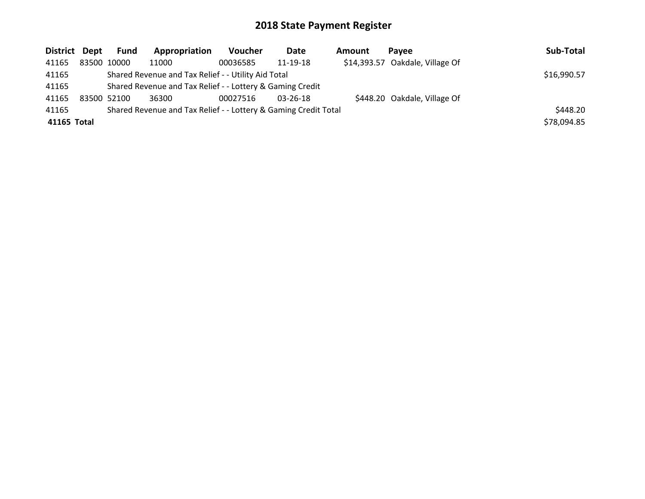| District Dept | <b>Fund</b> | Appropriation                                                   | <b>Voucher</b> | Date     | <b>Amount</b> | Pavee                           | Sub-Total   |
|---------------|-------------|-----------------------------------------------------------------|----------------|----------|---------------|---------------------------------|-------------|
| 41165         | 83500 10000 | 11000                                                           | 00036585       | 11-19-18 |               | \$14,393.57 Oakdale, Village Of |             |
| 41165         |             | Shared Revenue and Tax Relief - - Utility Aid Total             |                |          |               |                                 | \$16,990.57 |
| 41165         |             | Shared Revenue and Tax Relief - - Lottery & Gaming Credit       |                |          |               |                                 |             |
| 41165         | 83500 52100 | 36300                                                           | 00027516       | 03-26-18 |               | \$448.20 Oakdale, Village Of    |             |
| 41165         |             | Shared Revenue and Tax Relief - - Lottery & Gaming Credit Total |                |          |               |                                 | \$448.20    |
| 41165 Total   |             |                                                                 |                |          |               |                                 | \$78,094.85 |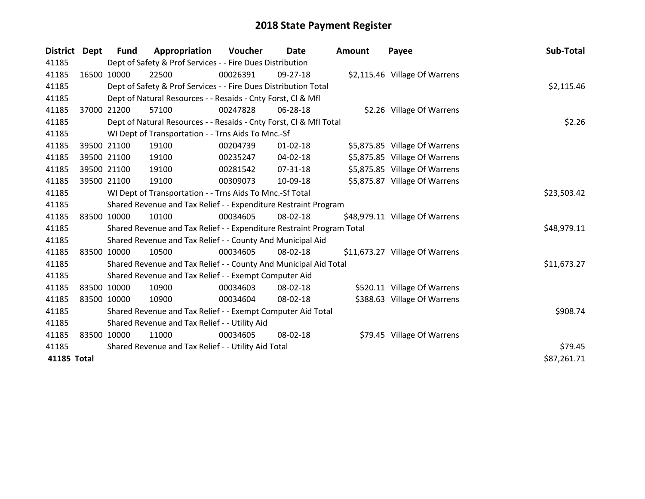| District Dept |                                                     | <b>Fund</b> | Appropriation                                                         | Voucher  | <b>Date</b>    | <b>Amount</b> | Payee                          | Sub-Total   |
|---------------|-----------------------------------------------------|-------------|-----------------------------------------------------------------------|----------|----------------|---------------|--------------------------------|-------------|
| 41185         |                                                     |             | Dept of Safety & Prof Services - - Fire Dues Distribution             |          |                |               |                                |             |
| 41185         |                                                     | 16500 10000 | 22500                                                                 | 00026391 | 09-27-18       |               | \$2,115.46 Village Of Warrens  |             |
| 41185         |                                                     |             | Dept of Safety & Prof Services - - Fire Dues Distribution Total       |          |                |               |                                | \$2,115.46  |
| 41185         |                                                     |             | Dept of Natural Resources - - Resaids - Cnty Forst, CI & Mfl          |          |                |               |                                |             |
| 41185         |                                                     | 37000 21200 | 57100                                                                 | 00247828 | 06-28-18       |               | \$2.26 Village Of Warrens      |             |
| 41185         |                                                     |             | Dept of Natural Resources - - Resaids - Cnty Forst, Cl & Mfl Total    |          |                |               |                                | \$2.26      |
| 41185         |                                                     |             | WI Dept of Transportation - - Trns Aids To Mnc.-Sf                    |          |                |               |                                |             |
| 41185         |                                                     | 39500 21100 | 19100                                                                 | 00204739 | $01 - 02 - 18$ |               | \$5,875.85 Village Of Warrens  |             |
| 41185         |                                                     | 39500 21100 | 19100                                                                 | 00235247 | $04 - 02 - 18$ |               | \$5,875.85 Village Of Warrens  |             |
| 41185         |                                                     | 39500 21100 | 19100                                                                 | 00281542 | $07 - 31 - 18$ |               | \$5,875.85 Village Of Warrens  |             |
| 41185         |                                                     | 39500 21100 | 19100                                                                 | 00309073 | 10-09-18       |               | \$5,875.87 Village Of Warrens  |             |
| 41185         |                                                     |             | WI Dept of Transportation - - Trns Aids To Mnc.-Sf Total              |          |                |               |                                | \$23,503.42 |
| 41185         |                                                     |             | Shared Revenue and Tax Relief - - Expenditure Restraint Program       |          |                |               |                                |             |
| 41185         |                                                     | 83500 10000 | 10100                                                                 | 00034605 | 08-02-18       |               | \$48,979.11 Village Of Warrens |             |
| 41185         |                                                     |             | Shared Revenue and Tax Relief - - Expenditure Restraint Program Total |          |                |               |                                | \$48,979.11 |
| 41185         |                                                     |             | Shared Revenue and Tax Relief - - County And Municipal Aid            |          |                |               |                                |             |
| 41185         |                                                     | 83500 10000 | 10500                                                                 | 00034605 | 08-02-18       |               | \$11,673.27 Village Of Warrens |             |
| 41185         |                                                     |             | Shared Revenue and Tax Relief - - County And Municipal Aid Total      |          |                |               |                                | \$11,673.27 |
| 41185         |                                                     |             | Shared Revenue and Tax Relief - - Exempt Computer Aid                 |          |                |               |                                |             |
| 41185         |                                                     | 83500 10000 | 10900                                                                 | 00034603 | 08-02-18       |               | \$520.11 Village Of Warrens    |             |
| 41185         |                                                     | 83500 10000 | 10900                                                                 | 00034604 | 08-02-18       |               | \$388.63 Village Of Warrens    |             |
| 41185         |                                                     |             | Shared Revenue and Tax Relief - - Exempt Computer Aid Total           |          | \$908.74       |               |                                |             |
| 41185         |                                                     |             | Shared Revenue and Tax Relief - - Utility Aid                         |          |                |               |                                |             |
| 41185         |                                                     | 83500 10000 | 11000                                                                 | 00034605 | 08-02-18       |               | \$79.45 Village Of Warrens     |             |
| 41185         | Shared Revenue and Tax Relief - - Utility Aid Total |             |                                                                       |          |                |               |                                | \$79.45     |
| 41185 Total   |                                                     |             |                                                                       |          |                |               |                                | \$87,261.71 |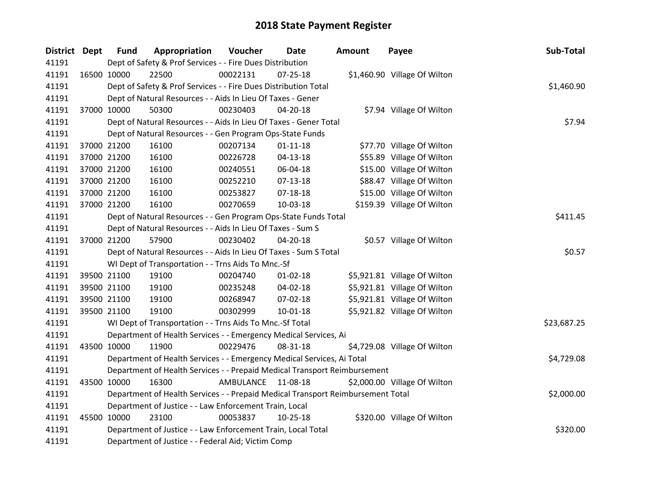| <b>Fund</b>   | Appropriation                                                                                                                                                                                                                                | Voucher | Date                                                                                                                                                                             | <b>Amount</b>                                                                                                                                                                                                                                                                                                                                                                                                                                                                                                                                                                                                                                   | Payee                                                                                                                                                                                                                                                                                                                                                   | Sub-Total                                                                                                                                                                                                                                                                                                                                                                                                                                                                                                                                                                                                                                                         |
|---------------|----------------------------------------------------------------------------------------------------------------------------------------------------------------------------------------------------------------------------------------------|---------|----------------------------------------------------------------------------------------------------------------------------------------------------------------------------------|-------------------------------------------------------------------------------------------------------------------------------------------------------------------------------------------------------------------------------------------------------------------------------------------------------------------------------------------------------------------------------------------------------------------------------------------------------------------------------------------------------------------------------------------------------------------------------------------------------------------------------------------------|---------------------------------------------------------------------------------------------------------------------------------------------------------------------------------------------------------------------------------------------------------------------------------------------------------------------------------------------------------|-------------------------------------------------------------------------------------------------------------------------------------------------------------------------------------------------------------------------------------------------------------------------------------------------------------------------------------------------------------------------------------------------------------------------------------------------------------------------------------------------------------------------------------------------------------------------------------------------------------------------------------------------------------------|
|               |                                                                                                                                                                                                                                              |         |                                                                                                                                                                                  |                                                                                                                                                                                                                                                                                                                                                                                                                                                                                                                                                                                                                                                 |                                                                                                                                                                                                                                                                                                                                                         |                                                                                                                                                                                                                                                                                                                                                                                                                                                                                                                                                                                                                                                                   |
|               | 22500                                                                                                                                                                                                                                        |         | $07 - 25 - 18$                                                                                                                                                                   |                                                                                                                                                                                                                                                                                                                                                                                                                                                                                                                                                                                                                                                 |                                                                                                                                                                                                                                                                                                                                                         |                                                                                                                                                                                                                                                                                                                                                                                                                                                                                                                                                                                                                                                                   |
|               |                                                                                                                                                                                                                                              |         |                                                                                                                                                                                  |                                                                                                                                                                                                                                                                                                                                                                                                                                                                                                                                                                                                                                                 |                                                                                                                                                                                                                                                                                                                                                         | \$1,460.90                                                                                                                                                                                                                                                                                                                                                                                                                                                                                                                                                                                                                                                        |
|               |                                                                                                                                                                                                                                              |         |                                                                                                                                                                                  |                                                                                                                                                                                                                                                                                                                                                                                                                                                                                                                                                                                                                                                 |                                                                                                                                                                                                                                                                                                                                                         |                                                                                                                                                                                                                                                                                                                                                                                                                                                                                                                                                                                                                                                                   |
|               | 50300                                                                                                                                                                                                                                        |         | 04-20-18                                                                                                                                                                         |                                                                                                                                                                                                                                                                                                                                                                                                                                                                                                                                                                                                                                                 |                                                                                                                                                                                                                                                                                                                                                         |                                                                                                                                                                                                                                                                                                                                                                                                                                                                                                                                                                                                                                                                   |
|               |                                                                                                                                                                                                                                              |         |                                                                                                                                                                                  |                                                                                                                                                                                                                                                                                                                                                                                                                                                                                                                                                                                                                                                 |                                                                                                                                                                                                                                                                                                                                                         | \$7.94                                                                                                                                                                                                                                                                                                                                                                                                                                                                                                                                                                                                                                                            |
|               |                                                                                                                                                                                                                                              |         |                                                                                                                                                                                  |                                                                                                                                                                                                                                                                                                                                                                                                                                                                                                                                                                                                                                                 |                                                                                                                                                                                                                                                                                                                                                         |                                                                                                                                                                                                                                                                                                                                                                                                                                                                                                                                                                                                                                                                   |
|               | 16100                                                                                                                                                                                                                                        |         | $01 - 11 - 18$                                                                                                                                                                   |                                                                                                                                                                                                                                                                                                                                                                                                                                                                                                                                                                                                                                                 |                                                                                                                                                                                                                                                                                                                                                         |                                                                                                                                                                                                                                                                                                                                                                                                                                                                                                                                                                                                                                                                   |
|               | 16100                                                                                                                                                                                                                                        |         | $04 - 13 - 18$                                                                                                                                                                   |                                                                                                                                                                                                                                                                                                                                                                                                                                                                                                                                                                                                                                                 |                                                                                                                                                                                                                                                                                                                                                         |                                                                                                                                                                                                                                                                                                                                                                                                                                                                                                                                                                                                                                                                   |
|               | 16100                                                                                                                                                                                                                                        |         | 06-04-18                                                                                                                                                                         |                                                                                                                                                                                                                                                                                                                                                                                                                                                                                                                                                                                                                                                 |                                                                                                                                                                                                                                                                                                                                                         |                                                                                                                                                                                                                                                                                                                                                                                                                                                                                                                                                                                                                                                                   |
|               | 16100                                                                                                                                                                                                                                        |         | $07-13-18$                                                                                                                                                                       |                                                                                                                                                                                                                                                                                                                                                                                                                                                                                                                                                                                                                                                 |                                                                                                                                                                                                                                                                                                                                                         |                                                                                                                                                                                                                                                                                                                                                                                                                                                                                                                                                                                                                                                                   |
|               | 16100                                                                                                                                                                                                                                        |         | $07 - 18 - 18$                                                                                                                                                                   |                                                                                                                                                                                                                                                                                                                                                                                                                                                                                                                                                                                                                                                 |                                                                                                                                                                                                                                                                                                                                                         |                                                                                                                                                                                                                                                                                                                                                                                                                                                                                                                                                                                                                                                                   |
|               | 16100                                                                                                                                                                                                                                        |         | 10-03-18                                                                                                                                                                         |                                                                                                                                                                                                                                                                                                                                                                                                                                                                                                                                                                                                                                                 |                                                                                                                                                                                                                                                                                                                                                         |                                                                                                                                                                                                                                                                                                                                                                                                                                                                                                                                                                                                                                                                   |
|               |                                                                                                                                                                                                                                              |         |                                                                                                                                                                                  |                                                                                                                                                                                                                                                                                                                                                                                                                                                                                                                                                                                                                                                 |                                                                                                                                                                                                                                                                                                                                                         | \$411.45                                                                                                                                                                                                                                                                                                                                                                                                                                                                                                                                                                                                                                                          |
|               |                                                                                                                                                                                                                                              |         |                                                                                                                                                                                  |                                                                                                                                                                                                                                                                                                                                                                                                                                                                                                                                                                                                                                                 |                                                                                                                                                                                                                                                                                                                                                         |                                                                                                                                                                                                                                                                                                                                                                                                                                                                                                                                                                                                                                                                   |
|               | 57900                                                                                                                                                                                                                                        |         | 04-20-18                                                                                                                                                                         |                                                                                                                                                                                                                                                                                                                                                                                                                                                                                                                                                                                                                                                 |                                                                                                                                                                                                                                                                                                                                                         |                                                                                                                                                                                                                                                                                                                                                                                                                                                                                                                                                                                                                                                                   |
|               |                                                                                                                                                                                                                                              |         |                                                                                                                                                                                  |                                                                                                                                                                                                                                                                                                                                                                                                                                                                                                                                                                                                                                                 |                                                                                                                                                                                                                                                                                                                                                         | \$0.57                                                                                                                                                                                                                                                                                                                                                                                                                                                                                                                                                                                                                                                            |
|               |                                                                                                                                                                                                                                              |         |                                                                                                                                                                                  |                                                                                                                                                                                                                                                                                                                                                                                                                                                                                                                                                                                                                                                 |                                                                                                                                                                                                                                                                                                                                                         |                                                                                                                                                                                                                                                                                                                                                                                                                                                                                                                                                                                                                                                                   |
|               | 19100                                                                                                                                                                                                                                        |         | $01 - 02 - 18$                                                                                                                                                                   |                                                                                                                                                                                                                                                                                                                                                                                                                                                                                                                                                                                                                                                 |                                                                                                                                                                                                                                                                                                                                                         |                                                                                                                                                                                                                                                                                                                                                                                                                                                                                                                                                                                                                                                                   |
|               | 19100                                                                                                                                                                                                                                        |         | 04-02-18                                                                                                                                                                         |                                                                                                                                                                                                                                                                                                                                                                                                                                                                                                                                                                                                                                                 |                                                                                                                                                                                                                                                                                                                                                         |                                                                                                                                                                                                                                                                                                                                                                                                                                                                                                                                                                                                                                                                   |
|               | 19100                                                                                                                                                                                                                                        |         | 07-02-18                                                                                                                                                                         |                                                                                                                                                                                                                                                                                                                                                                                                                                                                                                                                                                                                                                                 |                                                                                                                                                                                                                                                                                                                                                         |                                                                                                                                                                                                                                                                                                                                                                                                                                                                                                                                                                                                                                                                   |
|               | 19100                                                                                                                                                                                                                                        |         | $10 - 01 - 18$                                                                                                                                                                   |                                                                                                                                                                                                                                                                                                                                                                                                                                                                                                                                                                                                                                                 |                                                                                                                                                                                                                                                                                                                                                         |                                                                                                                                                                                                                                                                                                                                                                                                                                                                                                                                                                                                                                                                   |
|               |                                                                                                                                                                                                                                              |         |                                                                                                                                                                                  |                                                                                                                                                                                                                                                                                                                                                                                                                                                                                                                                                                                                                                                 |                                                                                                                                                                                                                                                                                                                                                         | \$23,687.25                                                                                                                                                                                                                                                                                                                                                                                                                                                                                                                                                                                                                                                       |
|               |                                                                                                                                                                                                                                              |         |                                                                                                                                                                                  |                                                                                                                                                                                                                                                                                                                                                                                                                                                                                                                                                                                                                                                 |                                                                                                                                                                                                                                                                                                                                                         |                                                                                                                                                                                                                                                                                                                                                                                                                                                                                                                                                                                                                                                                   |
|               | 11900                                                                                                                                                                                                                                        |         | 08-31-18                                                                                                                                                                         |                                                                                                                                                                                                                                                                                                                                                                                                                                                                                                                                                                                                                                                 |                                                                                                                                                                                                                                                                                                                                                         |                                                                                                                                                                                                                                                                                                                                                                                                                                                                                                                                                                                                                                                                   |
|               |                                                                                                                                                                                                                                              |         |                                                                                                                                                                                  |                                                                                                                                                                                                                                                                                                                                                                                                                                                                                                                                                                                                                                                 |                                                                                                                                                                                                                                                                                                                                                         | \$4,729.08                                                                                                                                                                                                                                                                                                                                                                                                                                                                                                                                                                                                                                                        |
|               |                                                                                                                                                                                                                                              |         |                                                                                                                                                                                  |                                                                                                                                                                                                                                                                                                                                                                                                                                                                                                                                                                                                                                                 |                                                                                                                                                                                                                                                                                                                                                         |                                                                                                                                                                                                                                                                                                                                                                                                                                                                                                                                                                                                                                                                   |
|               | 16300                                                                                                                                                                                                                                        |         |                                                                                                                                                                                  |                                                                                                                                                                                                                                                                                                                                                                                                                                                                                                                                                                                                                                                 |                                                                                                                                                                                                                                                                                                                                                         |                                                                                                                                                                                                                                                                                                                                                                                                                                                                                                                                                                                                                                                                   |
|               |                                                                                                                                                                                                                                              |         |                                                                                                                                                                                  |                                                                                                                                                                                                                                                                                                                                                                                                                                                                                                                                                                                                                                                 |                                                                                                                                                                                                                                                                                                                                                         | \$2,000.00                                                                                                                                                                                                                                                                                                                                                                                                                                                                                                                                                                                                                                                        |
|               |                                                                                                                                                                                                                                              |         |                                                                                                                                                                                  |                                                                                                                                                                                                                                                                                                                                                                                                                                                                                                                                                                                                                                                 |                                                                                                                                                                                                                                                                                                                                                         |                                                                                                                                                                                                                                                                                                                                                                                                                                                                                                                                                                                                                                                                   |
|               | 23100                                                                                                                                                                                                                                        |         | $10 - 25 - 18$                                                                                                                                                                   |                                                                                                                                                                                                                                                                                                                                                                                                                                                                                                                                                                                                                                                 |                                                                                                                                                                                                                                                                                                                                                         |                                                                                                                                                                                                                                                                                                                                                                                                                                                                                                                                                                                                                                                                   |
|               |                                                                                                                                                                                                                                              |         |                                                                                                                                                                                  |                                                                                                                                                                                                                                                                                                                                                                                                                                                                                                                                                                                                                                                 |                                                                                                                                                                                                                                                                                                                                                         | \$320.00                                                                                                                                                                                                                                                                                                                                                                                                                                                                                                                                                                                                                                                          |
|               |                                                                                                                                                                                                                                              |         |                                                                                                                                                                                  |                                                                                                                                                                                                                                                                                                                                                                                                                                                                                                                                                                                                                                                 |                                                                                                                                                                                                                                                                                                                                                         |                                                                                                                                                                                                                                                                                                                                                                                                                                                                                                                                                                                                                                                                   |
| District Dept | 16500 10000<br>37000 10000<br>37000 21200<br>37000 21200<br>37000 21200<br>37000 21200<br>37000 21200<br>37000 21200<br>37000 21200<br>39500 21100<br>39500 21100<br>39500 21100<br>39500 21100<br>43500 10000<br>43500 10000<br>45500 10000 |         | 00022131<br>00230403<br>00207134<br>00226728<br>00240551<br>00252210<br>00253827<br>00270659<br>00230402<br>00204740<br>00235248<br>00268947<br>00302999<br>00229476<br>00053837 | Dept of Safety & Prof Services - - Fire Dues Distribution<br>Dept of Safety & Prof Services - - Fire Dues Distribution Total<br>Dept of Natural Resources - - Aids In Lieu Of Taxes - Gener<br>Dept of Natural Resources - - Gen Program Ops-State Funds<br>Dept of Natural Resources - - Aids In Lieu Of Taxes - Sum S<br>WI Dept of Transportation - - Trns Aids To Mnc.-Sf<br>WI Dept of Transportation - - Trns Aids To Mnc.-Sf Total<br>AMBULANCE 11-08-18<br>Department of Justice - - Law Enforcement Train, Local<br>Department of Justice - - Law Enforcement Train, Local Total<br>Department of Justice - - Federal Aid; Victim Comp | Dept of Natural Resources - - Aids In Lieu Of Taxes - Gener Total<br>Dept of Natural Resources - - Gen Program Ops-State Funds Total<br>Dept of Natural Resources - - Aids In Lieu Of Taxes - Sum S Total<br>Department of Health Services - - Emergency Medical Services, Ai<br>Department of Health Services - - Emergency Medical Services, Ai Total | \$1,460.90 Village Of Wilton<br>\$7.94 Village Of Wilton<br>\$77.70 Village Of Wilton<br>\$55.89 Village Of Wilton<br>\$15.00 Village Of Wilton<br>\$88.47 Village Of Wilton<br>\$15.00 Village Of Wilton<br>\$159.39 Village Of Wilton<br>\$0.57 Village Of Wilton<br>\$5,921.81 Village Of Wilton<br>\$5,921.81 Village Of Wilton<br>\$5,921.81 Village Of Wilton<br>\$5,921.82 Village Of Wilton<br>\$4,729.08 Village Of Wilton<br>Department of Health Services - - Prepaid Medical Transport Reimbursement<br>\$2,000.00 Village Of Wilton<br>Department of Health Services - - Prepaid Medical Transport Reimbursement Total<br>\$320.00 Village Of Wilton |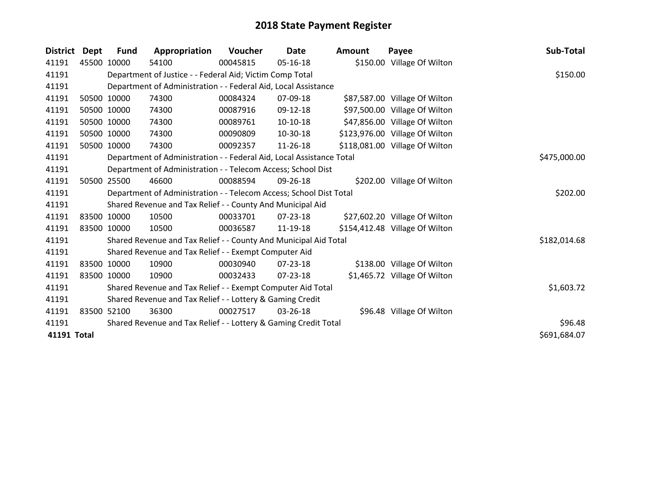| <b>District</b> | <b>Dept</b> | <b>Fund</b>  | Appropriation                                                    | Voucher  | Date           | Amount | Payee                          | Sub-Total    |
|-----------------|-------------|--------------|------------------------------------------------------------------|----------|----------------|--------|--------------------------------|--------------|
| 41191           |             | 45500 10000  | 54100                                                            | 00045815 | $05-16-18$     |        | \$150.00 Village Of Wilton     |              |
| 41191           |             |              | Department of Justice - - Federal Aid; Victim Comp Total         |          |                |        |                                | \$150.00     |
| 41191           |             |              | Department of Administration - - Federal Aid, Local Assistance   |          |                |        |                                |              |
| 41191           |             | 50500 10000  | 74300                                                            | 00084324 | 07-09-18       |        | \$87,587.00 Village Of Wilton  |              |
| 41191           |             | 50500 10000  | 74300                                                            | 00087916 | 09-12-18       |        | \$97,500.00 Village Of Wilton  |              |
| 41191           |             | 50500 10000  | 74300                                                            | 00089761 | $10-10-18$     |        | \$47,856.00 Village Of Wilton  |              |
| 41191           |             | 50500 10000  | 74300                                                            | 00090809 | 10-30-18       |        | \$123,976.00 Village Of Wilton |              |
| 41191           |             | 50500 10000  | 74300                                                            | 00092357 | 11-26-18       |        | \$118,081.00 Village Of Wilton |              |
| 41191           |             | \$475,000.00 |                                                                  |          |                |        |                                |              |
| 41191           |             |              | Department of Administration - - Telecom Access; School Dist     |          |                |        |                                |              |
| 41191           |             | 50500 25500  | 46600                                                            | 00088594 | 09-26-18       |        | \$202.00 Village Of Wilton     |              |
| 41191           |             | \$202.00     |                                                                  |          |                |        |                                |              |
| 41191           |             |              | Shared Revenue and Tax Relief - - County And Municipal Aid       |          |                |        |                                |              |
| 41191           |             | 83500 10000  | 10500                                                            | 00033701 | 07-23-18       |        | \$27,602.20 Village Of Wilton  |              |
| 41191           |             | 83500 10000  | 10500                                                            | 00036587 | 11-19-18       |        | \$154,412.48 Village Of Wilton |              |
| 41191           |             |              | Shared Revenue and Tax Relief - - County And Municipal Aid Total |          |                |        |                                | \$182,014.68 |
| 41191           |             |              | Shared Revenue and Tax Relief - - Exempt Computer Aid            |          |                |        |                                |              |
| 41191           |             | 83500 10000  | 10900                                                            | 00030940 | $07 - 23 - 18$ |        | \$138.00 Village Of Wilton     |              |
| 41191           |             | 83500 10000  | 10900                                                            | 00032433 | $07 - 23 - 18$ |        | \$1,465.72 Village Of Wilton   |              |
| 41191           |             |              | Shared Revenue and Tax Relief - - Exempt Computer Aid Total      |          |                |        |                                | \$1,603.72   |
| 41191           |             |              |                                                                  |          |                |        |                                |              |
| 41191           |             | 83500 52100  | 36300                                                            | 00027517 | 03-26-18       |        | \$96.48 Village Of Wilton      |              |
| 41191           |             |              | Shared Revenue and Tax Relief - - Lottery & Gaming Credit Total  |          |                |        |                                | \$96.48      |
| 41191 Total     |             |              |                                                                  |          |                |        |                                | \$691,684.07 |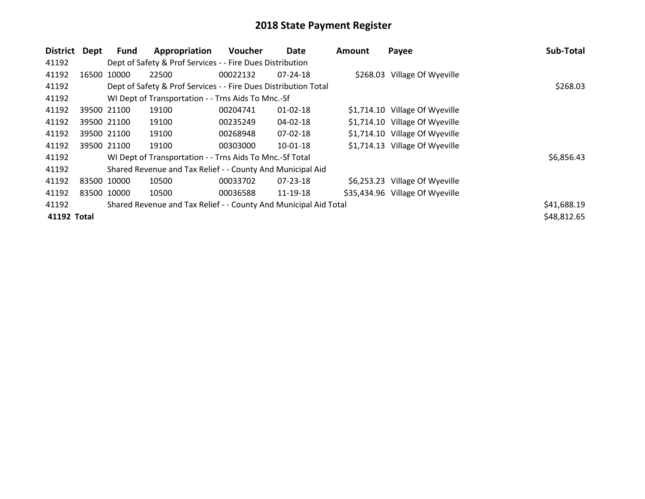| <b>District</b> | Dept        | Fund        | Appropriation                                                    | Voucher  | Date           | <b>Amount</b> | Payee                           | Sub-Total   |
|-----------------|-------------|-------------|------------------------------------------------------------------|----------|----------------|---------------|---------------------------------|-------------|
| 41192           |             |             | Dept of Safety & Prof Services - - Fire Dues Distribution        |          |                |               |                                 |             |
| 41192           |             | 16500 10000 | 22500                                                            | 00022132 | $07 - 24 - 18$ |               | \$268.03 Village Of Wyeville    |             |
| 41192           |             |             | Dept of Safety & Prof Services - - Fire Dues Distribution Total  |          |                |               |                                 | \$268.03    |
| 41192           |             |             |                                                                  |          |                |               |                                 |             |
| 41192           |             | 39500 21100 | 19100                                                            | 00204741 | $01 - 02 - 18$ |               | \$1,714.10 Village Of Wyeville  |             |
| 41192           |             | 39500 21100 | 19100                                                            | 00235249 | 04-02-18       |               | \$1,714.10 Village Of Wyeville  |             |
| 41192           |             | 39500 21100 | 19100                                                            | 00268948 | $07 - 02 - 18$ |               | \$1,714.10 Village Of Wyeville  |             |
| 41192           |             | 39500 21100 | 19100                                                            | 00303000 | $10-01-18$     |               | \$1,714.13 Village Of Wyeville  |             |
| 41192           |             |             | WI Dept of Transportation - - Trns Aids To Mnc.-Sf Total         |          |                |               |                                 | \$6,856.43  |
| 41192           |             |             | Shared Revenue and Tax Relief - - County And Municipal Aid       |          |                |               |                                 |             |
| 41192           | 83500 10000 |             | 10500                                                            | 00033702 | $07 - 23 - 18$ |               | \$6,253.23 Village Of Wyeville  |             |
| 41192           | 83500 10000 |             | 10500                                                            | 00036588 | 11-19-18       |               | \$35,434.96 Village Of Wyeville |             |
| 41192           |             |             | Shared Revenue and Tax Relief - - County And Municipal Aid Total |          |                |               |                                 | \$41,688.19 |
| 41192 Total     |             |             |                                                                  |          |                |               |                                 | \$48,812.65 |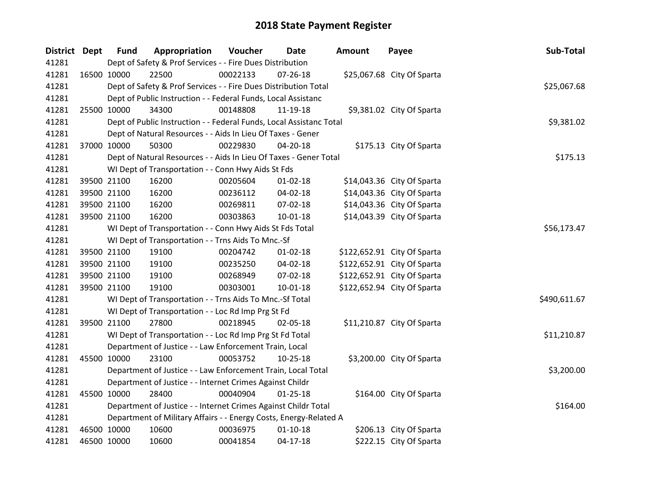| District Dept |             | <b>Fund</b>                                              | Appropriation                                                       | Voucher  | Date           | <b>Amount</b> | Payee                       | Sub-Total    |
|---------------|-------------|----------------------------------------------------------|---------------------------------------------------------------------|----------|----------------|---------------|-----------------------------|--------------|
| 41281         |             |                                                          | Dept of Safety & Prof Services - - Fire Dues Distribution           |          |                |               |                             |              |
| 41281         | 16500 10000 |                                                          | 22500                                                               | 00022133 | $07 - 26 - 18$ |               | \$25,067.68 City Of Sparta  |              |
| 41281         |             |                                                          | Dept of Safety & Prof Services - - Fire Dues Distribution Total     |          |                |               |                             | \$25,067.68  |
| 41281         |             |                                                          | Dept of Public Instruction - - Federal Funds, Local Assistanc       |          |                |               |                             |              |
| 41281         | 25500 10000 |                                                          | 34300                                                               | 00148808 | 11-19-18       |               | \$9,381.02 City Of Sparta   |              |
| 41281         |             |                                                          | Dept of Public Instruction - - Federal Funds, Local Assistanc Total |          |                |               |                             | \$9,381.02   |
| 41281         |             |                                                          | Dept of Natural Resources - - Aids In Lieu Of Taxes - Gener         |          |                |               |                             |              |
| 41281         | 37000 10000 |                                                          | 50300                                                               | 00229830 | 04-20-18       |               | \$175.13 City Of Sparta     |              |
| 41281         |             |                                                          | Dept of Natural Resources - - Aids In Lieu Of Taxes - Gener Total   |          |                |               |                             | \$175.13     |
| 41281         |             |                                                          | WI Dept of Transportation - - Conn Hwy Aids St Fds                  |          |                |               |                             |              |
| 41281         |             | 39500 21100                                              | 16200                                                               | 00205604 | $01 - 02 - 18$ |               | \$14,043.36 City Of Sparta  |              |
| 41281         |             | 39500 21100                                              | 16200                                                               | 00236112 | 04-02-18       |               | \$14,043.36 City Of Sparta  |              |
| 41281         |             | 39500 21100                                              | 16200                                                               | 00269811 | 07-02-18       |               | \$14,043.36 City Of Sparta  |              |
| 41281         | 39500 21100 |                                                          | 16200                                                               | 00303863 | $10 - 01 - 18$ |               | \$14,043.39 City Of Sparta  |              |
| 41281         |             | WI Dept of Transportation - - Conn Hwy Aids St Fds Total | \$56,173.47                                                         |          |                |               |                             |              |
| 41281         |             |                                                          | WI Dept of Transportation - - Trns Aids To Mnc.-Sf                  |          |                |               |                             |              |
| 41281         |             | 39500 21100                                              | 19100                                                               | 00204742 | $01 - 02 - 18$ |               | \$122,652.91 City Of Sparta |              |
| 41281         |             | 39500 21100                                              | 19100                                                               | 00235250 | 04-02-18       |               | \$122,652.91 City Of Sparta |              |
| 41281         |             | 39500 21100                                              | 19100                                                               | 00268949 | 07-02-18       |               | \$122,652.91 City Of Sparta |              |
| 41281         | 39500 21100 |                                                          | 19100                                                               | 00303001 | $10 - 01 - 18$ |               | \$122,652.94 City Of Sparta |              |
| 41281         |             |                                                          | WI Dept of Transportation - - Trns Aids To Mnc.-Sf Total            |          |                |               |                             | \$490,611.67 |
| 41281         |             |                                                          | WI Dept of Transportation - - Loc Rd Imp Prg St Fd                  |          |                |               |                             |              |
| 41281         | 39500 21100 |                                                          | 27800                                                               | 00218945 | 02-05-18       |               | \$11,210.87 City Of Sparta  |              |
| 41281         |             |                                                          | WI Dept of Transportation - - Loc Rd Imp Prg St Fd Total            |          |                |               |                             | \$11,210.87  |
| 41281         |             |                                                          | Department of Justice - - Law Enforcement Train, Local              |          |                |               |                             |              |
| 41281         | 45500 10000 |                                                          | 23100                                                               | 00053752 | 10-25-18       |               | \$3,200.00 City Of Sparta   |              |
| 41281         |             |                                                          | Department of Justice - - Law Enforcement Train, Local Total        |          |                |               |                             | \$3,200.00   |
| 41281         |             | Department of Justice - - Internet Crimes Against Childr |                                                                     |          |                |               |                             |              |
| 41281         | 45500 10000 |                                                          | 28400                                                               | 00040904 | $01 - 25 - 18$ |               | \$164.00 City Of Sparta     |              |
| 41281         |             |                                                          | Department of Justice - - Internet Crimes Against Childr Total      |          |                |               |                             | \$164.00     |
| 41281         |             |                                                          | Department of Military Affairs - - Energy Costs, Energy-Related A   |          |                |               |                             |              |
| 41281         | 46500 10000 |                                                          | 10600                                                               | 00036975 | $01 - 10 - 18$ |               | \$206.13 City Of Sparta     |              |
| 41281         | 46500 10000 |                                                          | 10600                                                               | 00041854 | $04-17-18$     |               | \$222.15 City Of Sparta     |              |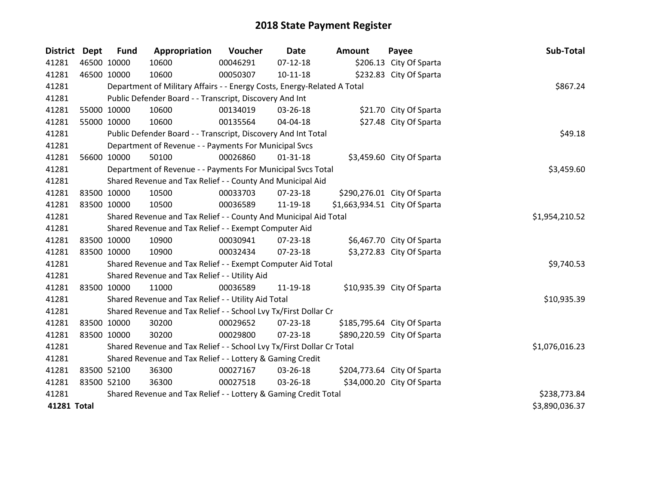| <b>District</b> | <b>Dept</b> | <b>Fund</b>                                                | Appropriation                                                           | Voucher  | <b>Date</b>    | <b>Amount</b> | Payee                         | Sub-Total      |
|-----------------|-------------|------------------------------------------------------------|-------------------------------------------------------------------------|----------|----------------|---------------|-------------------------------|----------------|
| 41281           |             | 46500 10000                                                | 10600                                                                   | 00046291 | $07 - 12 - 18$ |               | \$206.13 City Of Sparta       |                |
| 41281           | 46500 10000 |                                                            | 10600                                                                   | 00050307 | $10 - 11 - 18$ |               | \$232.83 City Of Sparta       |                |
| 41281           |             |                                                            | Department of Military Affairs - - Energy Costs, Energy-Related A Total |          |                |               |                               | \$867.24       |
| 41281           |             |                                                            | Public Defender Board - - Transcript, Discovery And Int                 |          |                |               |                               |                |
| 41281           |             | 55000 10000                                                | 10600                                                                   | 00134019 | 03-26-18       |               | \$21.70 City Of Sparta        |                |
| 41281           |             | 55000 10000                                                | 10600                                                                   | 00135564 | 04-04-18       |               | \$27.48 City Of Sparta        |                |
| 41281           |             |                                                            | Public Defender Board - - Transcript, Discovery And Int Total           |          |                |               |                               | \$49.18        |
| 41281           |             |                                                            | Department of Revenue - - Payments For Municipal Svcs                   |          |                |               |                               |                |
| 41281           |             | 56600 10000                                                | 50100                                                                   | 00026860 | $01 - 31 - 18$ |               | \$3,459.60 City Of Sparta     |                |
| 41281           |             |                                                            | Department of Revenue - - Payments For Municipal Svcs Total             |          |                |               |                               | \$3,459.60     |
| 41281           |             | Shared Revenue and Tax Relief - - County And Municipal Aid |                                                                         |          |                |               |                               |                |
| 41281           | 83500 10000 |                                                            | 10500                                                                   | 00033703 | 07-23-18       |               | \$290,276.01 City Of Sparta   |                |
| 41281           |             | 83500 10000                                                | 10500                                                                   | 00036589 | 11-19-18       |               | \$1,663,934.51 City Of Sparta |                |
| 41281           |             | \$1,954,210.52                                             |                                                                         |          |                |               |                               |                |
| 41281           |             |                                                            | Shared Revenue and Tax Relief - - Exempt Computer Aid                   |          |                |               |                               |                |
| 41281           |             | 83500 10000                                                | 10900                                                                   | 00030941 | 07-23-18       |               | \$6,467.70 City Of Sparta     |                |
| 41281           |             | 83500 10000                                                | 10900                                                                   | 00032434 | $07 - 23 - 18$ |               | \$3,272.83 City Of Sparta     |                |
| 41281           |             |                                                            | Shared Revenue and Tax Relief - - Exempt Computer Aid Total             |          |                |               |                               | \$9,740.53     |
| 41281           |             |                                                            | Shared Revenue and Tax Relief - - Utility Aid                           |          |                |               |                               |                |
| 41281           |             | 83500 10000                                                | 11000                                                                   | 00036589 | 11-19-18       |               | \$10,935.39 City Of Sparta    |                |
| 41281           |             |                                                            | Shared Revenue and Tax Relief - - Utility Aid Total                     |          |                |               |                               | \$10,935.39    |
| 41281           |             |                                                            | Shared Revenue and Tax Relief - - School Lvy Tx/First Dollar Cr         |          |                |               |                               |                |
| 41281           | 83500 10000 |                                                            | 30200                                                                   | 00029652 | 07-23-18       |               | \$185,795.64 City Of Sparta   |                |
| 41281           | 83500 10000 |                                                            | 30200                                                                   | 00029800 | $07 - 23 - 18$ |               | \$890,220.59 City Of Sparta   |                |
| 41281           |             |                                                            | Shared Revenue and Tax Relief - - School Lvy Tx/First Dollar Cr Total   |          |                |               |                               | \$1,076,016.23 |
| 41281           |             |                                                            |                                                                         |          |                |               |                               |                |
| 41281           | 83500 52100 |                                                            | 36300                                                                   | 00027167 | 03-26-18       |               | \$204,773.64 City Of Sparta   |                |
| 41281           |             | 83500 52100                                                | 36300                                                                   | 00027518 | 03-26-18       |               | \$34,000.20 City Of Sparta    |                |
| 41281           |             |                                                            | Shared Revenue and Tax Relief - - Lottery & Gaming Credit Total         |          |                |               |                               | \$238,773.84   |
| 41281 Total     |             |                                                            |                                                                         |          |                |               |                               | \$3,890,036.37 |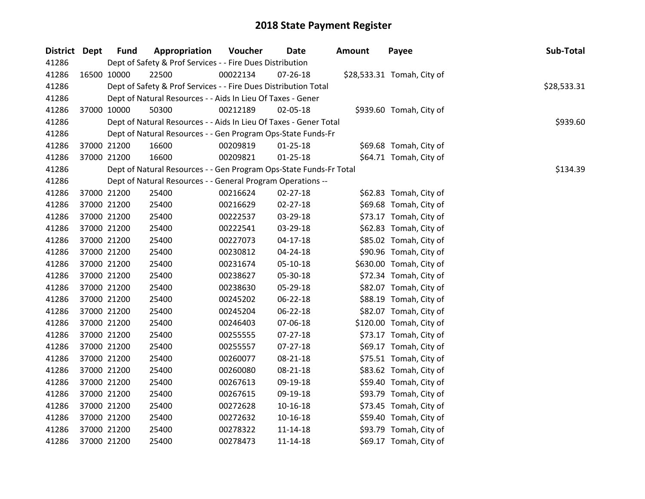| District Dept | <b>Fund</b> | Appropriation                                                      | Voucher  | <b>Date</b>    | <b>Amount</b> | Payee                      | Sub-Total   |
|---------------|-------------|--------------------------------------------------------------------|----------|----------------|---------------|----------------------------|-------------|
| 41286         |             | Dept of Safety & Prof Services - - Fire Dues Distribution          |          |                |               |                            |             |
| 41286         | 16500 10000 | 22500                                                              | 00022134 | 07-26-18       |               | \$28,533.31 Tomah, City of |             |
| 41286         |             | Dept of Safety & Prof Services - - Fire Dues Distribution Total    |          |                |               |                            | \$28,533.31 |
| 41286         |             | Dept of Natural Resources - - Aids In Lieu Of Taxes - Gener        |          |                |               |                            |             |
| 41286         | 37000 10000 | 50300                                                              | 00212189 | 02-05-18       |               | \$939.60 Tomah, City of    |             |
| 41286         |             | Dept of Natural Resources - - Aids In Lieu Of Taxes - Gener Total  |          |                |               |                            | \$939.60    |
| 41286         |             | Dept of Natural Resources - - Gen Program Ops-State Funds-Fr       |          |                |               |                            |             |
| 41286         | 37000 21200 | 16600                                                              | 00209819 | $01 - 25 - 18$ |               | \$69.68 Tomah, City of     |             |
| 41286         | 37000 21200 | 16600                                                              | 00209821 | $01 - 25 - 18$ |               | \$64.71 Tomah, City of     |             |
| 41286         |             | Dept of Natural Resources - - Gen Program Ops-State Funds-Fr Total |          |                |               |                            | \$134.39    |
| 41286         |             | Dept of Natural Resources - - General Program Operations --        |          |                |               |                            |             |
| 41286         | 37000 21200 | 25400                                                              | 00216624 | 02-27-18       |               | \$62.83 Tomah, City of     |             |
| 41286         | 37000 21200 | 25400                                                              | 00216629 | 02-27-18       |               | \$69.68 Tomah, City of     |             |
| 41286         | 37000 21200 | 25400                                                              | 00222537 | 03-29-18       |               | \$73.17 Tomah, City of     |             |
| 41286         | 37000 21200 | 25400                                                              | 00222541 | 03-29-18       |               | \$62.83 Tomah, City of     |             |
| 41286         | 37000 21200 | 25400                                                              | 00227073 | $04 - 17 - 18$ |               | \$85.02 Tomah, City of     |             |
| 41286         | 37000 21200 | 25400                                                              | 00230812 | 04-24-18       |               | \$90.96 Tomah, City of     |             |
| 41286         | 37000 21200 | 25400                                                              | 00231674 | 05-10-18       |               | \$630.00 Tomah, City of    |             |
| 41286         | 37000 21200 | 25400                                                              | 00238627 | 05-30-18       |               | \$72.34 Tomah, City of     |             |
| 41286         | 37000 21200 | 25400                                                              | 00238630 | 05-29-18       |               | \$82.07 Tomah, City of     |             |
| 41286         | 37000 21200 | 25400                                                              | 00245202 | 06-22-18       |               | \$88.19 Tomah, City of     |             |
| 41286         | 37000 21200 | 25400                                                              | 00245204 | 06-22-18       |               | \$82.07 Tomah, City of     |             |
| 41286         | 37000 21200 | 25400                                                              | 00246403 | 07-06-18       |               | \$120.00 Tomah, City of    |             |
| 41286         | 37000 21200 | 25400                                                              | 00255555 | 07-27-18       |               | \$73.17 Tomah, City of     |             |
| 41286         | 37000 21200 | 25400                                                              | 00255557 | 07-27-18       |               | \$69.17 Tomah, City of     |             |
| 41286         | 37000 21200 | 25400                                                              | 00260077 | 08-21-18       |               | \$75.51 Tomah, City of     |             |
| 41286         | 37000 21200 | 25400                                                              | 00260080 | $08 - 21 - 18$ |               | \$83.62 Tomah, City of     |             |
| 41286         | 37000 21200 | 25400                                                              | 00267613 | 09-19-18       |               | \$59.40 Tomah, City of     |             |
| 41286         | 37000 21200 | 25400                                                              | 00267615 | 09-19-18       |               | \$93.79 Tomah, City of     |             |
| 41286         | 37000 21200 | 25400                                                              | 00272628 | 10-16-18       |               | \$73.45 Tomah, City of     |             |
| 41286         | 37000 21200 | 25400                                                              | 00272632 | $10 - 16 - 18$ |               | \$59.40 Tomah, City of     |             |
| 41286         | 37000 21200 | 25400                                                              | 00278322 | $11 - 14 - 18$ |               | \$93.79 Tomah, City of     |             |
| 41286         | 37000 21200 | 25400                                                              | 00278473 | 11-14-18       |               | \$69.17 Tomah, City of     |             |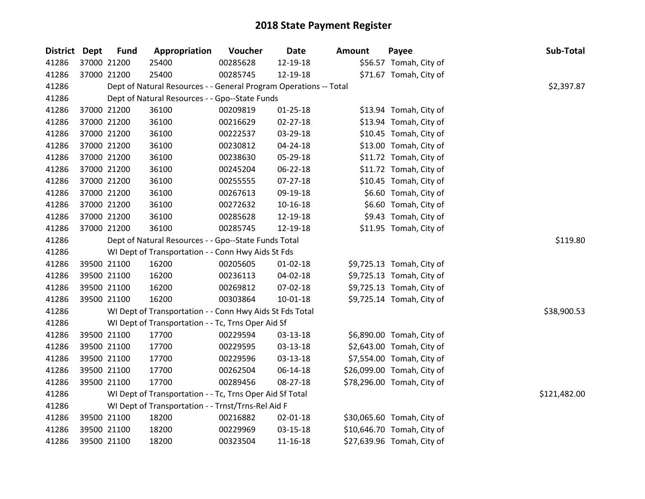| District Dept |                                                      | <b>Fund</b> | Appropriation                                                     | Voucher  | <b>Date</b>    | <b>Amount</b> | Payee                      | Sub-Total    |  |
|---------------|------------------------------------------------------|-------------|-------------------------------------------------------------------|----------|----------------|---------------|----------------------------|--------------|--|
| 41286         |                                                      | 37000 21200 | 25400                                                             | 00285628 | 12-19-18       |               | \$56.57 Tomah, City of     |              |  |
| 41286         |                                                      | 37000 21200 | 25400                                                             | 00285745 | 12-19-18       |               | \$71.67 Tomah, City of     |              |  |
| 41286         |                                                      |             | Dept of Natural Resources - - General Program Operations -- Total |          |                |               |                            | \$2,397.87   |  |
| 41286         |                                                      |             | Dept of Natural Resources - - Gpo--State Funds                    |          |                |               |                            |              |  |
| 41286         |                                                      | 37000 21200 | 36100                                                             | 00209819 | $01 - 25 - 18$ |               | \$13.94 Tomah, City of     |              |  |
| 41286         |                                                      | 37000 21200 | 36100                                                             | 00216629 | $02 - 27 - 18$ |               | \$13.94 Tomah, City of     |              |  |
| 41286         |                                                      | 37000 21200 | 36100                                                             | 00222537 | 03-29-18       |               | \$10.45 Tomah, City of     |              |  |
| 41286         |                                                      | 37000 21200 | 36100                                                             | 00230812 | 04-24-18       |               | \$13.00 Tomah, City of     |              |  |
| 41286         |                                                      | 37000 21200 | 36100                                                             | 00238630 | 05-29-18       |               | \$11.72 Tomah, City of     |              |  |
| 41286         |                                                      | 37000 21200 | 36100                                                             | 00245204 | 06-22-18       |               | \$11.72 Tomah, City of     |              |  |
| 41286         |                                                      | 37000 21200 | 36100                                                             | 00255555 | 07-27-18       |               | \$10.45 Tomah, City of     |              |  |
| 41286         |                                                      | 37000 21200 | 36100                                                             | 00267613 | 09-19-18       |               | \$6.60 Tomah, City of      |              |  |
| 41286         |                                                      | 37000 21200 | 36100                                                             | 00272632 | $10 - 16 - 18$ |               | \$6.60 Tomah, City of      |              |  |
| 41286         |                                                      | 37000 21200 | 36100                                                             | 00285628 | 12-19-18       |               | \$9.43 Tomah, City of      |              |  |
| 41286         |                                                      | 37000 21200 | 36100                                                             | 00285745 | 12-19-18       |               | \$11.95 Tomah, City of     |              |  |
| 41286         | Dept of Natural Resources - - Gpo--State Funds Total |             |                                                                   |          |                |               |                            |              |  |
| 41286         |                                                      |             | WI Dept of Transportation - - Conn Hwy Aids St Fds                |          |                |               |                            |              |  |
| 41286         |                                                      | 39500 21100 | 16200                                                             | 00205605 | $01 - 02 - 18$ |               | \$9,725.13 Tomah, City of  |              |  |
| 41286         |                                                      | 39500 21100 | 16200                                                             | 00236113 | 04-02-18       |               | \$9,725.13 Tomah, City of  |              |  |
| 41286         |                                                      | 39500 21100 | 16200                                                             | 00269812 | 07-02-18       |               | \$9,725.13 Tomah, City of  |              |  |
| 41286         |                                                      | 39500 21100 | 16200                                                             | 00303864 | $10 - 01 - 18$ |               | \$9,725.14 Tomah, City of  |              |  |
| 41286         |                                                      |             | WI Dept of Transportation - - Conn Hwy Aids St Fds Total          |          |                |               |                            | \$38,900.53  |  |
| 41286         |                                                      |             | WI Dept of Transportation - - Tc, Trns Oper Aid Sf                |          |                |               |                            |              |  |
| 41286         |                                                      | 39500 21100 | 17700                                                             | 00229594 | 03-13-18       |               | \$6,890.00 Tomah, City of  |              |  |
| 41286         |                                                      | 39500 21100 | 17700                                                             | 00229595 | 03-13-18       |               | \$2,643.00 Tomah, City of  |              |  |
| 41286         |                                                      | 39500 21100 | 17700                                                             | 00229596 | 03-13-18       |               | \$7,554.00 Tomah, City of  |              |  |
| 41286         |                                                      | 39500 21100 | 17700                                                             | 00262504 | 06-14-18       |               | \$26,099.00 Tomah, City of |              |  |
| 41286         |                                                      | 39500 21100 | 17700                                                             | 00289456 | 08-27-18       |               | \$78,296.00 Tomah, City of |              |  |
| 41286         |                                                      |             | WI Dept of Transportation - - Tc, Trns Oper Aid Sf Total          |          |                |               |                            | \$121,482.00 |  |
| 41286         |                                                      |             | WI Dept of Transportation - - Trnst/Trns-Rel Aid F                |          |                |               |                            |              |  |
| 41286         |                                                      | 39500 21100 | 18200                                                             | 00216882 | 02-01-18       |               | \$30,065.60 Tomah, City of |              |  |
| 41286         |                                                      | 39500 21100 | 18200                                                             | 00229969 | $03 - 15 - 18$ |               | \$10,646.70 Tomah, City of |              |  |
| 41286         |                                                      | 39500 21100 | 18200                                                             | 00323504 | 11-16-18       |               | \$27,639.96 Tomah, City of |              |  |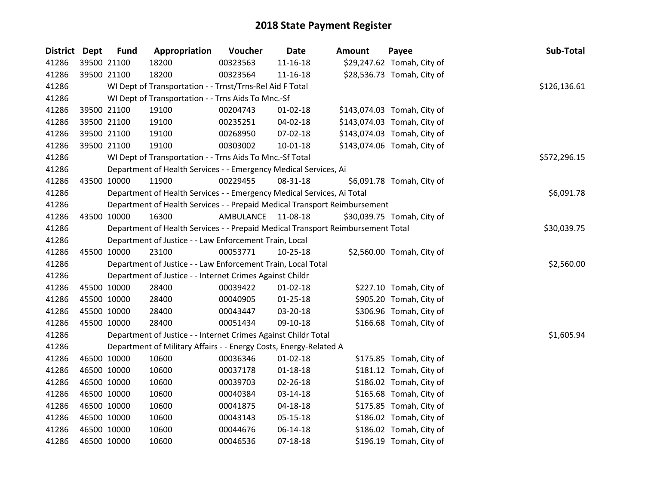| District Dept | <b>Fund</b> | Appropriation                                                                   | Voucher     | Date           | <b>Amount</b> | Payee                       | Sub-Total    |
|---------------|-------------|---------------------------------------------------------------------------------|-------------|----------------|---------------|-----------------------------|--------------|
| 41286         | 39500 21100 | 18200                                                                           | 00323563    | $11 - 16 - 18$ |               | \$29,247.62 Tomah, City of  |              |
| 41286         | 39500 21100 | 18200                                                                           | 00323564    | 11-16-18       |               | \$28,536.73 Tomah, City of  |              |
| 41286         |             | WI Dept of Transportation - - Trnst/Trns-Rel Aid F Total                        |             |                |               |                             | \$126,136.61 |
| 41286         |             | WI Dept of Transportation - - Trns Aids To Mnc.-Sf                              |             |                |               |                             |              |
| 41286         | 39500 21100 | 19100                                                                           | 00204743    | $01 - 02 - 18$ |               | \$143,074.03 Tomah, City of |              |
| 41286         | 39500 21100 | 19100                                                                           | 00235251    | 04-02-18       |               | \$143,074.03 Tomah, City of |              |
| 41286         | 39500 21100 | 19100                                                                           | 00268950    | 07-02-18       |               | \$143,074.03 Tomah, City of |              |
| 41286         | 39500 21100 | 19100                                                                           | 00303002    | $10-01-18$     |               | \$143,074.06 Tomah, City of |              |
| 41286         |             | WI Dept of Transportation - - Trns Aids To Mnc.-Sf Total                        |             |                |               |                             | \$572,296.15 |
| 41286         |             | Department of Health Services - - Emergency Medical Services, Ai                |             |                |               |                             |              |
| 41286         | 43500 10000 | 11900                                                                           | 00229455    | 08-31-18       |               | \$6,091.78 Tomah, City of   |              |
| 41286         |             | Department of Health Services - - Emergency Medical Services, Ai Total          |             |                |               |                             | \$6,091.78   |
| 41286         |             | Department of Health Services - - Prepaid Medical Transport Reimbursement       |             |                |               |                             |              |
| 41286         | 43500 10000 | 16300                                                                           | AMBULANCE   | 11-08-18       |               | \$30,039.75 Tomah, City of  |              |
| 41286         |             | Department of Health Services - - Prepaid Medical Transport Reimbursement Total | \$30,039.75 |                |               |                             |              |
| 41286         |             | Department of Justice - - Law Enforcement Train, Local                          |             |                |               |                             |              |
| 41286         | 45500 10000 | 23100                                                                           | 00053771    | $10 - 25 - 18$ |               | \$2,560.00 Tomah, City of   |              |
| 41286         |             | Department of Justice - - Law Enforcement Train, Local Total                    |             |                |               |                             | \$2,560.00   |
| 41286         |             | Department of Justice - - Internet Crimes Against Childr                        |             |                |               |                             |              |
| 41286         | 45500 10000 | 28400                                                                           | 00039422    | $01 - 02 - 18$ |               | \$227.10 Tomah, City of     |              |
| 41286         | 45500 10000 | 28400                                                                           | 00040905    | $01 - 25 - 18$ |               | \$905.20 Tomah, City of     |              |
| 41286         | 45500 10000 | 28400                                                                           | 00043447    | 03-20-18       |               | \$306.96 Tomah, City of     |              |
| 41286         | 45500 10000 | 28400                                                                           | 00051434    | 09-10-18       |               | \$166.68 Tomah, City of     |              |
| 41286         |             | Department of Justice - - Internet Crimes Against Childr Total                  |             |                |               |                             | \$1,605.94   |
| 41286         |             | Department of Military Affairs - - Energy Costs, Energy-Related A               |             |                |               |                             |              |
| 41286         | 46500 10000 | 10600                                                                           | 00036346    | $01 - 02 - 18$ |               | \$175.85 Tomah, City of     |              |
| 41286         | 46500 10000 | 10600                                                                           | 00037178    | $01 - 18 - 18$ |               | \$181.12 Tomah, City of     |              |
| 41286         | 46500 10000 | 10600                                                                           | 00039703    | $02 - 26 - 18$ |               | \$186.02 Tomah, City of     |              |
| 41286         | 46500 10000 | 10600                                                                           | 00040384    | 03-14-18       |               | \$165.68 Tomah, City of     |              |
| 41286         | 46500 10000 | 10600                                                                           | 00041875    | 04-18-18       |               | \$175.85 Tomah, City of     |              |
| 41286         | 46500 10000 | 10600                                                                           | 00043143    | 05-15-18       |               | \$186.02 Tomah, City of     |              |
| 41286         | 46500 10000 | 10600                                                                           | 00044676    | 06-14-18       |               | \$186.02 Tomah, City of     |              |
| 41286         | 46500 10000 | 10600                                                                           | 00046536    | 07-18-18       |               | \$196.19 Tomah, City of     |              |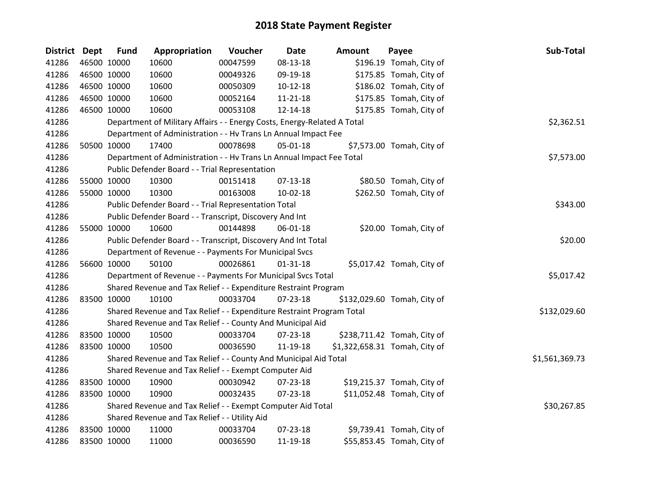| District Dept | <b>Fund</b>                                                 | Appropriation                                                           | Voucher  | <b>Date</b>    | <b>Amount</b> | Payee                         | Sub-Total      |
|---------------|-------------------------------------------------------------|-------------------------------------------------------------------------|----------|----------------|---------------|-------------------------------|----------------|
| 41286         | 46500 10000                                                 | 10600                                                                   | 00047599 | 08-13-18       |               | \$196.19 Tomah, City of       |                |
| 41286         | 46500 10000                                                 | 10600                                                                   | 00049326 | 09-19-18       |               | \$175.85 Tomah, City of       |                |
| 41286         | 46500 10000                                                 | 10600                                                                   | 00050309 | $10-12-18$     |               | \$186.02 Tomah, City of       |                |
| 41286         | 46500 10000                                                 | 10600                                                                   | 00052164 | $11 - 21 - 18$ |               | \$175.85 Tomah, City of       |                |
| 41286         | 46500 10000                                                 | 10600                                                                   | 00053108 | 12-14-18       |               | \$175.85 Tomah, City of       |                |
| 41286         |                                                             | Department of Military Affairs - - Energy Costs, Energy-Related A Total |          |                |               |                               | \$2,362.51     |
| 41286         |                                                             | Department of Administration - - Hv Trans Ln Annual Impact Fee          |          |                |               |                               |                |
| 41286         | 50500 10000                                                 | 17400                                                                   | 00078698 | 05-01-18       |               | \$7,573.00 Tomah, City of     |                |
| 41286         |                                                             | Department of Administration - - Hv Trans Ln Annual Impact Fee Total    |          |                |               |                               | \$7,573.00     |
| 41286         |                                                             | Public Defender Board - - Trial Representation                          |          |                |               |                               |                |
| 41286         | 55000 10000                                                 | 10300                                                                   | 00151418 | 07-13-18       |               | \$80.50 Tomah, City of        |                |
| 41286         | 55000 10000                                                 | 10300                                                                   | 00163008 | 10-02-18       |               | \$262.50 Tomah, City of       |                |
| 41286         |                                                             | Public Defender Board - - Trial Representation Total                    |          |                |               |                               | \$343.00       |
| 41286         |                                                             | Public Defender Board - - Transcript, Discovery And Int                 |          |                |               |                               |                |
| 41286         | 55000 10000                                                 | 10600                                                                   | 00144898 | 06-01-18       |               | \$20.00 Tomah, City of        |                |
| 41286         |                                                             | Public Defender Board - - Transcript, Discovery And Int Total           | \$20.00  |                |               |                               |                |
| 41286         |                                                             | Department of Revenue - - Payments For Municipal Svcs                   |          |                |               |                               |                |
| 41286         | 56600 10000                                                 | 50100                                                                   | 00026861 | $01 - 31 - 18$ |               | \$5,017.42 Tomah, City of     |                |
| 41286         |                                                             | Department of Revenue - - Payments For Municipal Svcs Total             |          |                |               |                               | \$5,017.42     |
| 41286         |                                                             | Shared Revenue and Tax Relief - - Expenditure Restraint Program         |          |                |               |                               |                |
| 41286         | 83500 10000                                                 | 10100                                                                   | 00033704 | $07 - 23 - 18$ |               | \$132,029.60 Tomah, City of   |                |
| 41286         |                                                             | Shared Revenue and Tax Relief - - Expenditure Restraint Program Total   |          |                |               |                               | \$132,029.60   |
| 41286         |                                                             | Shared Revenue and Tax Relief - - County And Municipal Aid              |          |                |               |                               |                |
| 41286         | 83500 10000                                                 | 10500                                                                   | 00033704 | 07-23-18       |               | \$238,711.42 Tomah, City of   |                |
| 41286         | 83500 10000                                                 | 10500                                                                   | 00036590 | 11-19-18       |               | \$1,322,658.31 Tomah, City of |                |
| 41286         |                                                             | Shared Revenue and Tax Relief - - County And Municipal Aid Total        |          |                |               |                               | \$1,561,369.73 |
| 41286         | Shared Revenue and Tax Relief - - Exempt Computer Aid       |                                                                         |          |                |               |                               |                |
| 41286         | 83500 10000                                                 | 10900                                                                   | 00030942 | 07-23-18       |               | \$19,215.37 Tomah, City of    |                |
| 41286         | 83500 10000                                                 | 10900                                                                   | 00032435 | $07 - 23 - 18$ |               | \$11,052.48 Tomah, City of    |                |
| 41286         | Shared Revenue and Tax Relief - - Exempt Computer Aid Total | \$30,267.85                                                             |          |                |               |                               |                |
| 41286         |                                                             | Shared Revenue and Tax Relief - - Utility Aid                           |          |                |               |                               |                |
| 41286         | 83500 10000                                                 | 11000                                                                   | 00033704 | 07-23-18       |               | \$9,739.41 Tomah, City of     |                |
| 41286         | 83500 10000                                                 | 11000                                                                   | 00036590 | 11-19-18       |               | \$55,853.45 Tomah, City of    |                |